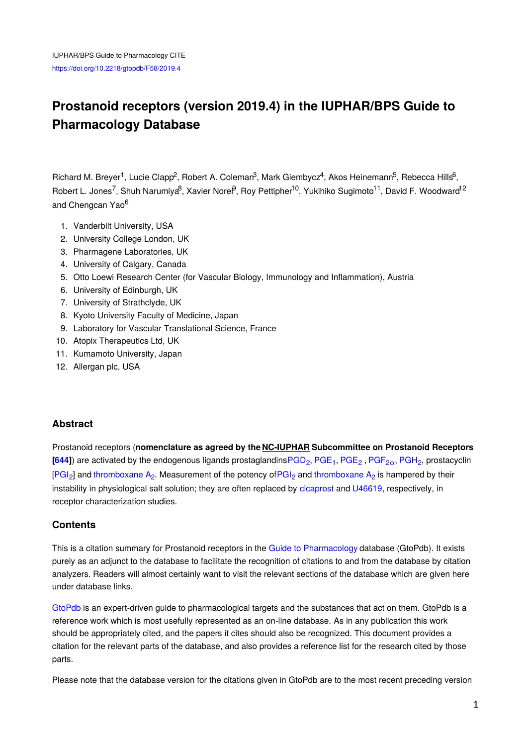# **Prostanoid receptors (version 2019.4) in the IUPHAR/BPS Guide to Pharmacology Database**

Richard M. Breyer<sup>1</sup>, Lucie Clapp<sup>2</sup>, Robert A. Coleman<sup>3</sup>, Mark Giembycz<sup>4</sup>, Akos Heinemann<sup>5</sup>, Rebecca Hills<sup>6</sup>, Robert L. Jones<sup>7</sup>, Shuh Narumiya<sup>8</sup>, Xavier Norel<sup>9</sup>, Roy Pettipher<sup>10</sup>, Yukihiko Sugimoto<sup>11</sup>, David F. Woodward<sup>12</sup> and Chengcan Yao<sup>6</sup>

- 1. Vanderbilt University, USA
- 2. University College London, UK
- 3. Pharmagene Laboratories, UK
- 4. University of Calgary, Canada
- 5. Otto Loewi Research Center (for Vascular Biology, Immunology and Inflammation), Austria
- 6. University of Edinburgh, UK
- 7. University of Strathclyde, UK
- 8. Kyoto University Faculty of Medicine, Japan
- 9. Laboratory for Vascular Translational Science, France
- 10. Atopix Therapeutics Ltd, UK
- 11. Kumamoto University, Japan
- 12. Allergan plc, USA

#### **Abstract**

Prostanoid receptors (**nomenclature as agreed by the NC-IUPHAR Subcommittee on Prostanoid Receptors**  $[644]$  $[644]$  $[644]$ ) are activated by the endogenous ligands prostaglandins $PGD_2$ ,  $PGE_1$  $PGE_1$ ,  $PGE_2$ ,  $PGF_{2\alpha}$  $PGF_{2\alpha}$ ,  $PGH_2$  $PGH_2$ , prostacyclin [\[PGI](http://www.guidetopharmacology.org/GRAC/LigandDisplayForward?ligandId=1915)<sub>2</sub>] and [thromboxane](http://www.guidetopharmacology.org/GRAC/LigandDisplayForward?ligandId=4482) A<sub>2</sub>. Measurement of the potency of PGI<sub>2</sub> and thromboxane A<sub>2</sub> is hampered by their instability in physiological salt solution; they are often replaced by [cicaprost](http://www.guidetopharmacology.org/GRAC/LigandDisplayForward?ligandId=1917) and [U46619](http://www.guidetopharmacology.org/GRAC/LigandDisplayForward?ligandId=1888), respectively, in receptor characterization studies.

#### **Contents**

This is a citation summary for Prostanoid receptors in the Guide to [Pharmacology](http://www.guidetopharmacology.org/) database (GtoPdb). It exists purely as an adjunct to the database to facilitate the recognition of citations to and from the database by citation analyzers. Readers will almost certainly want to visit the relevant sections of the database which are given here under database links.

[GtoPdb](http://www.guidetopharmacology.org/) is an expert-driven guide to pharmacological targets and the substances that act on them. GtoPdb is a reference work which is most usefully represented as an on-line database. As in any publication this work should be appropriately cited, and the papers it cites should also be recognized. This document provides a citation for the relevant parts of the database, and also provides a reference list for the research cited by those parts.

Please note that the database version for the citations given in GtoPdb are to the most recent preceding version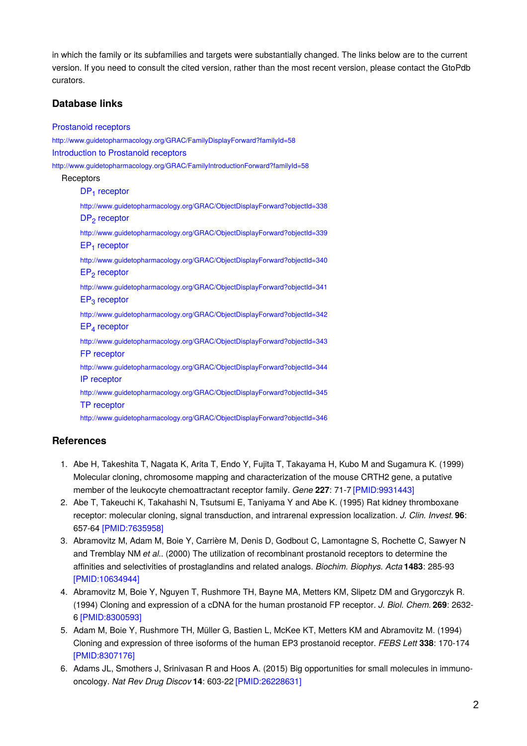in which the family or its subfamilies and targets were substantially changed. The links below are to the current version. If you need to consult the cited version, rather than the most recent version, please contact the GtoPdb curators.

## **Database links**

| <b>Prostanoid receptors</b>                                                                     |  |
|-------------------------------------------------------------------------------------------------|--|
| http://www.guidetopharmacology.org/GRAC/FamilyDisplayForward?familyId=58                        |  |
| Introduction to Prostanoid receptors                                                            |  |
| http://www.guidetopharmacology.org/GRAC/FamilyIntroductionForward?familyId=58                   |  |
| Receptors                                                                                       |  |
| $DP1$ receptor                                                                                  |  |
| http://www.guidetopharmacology.org/GRAC/ObjectDisplayForward?objectId=338<br>$DP2$ receptor     |  |
| http://www.guidetopharmacology.org/GRAC/ObjectDisplayForward?objectId=339<br>$EP1$ receptor     |  |
| http://www.guidetopharmacology.org/GRAC/ObjectDisplayForward?objectId=340<br>$EP_{2}$ receptor  |  |
| http://www.guidetopharmacology.org/GRAC/ObjectDisplayForward?objectId=341<br>$EP3$ receptor     |  |
| http://www.guidetopharmacology.org/GRAC/ObjectDisplayForward?objectId=342<br>$EP_4$ receptor    |  |
| http://www.guidetopharmacology.org/GRAC/ObjectDisplayForward?objectId=343<br>FP receptor        |  |
| http://www.guidetopharmacology.org/GRAC/ObjectDisplayForward?objectId=344<br>IP receptor        |  |
| http://www.guidetopharmacology.org/GRAC/ObjectDisplayForward?objectId=345<br><b>TP</b> receptor |  |
| http://www.guidetopharmacology.org/GRAC/ObjectDisplayForward?objectId=346                       |  |
|                                                                                                 |  |

### **References**

- 1. Abe H, Takeshita T, Nagata K, Arita T, Endo Y, Fujita T, Takayama H, Kubo M and Sugamura K. (1999) Molecular cloning, chromosome mapping and characterization of the mouse CRTH2 gene, a putative member of the leukocyte chemoattractant receptor family. *Gene* **227**: 71-7 [\[PMID:9931443\]](http://www.ncbi.nlm.nih.gov/pubmed/9931443?dopt=AbstractPlus)
- 2. Abe T, Takeuchi K, Takahashi N, Tsutsumi E, Taniyama Y and Abe K. (1995) Rat kidney thromboxane receptor: molecular cloning, signal transduction, and intrarenal expression localization. *J. Clin. Invest.* **96**: 657-64 [\[PMID:7635958\]](http://www.ncbi.nlm.nih.gov/pubmed/7635958?dopt=AbstractPlus)
- 3. Abramovitz M, Adam M, Boie Y, Carrière M, Denis D, Godbout C, Lamontagne S, Rochette C, Sawyer N and Tremblay NM *et al.*. (2000) The utilization of recombinant prostanoid receptors to determine the affinities and selectivities of prostaglandins and related analogs. *Biochim. Biophys. Acta* **1483**: 285-93 [\[PMID:10634944\]](http://www.ncbi.nlm.nih.gov/pubmed/10634944?dopt=AbstractPlus)
- 4. Abramovitz M, Boie Y, Nguyen T, Rushmore TH, Bayne MA, Metters KM, Slipetz DM and Grygorczyk R. (1994) Cloning and expression of a cDNA for the human prostanoid FP receptor. *J. Biol. Chem.* **269**: 2632- 6 [\[PMID:8300593\]](http://www.ncbi.nlm.nih.gov/pubmed/8300593?dopt=AbstractPlus)
- 5. Adam M, Boie Y, Rushmore TH, Müller G, Bastien L, McKee KT, Metters KM and Abramovitz M. (1994) Cloning and expression of three isoforms of the human EP3 prostanoid receptor. *FEBS Lett* **338**: 170-174 [\[PMID:8307176\]](http://www.ncbi.nlm.nih.gov/pubmed/8307176?dopt=AbstractPlus)
- 6. Adams JL, Smothers J, Srinivasan R and Hoos A. (2015) Big opportunities for small molecules in immunooncology. *Nat Rev Drug Discov* **14**: 603-22 [\[PMID:26228631\]](http://www.ncbi.nlm.nih.gov/pubmed/26228631?dopt=AbstractPlus)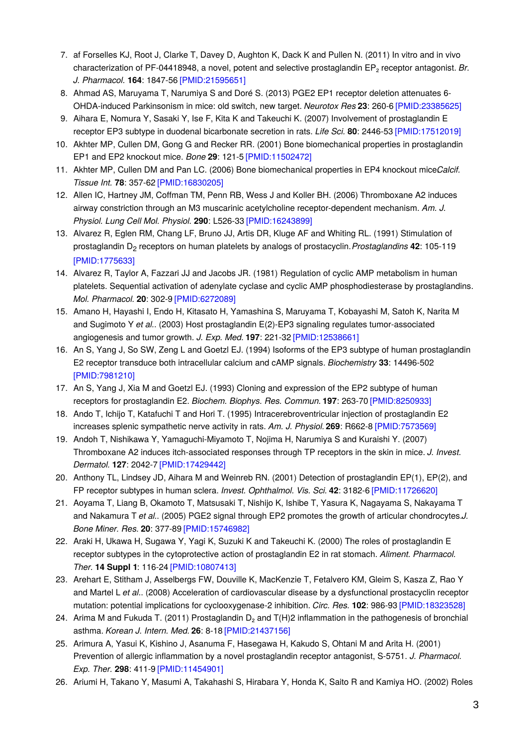- 7. af Forselles KJ, Root J, Clarke T, Davey D, Aughton K, Dack K and Pullen N. (2011) In vitro and in vivo characterization of PF-04418948, a novel, potent and selective prostaglandin EP₂ receptor antagonist. *Br. J. Pharmacol.* **164**: 1847-56 [\[PMID:21595651\]](http://www.ncbi.nlm.nih.gov/pubmed/21595651?dopt=AbstractPlus)
- 8. Ahmad AS, Maruyama T, Narumiya S and Doré S. (2013) PGE2 EP1 receptor deletion attenuates 6- OHDA-induced Parkinsonism in mice: old switch, new target. *Neurotox Res* **23**: 260-6 [\[PMID:23385625\]](http://www.ncbi.nlm.nih.gov/pubmed/23385625?dopt=AbstractPlus)
- 9. Aihara E, Nomura Y, Sasaki Y, Ise F, Kita K and Takeuchi K. (2007) Involvement of prostaglandin E receptor EP3 subtype in duodenal bicarbonate secretion in rats. *Life Sci.* **80**: 2446-53 [\[PMID:17512019\]](http://www.ncbi.nlm.nih.gov/pubmed/17512019?dopt=AbstractPlus)
- 10. Akhter MP, Cullen DM, Gong G and Recker RR. (2001) Bone biomechanical properties in prostaglandin EP1 and EP2 knockout mice. *Bone* **29**: 121-5 [\[PMID:11502472\]](http://www.ncbi.nlm.nih.gov/pubmed/11502472?dopt=AbstractPlus)
- 11. Akhter MP, Cullen DM and Pan LC. (2006) Bone biomechanical properties in EP4 knockout miceCalcif. *Tissue Int.* **78**: 357-62 [\[PMID:16830205\]](http://www.ncbi.nlm.nih.gov/pubmed/16830205?dopt=AbstractPlus)
- 12. Allen IC, Hartney JM, Coffman TM, Penn RB, Wess J and Koller BH. (2006) Thromboxane A2 induces airway constriction through an M3 muscarinic acetylcholine receptor-dependent mechanism. *Am. J. Physiol. Lung Cell Mol. Physiol.* **290**: L526-33 [\[PMID:16243899\]](http://www.ncbi.nlm.nih.gov/pubmed/16243899?dopt=AbstractPlus)
- 13. Alvarez R, Eglen RM, Chang LF, Bruno JJ, Artis DR, Kluge AF and Whiting RL. (1991) Stimulation of prostaglandin D<sub>2</sub> receptors on human platelets by analogs of prostacyclin. Prostaglandins 42: 105-119 [\[PMID:1775633\]](http://www.ncbi.nlm.nih.gov/pubmed/1775633?dopt=AbstractPlus)
- 14. Alvarez R, Taylor A, Fazzari JJ and Jacobs JR. (1981) Regulation of cyclic AMP metabolism in human platelets. Sequential activation of adenylate cyclase and cyclic AMP phosphodiesterase by prostaglandins. *Mol. Pharmacol.* **20**: 302-9 [\[PMID:6272089\]](http://www.ncbi.nlm.nih.gov/pubmed/6272089?dopt=AbstractPlus)
- 15. Amano H, Hayashi I, Endo H, Kitasato H, Yamashina S, Maruyama T, Kobayashi M, Satoh K, Narita M and Sugimoto Y *et al.*. (2003) Host prostaglandin E(2)-EP3 signaling regulates tumor-associated angiogenesis and tumor growth. *J. Exp. Med.* **197**: 221-32 [\[PMID:12538661\]](http://www.ncbi.nlm.nih.gov/pubmed/12538661?dopt=AbstractPlus)
- 16. An S, Yang J, So SW, Zeng L and Goetzl EJ. (1994) Isoforms of the EP3 subtype of human prostaglandin E2 receptor transduce both intracellular calcium and cAMP signals. *Biochemistry* **33**: 14496-502 [\[PMID:7981210\]](http://www.ncbi.nlm.nih.gov/pubmed/7981210?dopt=AbstractPlus)
- 17. An S, Yang J, Xia M and Goetzl EJ. (1993) Cloning and expression of the EP2 subtype of human receptors for prostaglandin E2. *Biochem. Biophys. Res. Commun.* **197**: 263-70 [\[PMID:8250933\]](http://www.ncbi.nlm.nih.gov/pubmed/8250933?dopt=AbstractPlus)
- 18. Ando T, Ichijo T, Katafuchi T and Hori T. (1995) Intracerebroventricular injection of prostaglandin E2 increases splenic sympathetic nerve activity in rats. *Am. J. Physiol.* **269**: R662-8 [\[PMID:7573569\]](http://www.ncbi.nlm.nih.gov/pubmed/7573569?dopt=AbstractPlus)
- 19. Andoh T, Nishikawa Y, Yamaguchi-Miyamoto T, Nojima H, Narumiya S and Kuraishi Y. (2007) Thromboxane A2 induces itch-associated responses through TP receptors in the skin in mice. *J. Invest. Dermatol.* **127**: 2042-7 [\[PMID:17429442\]](http://www.ncbi.nlm.nih.gov/pubmed/17429442?dopt=AbstractPlus)
- 20. Anthony TL, Lindsey JD, Aihara M and Weinreb RN. (2001) Detection of prostaglandin EP(1), EP(2), and FP receptor subtypes in human sclera. *Invest. Ophthalmol. Vis. Sci.* **42**: 3182-6 [\[PMID:11726620\]](http://www.ncbi.nlm.nih.gov/pubmed/11726620?dopt=AbstractPlus)
- 21. Aoyama T, Liang B, Okamoto T, Matsusaki T, Nishijo K, Ishibe T, Yasura K, Nagayama S, Nakayama T and Nakamura T *et al.*. (2005) PGE2 signal through EP2 promotes the growth of articular chondrocytes.*J. Bone Miner. Res.* **20**: 377-89 [\[PMID:15746982\]](http://www.ncbi.nlm.nih.gov/pubmed/15746982?dopt=AbstractPlus)
- 22. Araki H, Ukawa H, Sugawa Y, Yagi K, Suzuki K and Takeuchi K. (2000) The roles of prostaglandin E receptor subtypes in the cytoprotective action of prostaglandin E2 in rat stomach. *Aliment. Pharmacol. Ther.* **14 Suppl 1**: 116-24 [\[PMID:10807413\]](http://www.ncbi.nlm.nih.gov/pubmed/10807413?dopt=AbstractPlus)
- 23. Arehart E, Stitham J, Asselbergs FW, Douville K, MacKenzie T, Fetalvero KM, Gleim S, Kasza Z, Rao Y and Martel L *et al.*. (2008) Acceleration of cardiovascular disease by a dysfunctional prostacyclin receptor mutation: potential implications for cyclooxygenase-2 inhibition. *Circ. Res.* **102**: 986-93 [\[PMID:18323528\]](http://www.ncbi.nlm.nih.gov/pubmed/18323528?dopt=AbstractPlus)
- 24. Arima M and Fukuda T. (2011) Prostaglandin D<sub>2</sub> and T(H)2 inflammation in the pathogenesis of bronchial asthma. *Korean J. Intern. Med.* **26**: 8-18 [\[PMID:21437156\]](http://www.ncbi.nlm.nih.gov/pubmed/21437156?dopt=AbstractPlus)
- 25. Arimura A, Yasui K, Kishino J, Asanuma F, Hasegawa H, Kakudo S, Ohtani M and Arita H. (2001) Prevention of allergic inflammation by a novel prostaglandin receptor antagonist, S-5751. *J. Pharmacol. Exp. Ther.* **298**: 411-9 [\[PMID:11454901\]](http://www.ncbi.nlm.nih.gov/pubmed/11454901?dopt=AbstractPlus)
- 26. Ariumi H, Takano Y, Masumi A, Takahashi S, Hirabara Y, Honda K, Saito R and Kamiya HO. (2002) Roles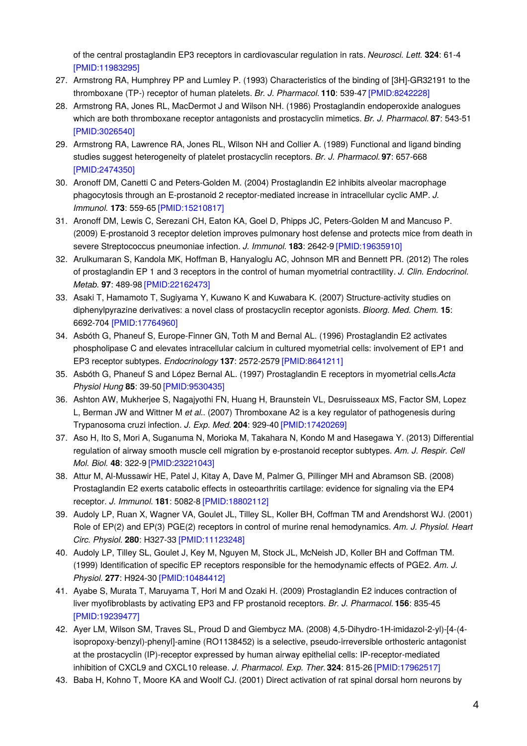of the central prostaglandin EP3 receptors in cardiovascular regulation in rats. *Neurosci. Lett.* **324**: 61-4 [\[PMID:11983295\]](http://www.ncbi.nlm.nih.gov/pubmed/11983295?dopt=AbstractPlus)

- 27. Armstrong RA, Humphrey PP and Lumley P. (1993) Characteristics of the binding of [3H]-GR32191 to the thromboxane (TP-) receptor of human platelets. *Br. J. Pharmacol.* **110**: 539-47 [\[PMID:8242228\]](http://www.ncbi.nlm.nih.gov/pubmed/8242228?dopt=AbstractPlus)
- 28. Armstrong RA, Jones RL, MacDermot J and Wilson NH. (1986) Prostaglandin endoperoxide analogues which are both thromboxane receptor antagonists and prostacyclin mimetics. *Br. J. Pharmacol.* **87**: 543-51 [\[PMID:3026540\]](http://www.ncbi.nlm.nih.gov/pubmed/3026540?dopt=AbstractPlus)
- 29. Armstrong RA, Lawrence RA, Jones RL, Wilson NH and Collier A. (1989) Functional and ligand binding studies suggest heterogeneity of platelet prostacyclin receptors. *Br. J. Pharmacol.* **97**: 657-668 [\[PMID:2474350\]](http://www.ncbi.nlm.nih.gov/pubmed/2474350?dopt=AbstractPlus)
- 30. Aronoff DM, Canetti C and Peters-Golden M. (2004) Prostaglandin E2 inhibits alveolar macrophage phagocytosis through an E-prostanoid 2 receptor-mediated increase in intracellular cyclic AMP. *J. Immunol.* **173**: 559-65 [\[PMID:15210817\]](http://www.ncbi.nlm.nih.gov/pubmed/15210817?dopt=AbstractPlus)
- 31. Aronoff DM, Lewis C, Serezani CH, Eaton KA, Goel D, Phipps JC, Peters-Golden M and Mancuso P. (2009) E-prostanoid 3 receptor deletion improves pulmonary host defense and protects mice from death in severe Streptococcus pneumoniae infection. *J. Immunol.* **183**: 2642-9 [\[PMID:19635910\]](http://www.ncbi.nlm.nih.gov/pubmed/19635910?dopt=AbstractPlus)
- 32. Arulkumaran S, Kandola MK, Hoffman B, Hanyaloglu AC, Johnson MR and Bennett PR. (2012) The roles of prostaglandin EP 1 and 3 receptors in the control of human myometrial contractility. *J. Clin. Endocrinol. Metab.* **97**: 489-98 [\[PMID:22162473\]](http://www.ncbi.nlm.nih.gov/pubmed/22162473?dopt=AbstractPlus)
- 33. Asaki T, Hamamoto T, Sugiyama Y, Kuwano K and Kuwabara K. (2007) Structure-activity studies on diphenylpyrazine derivatives: a novel class of prostacyclin receptor agonists. *Bioorg. Med. Chem.* **15**: 6692-704 [\[PMID:17764960\]](http://www.ncbi.nlm.nih.gov/pubmed/17764960?dopt=AbstractPlus)
- 34. Asbóth G, Phaneuf S, Europe-Finner GN, Toth M and Bernal AL. (1996) Prostaglandin E2 activates phospholipase C and elevates intracellular calcium in cultured myometrial cells: involvement of EP1 and EP3 receptor subtypes. *Endocrinology* **137**: 2572-2579 [\[PMID:8641211\]](http://www.ncbi.nlm.nih.gov/pubmed/8641211?dopt=AbstractPlus)
- 35. Asbóth G, Phaneuf S and López Bernal AL. (1997) Prostaglandin E receptors in myometrial cells.*Acta Physiol Hung* **85**: 39-50 [\[PMID:9530435\]](http://www.ncbi.nlm.nih.gov/pubmed/9530435?dopt=AbstractPlus)
- 36. Ashton AW, Mukherjee S, Nagajyothi FN, Huang H, Braunstein VL, Desruisseaux MS, Factor SM, Lopez L, Berman JW and Wittner M *et al.*. (2007) Thromboxane A2 is a key regulator of pathogenesis during Trypanosoma cruzi infection. *J. Exp. Med.* **204**: 929-40 [\[PMID:17420269\]](http://www.ncbi.nlm.nih.gov/pubmed/17420269?dopt=AbstractPlus)
- 37. Aso H, Ito S, Mori A, Suganuma N, Morioka M, Takahara N, Kondo M and Hasegawa Y. (2013) Differential regulation of airway smooth muscle cell migration by e-prostanoid receptor subtypes. *Am. J. Respir. Cell Mol. Biol.* **48**: 322-9 [\[PMID:23221043\]](http://www.ncbi.nlm.nih.gov/pubmed/23221043?dopt=AbstractPlus)
- 38. Attur M, Al-Mussawir HE, Patel J, Kitay A, Dave M, Palmer G, Pillinger MH and Abramson SB. (2008) Prostaglandin E2 exerts catabolic effects in osteoarthritis cartilage: evidence for signaling via the EP4 receptor. *J. Immunol.* **181**: 5082-8 [\[PMID:18802112\]](http://www.ncbi.nlm.nih.gov/pubmed/18802112?dopt=AbstractPlus)
- 39. Audoly LP, Ruan X, Wagner VA, Goulet JL, Tilley SL, Koller BH, Coffman TM and Arendshorst WJ. (2001) Role of EP(2) and EP(3) PGE(2) receptors in control of murine renal hemodynamics. *Am. J. Physiol. Heart Circ. Physiol.* **280**: H327-33 [\[PMID:11123248\]](http://www.ncbi.nlm.nih.gov/pubmed/11123248?dopt=AbstractPlus)
- 40. Audoly LP, Tilley SL, Goulet J, Key M, Nguyen M, Stock JL, McNeish JD, Koller BH and Coffman TM. (1999) Identification of specific EP receptors responsible for the hemodynamic effects of PGE2. *Am. J. Physiol.* **277**: H924-30 [\[PMID:10484412\]](http://www.ncbi.nlm.nih.gov/pubmed/10484412?dopt=AbstractPlus)
- 41. Ayabe S, Murata T, Maruyama T, Hori M and Ozaki H. (2009) Prostaglandin E2 induces contraction of liver myofibroblasts by activating EP3 and FP prostanoid receptors. *Br. J. Pharmacol.* **156**: 835-45 [\[PMID:19239477\]](http://www.ncbi.nlm.nih.gov/pubmed/19239477?dopt=AbstractPlus)
- 42. Ayer LM, Wilson SM, Traves SL, Proud D and Giembycz MA. (2008) 4,5-Dihydro-1H-imidazol-2-yl)-[4-(4 isopropoxy-benzyl)-phenyl]-amine (RO1138452) is a selective, pseudo-irreversible orthosteric antagonist at the prostacyclin (IP)-receptor expressed by human airway epithelial cells: IP-receptor-mediated inhibition of CXCL9 and CXCL10 release. *J. Pharmacol. Exp. Ther.***324**: 815-26 [\[PMID:17962517\]](http://www.ncbi.nlm.nih.gov/pubmed/17962517?dopt=AbstractPlus)
- 43. Baba H, Kohno T, Moore KA and Woolf CJ. (2001) Direct activation of rat spinal dorsal horn neurons by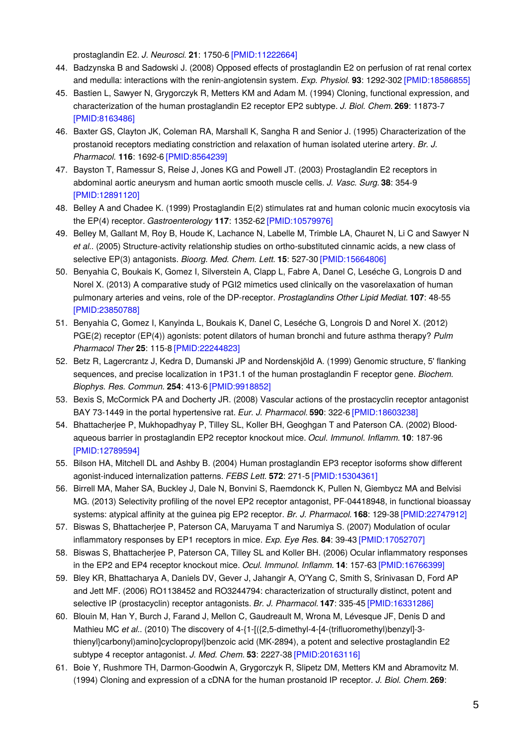prostaglandin E2. *J. Neurosci.* **21**: 1750-6 [\[PMID:11222664\]](http://www.ncbi.nlm.nih.gov/pubmed/11222664?dopt=AbstractPlus)

- 44. Badzynska B and Sadowski J. (2008) Opposed effects of prostaglandin E2 on perfusion of rat renal cortex and medulla: interactions with the renin-angiotensin system. *Exp. Physiol.* **93**: 1292-302 [\[PMID:18586855\]](http://www.ncbi.nlm.nih.gov/pubmed/18586855?dopt=AbstractPlus)
- 45. Bastien L, Sawyer N, Grygorczyk R, Metters KM and Adam M. (1994) Cloning, functional expression, and characterization of the human prostaglandin E2 receptor EP2 subtype. *J. Biol. Chem.* **269**: 11873-7 [\[PMID:8163486\]](http://www.ncbi.nlm.nih.gov/pubmed/8163486?dopt=AbstractPlus)
- 46. Baxter GS, Clayton JK, Coleman RA, Marshall K, Sangha R and Senior J. (1995) Characterization of the prostanoid receptors mediating constriction and relaxation of human isolated uterine artery. *Br. J. Pharmacol.* **116**: 1692-6 [\[PMID:8564239\]](http://www.ncbi.nlm.nih.gov/pubmed/8564239?dopt=AbstractPlus)
- 47. Bayston T, Ramessur S, Reise J, Jones KG and Powell JT. (2003) Prostaglandin E2 receptors in abdominal aortic aneurysm and human aortic smooth muscle cells. *J. Vasc. Surg.* **38**: 354-9 [\[PMID:12891120\]](http://www.ncbi.nlm.nih.gov/pubmed/12891120?dopt=AbstractPlus)
- 48. Belley A and Chadee K. (1999) Prostaglandin E(2) stimulates rat and human colonic mucin exocytosis via the EP(4) receptor. *Gastroenterology* **117**: 1352-62 [\[PMID:10579976\]](http://www.ncbi.nlm.nih.gov/pubmed/10579976?dopt=AbstractPlus)
- 49. Belley M, Gallant M, Roy B, Houde K, Lachance N, Labelle M, Trimble LA, Chauret N, Li C and Sawyer N *et al.*. (2005) Structure-activity relationship studies on ortho-substituted cinnamic acids, a new class of selective EP(3) antagonists. *Bioorg. Med. Chem. Lett.* **15**: 527-30 [\[PMID:15664806\]](http://www.ncbi.nlm.nih.gov/pubmed/15664806?dopt=AbstractPlus)
- 50. Benyahia C, Boukais K, Gomez I, Silverstein A, Clapp L, Fabre A, Danel C, Leséche G, Longrois D and Norel X. (2013) A comparative study of PGI2 mimetics used clinically on the vasorelaxation of human pulmonary arteries and veins, role of the DP-receptor. *Prostaglandins Other Lipid Mediat.* **107**: 48-55 [\[PMID:23850788\]](http://www.ncbi.nlm.nih.gov/pubmed/23850788?dopt=AbstractPlus)
- 51. Benyahia C, Gomez I, Kanyinda L, Boukais K, Danel C, Leséche G, Longrois D and Norel X. (2012) PGE(2) receptor (EP(4)) agonists: potent dilators of human bronchi and future asthma therapy? *Pulm Pharmacol Ther* **25**: 115-8 [\[PMID:22244823\]](http://www.ncbi.nlm.nih.gov/pubmed/22244823?dopt=AbstractPlus)
- 52. Betz R, Lagercrantz J, Kedra D, Dumanski JP and Nordenskjöld A. (1999) Genomic structure, 5' flanking sequences, and precise localization in 1P31.1 of the human prostaglandin F receptor gene. *Biochem. Biophys. Res. Commun.* **254**: 413-6 [\[PMID:9918852\]](http://www.ncbi.nlm.nih.gov/pubmed/9918852?dopt=AbstractPlus)
- 53. Bexis S, McCormick PA and Docherty JR. (2008) Vascular actions of the prostacyclin receptor antagonist BAY 73-1449 in the portal hypertensive rat. *Eur. J. Pharmacol.* **590**: 322-6 [\[PMID:18603238\]](http://www.ncbi.nlm.nih.gov/pubmed/18603238?dopt=AbstractPlus)
- 54. Bhattacherjee P, Mukhopadhyay P, Tilley SL, Koller BH, Geoghgan T and Paterson CA. (2002) Bloodaqueous barrier in prostaglandin EP2 receptor knockout mice. *Ocul. Immunol. Inflamm.* **10**: 187-96 [\[PMID:12789594\]](http://www.ncbi.nlm.nih.gov/pubmed/12789594?dopt=AbstractPlus)
- 55. Bilson HA, Mitchell DL and Ashby B. (2004) Human prostaglandin EP3 receptor isoforms show different agonist-induced internalization patterns. *FEBS Lett.* **572**: 271-5 [\[PMID:15304361\]](http://www.ncbi.nlm.nih.gov/pubmed/15304361?dopt=AbstractPlus)
- 56. Birrell MA, Maher SA, Buckley J, Dale N, Bonvini S, Raemdonck K, Pullen N, Giembycz MA and Belvisi MG. (2013) Selectivity profiling of the novel EP2 receptor antagonist, PF-04418948, in functional bioassay systems: atypical affinity at the guinea pig EP2 receptor. *Br. J. Pharmacol.* **168**: 129-38 [\[PMID:22747912\]](http://www.ncbi.nlm.nih.gov/pubmed/22747912?dopt=AbstractPlus)
- 57. Biswas S, Bhattacherjee P, Paterson CA, Maruyama T and Narumiya S. (2007) Modulation of ocular inflammatory responses by EP1 receptors in mice. *Exp. Eye Res.* **84**: 39-43 [\[PMID:17052707\]](http://www.ncbi.nlm.nih.gov/pubmed/17052707?dopt=AbstractPlus)
- 58. Biswas S, Bhattacherjee P, Paterson CA, Tilley SL and Koller BH. (2006) Ocular inflammatory responses in the EP2 and EP4 receptor knockout mice. *Ocul. Immunol. Inflamm.* **14**: 157-63 [\[PMID:16766399\]](http://www.ncbi.nlm.nih.gov/pubmed/16766399?dopt=AbstractPlus)
- 59. Bley KR, Bhattacharya A, Daniels DV, Gever J, Jahangir A, O'Yang C, Smith S, Srinivasan D, Ford AP and Jett MF. (2006) RO1138452 and RO3244794: characterization of structurally distinct, potent and selective IP (prostacyclin) receptor antagonists. *Br. J. Pharmacol.* **147**: 335-45 [\[PMID:16331286\]](http://www.ncbi.nlm.nih.gov/pubmed/16331286?dopt=AbstractPlus)
- 60. Blouin M, Han Y, Burch J, Farand J, Mellon C, Gaudreault M, Wrona M, Lévesque JF, Denis D and Mathieu MC *et al.*. (2010) The discovery of 4-{1-[({2,5-dimethyl-4-[4-(trifluoromethyl)benzyl]-3 thienyl}carbonyl)amino]cyclopropyl}benzoic acid (MK-2894), a potent and selective prostaglandin E2 subtype 4 receptor antagonist. *J. Med. Chem.* **53**: 2227-38 [\[PMID:20163116\]](http://www.ncbi.nlm.nih.gov/pubmed/20163116?dopt=AbstractPlus)
- 61. Boie Y, Rushmore TH, Darmon-Goodwin A, Grygorczyk R, Slipetz DM, Metters KM and Abramovitz M. (1994) Cloning and expression of a cDNA for the human prostanoid IP receptor. *J. Biol. Chem.* **269**: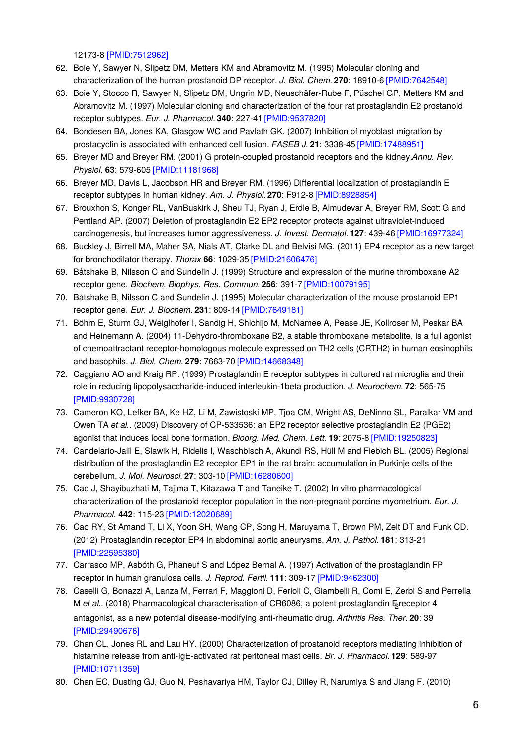12173-8 [\[PMID:7512962\]](http://www.ncbi.nlm.nih.gov/pubmed/7512962?dopt=AbstractPlus)

- 62. Boie Y, Sawyer N, Slipetz DM, Metters KM and Abramovitz M. (1995) Molecular cloning and characterization of the human prostanoid DP receptor. *J. Biol. Chem.* **270**: 18910-6 [\[PMID:7642548\]](http://www.ncbi.nlm.nih.gov/pubmed/7642548?dopt=AbstractPlus)
- 63. Boie Y, Stocco R, Sawyer N, Slipetz DM, Ungrin MD, Neuschäfer-Rube F, Püschel GP, Metters KM and Abramovitz M. (1997) Molecular cloning and characterization of the four rat prostaglandin E2 prostanoid receptor subtypes. *Eur. J. Pharmacol.* **340**: 227-41 [\[PMID:9537820\]](http://www.ncbi.nlm.nih.gov/pubmed/9537820?dopt=AbstractPlus)
- 64. Bondesen BA, Jones KA, Glasgow WC and Pavlath GK. (2007) Inhibition of myoblast migration by prostacyclin is associated with enhanced cell fusion. *FASEB J.* **21**: 3338-45 [\[PMID:17488951\]](http://www.ncbi.nlm.nih.gov/pubmed/17488951?dopt=AbstractPlus)
- 65. Breyer MD and Breyer RM. (2001) G protein-coupled prostanoid receptors and the kidney.*Annu. Rev. Physiol.* **63**: 579-605 [\[PMID:11181968\]](http://www.ncbi.nlm.nih.gov/pubmed/11181968?dopt=AbstractPlus)
- 66. Breyer MD, Davis L, Jacobson HR and Breyer RM. (1996) Differential localization of prostaglandin E receptor subtypes in human kidney. *Am. J. Physiol.* **270**: F912-8 [\[PMID:8928854\]](http://www.ncbi.nlm.nih.gov/pubmed/8928854?dopt=AbstractPlus)
- 67. Brouxhon S, Konger RL, VanBuskirk J, Sheu TJ, Ryan J, Erdle B, Almudevar A, Breyer RM, Scott G and Pentland AP. (2007) Deletion of prostaglandin E2 EP2 receptor protects against ultraviolet-induced carcinogenesis, but increases tumor aggressiveness. *J. Invest. Dermatol.* **127**: 439-46 [\[PMID:16977324\]](http://www.ncbi.nlm.nih.gov/pubmed/16977324?dopt=AbstractPlus)
- 68. Buckley J, Birrell MA, Maher SA, Nials AT, Clarke DL and Belvisi MG. (2011) EP4 receptor as a new target for bronchodilator therapy. *Thorax* **66**: 1029-35 [\[PMID:21606476\]](http://www.ncbi.nlm.nih.gov/pubmed/21606476?dopt=AbstractPlus)
- 69. Båtshake B, Nilsson C and Sundelin J. (1999) Structure and expression of the murine thromboxane A2 receptor gene. *Biochem. Biophys. Res. Commun.* **256**: 391-7 [\[PMID:10079195\]](http://www.ncbi.nlm.nih.gov/pubmed/10079195?dopt=AbstractPlus)
- 70. Båtshake B, Nilsson C and Sundelin J. (1995) Molecular characterization of the mouse prostanoid EP1 receptor gene. *Eur. J. Biochem.* **231**: 809-14 [\[PMID:7649181\]](http://www.ncbi.nlm.nih.gov/pubmed/7649181?dopt=AbstractPlus)
- 71. Böhm E, Sturm GJ, Weiglhofer I, Sandig H, Shichijo M, McNamee A, Pease JE, Kollroser M, Peskar BA and Heinemann A. (2004) 11-Dehydro-thromboxane B2, a stable thromboxane metabolite, is a full agonist of chemoattractant receptor-homologous molecule expressed on TH2 cells (CRTH2) in human eosinophils and basophils. *J. Biol. Chem.* **279**: 7663-70 [\[PMID:14668348\]](http://www.ncbi.nlm.nih.gov/pubmed/14668348?dopt=AbstractPlus)
- 72. Caggiano AO and Kraig RP. (1999) Prostaglandin E receptor subtypes in cultured rat microglia and their role in reducing lipopolysaccharide-induced interleukin-1beta production. *J. Neurochem.* **72**: 565-75 [\[PMID:9930728\]](http://www.ncbi.nlm.nih.gov/pubmed/9930728?dopt=AbstractPlus)
- 73. Cameron KO, Lefker BA, Ke HZ, Li M, Zawistoski MP, Tjoa CM, Wright AS, DeNinno SL, Paralkar VM and Owen TA *et al.*. (2009) Discovery of CP-533536: an EP2 receptor selective prostaglandin E2 (PGE2) agonist that induces local bone formation. *Bioorg. Med. Chem. Lett.* **19**: 2075-8 [\[PMID:19250823\]](http://www.ncbi.nlm.nih.gov/pubmed/19250823?dopt=AbstractPlus)
- 74. Candelario-Jalil E, Slawik H, Ridelis I, Waschbisch A, Akundi RS, Hüll M and Fiebich BL. (2005) Regional distribution of the prostaglandin E2 receptor EP1 in the rat brain: accumulation in Purkinje cells of the cerebellum. *J. Mol. Neurosci.* **27**: 303-10 [\[PMID:16280600\]](http://www.ncbi.nlm.nih.gov/pubmed/16280600?dopt=AbstractPlus)
- 75. Cao J, Shayibuzhati M, Tajima T, Kitazawa T and Taneike T. (2002) In vitro pharmacological characterization of the prostanoid receptor population in the non-pregnant porcine myometrium. *Eur. J. Pharmacol.* **442**: 115-23 [\[PMID:12020689\]](http://www.ncbi.nlm.nih.gov/pubmed/12020689?dopt=AbstractPlus)
- 76. Cao RY, St Amand T, Li X, Yoon SH, Wang CP, Song H, Maruyama T, Brown PM, Zelt DT and Funk CD. (2012) Prostaglandin receptor EP4 in abdominal aortic aneurysms. *Am. J. Pathol.* **181**: 313-21 [\[PMID:22595380\]](http://www.ncbi.nlm.nih.gov/pubmed/22595380?dopt=AbstractPlus)
- 77. Carrasco MP, Asbóth G, Phaneuf S and López Bernal A. (1997) Activation of the prostaglandin FP receptor in human granulosa cells. *J. Reprod. Fertil.* **111**: 309-17 [\[PMID:9462300\]](http://www.ncbi.nlm.nih.gov/pubmed/9462300?dopt=AbstractPlus)
- 78. Caselli G, Bonazzi A, Lanza M, Ferrari F, Maggioni D, Ferioli C, Giambelli R, Comi E, Zerbi S and Perrella M et al.. (2018) Pharmacological characterisation of CR6086, a potent prostaglandin Execeptor 4 antagonist, as a new potential disease-modifying anti-rheumatic drug. *Arthritis Res. Ther.* **20**: 39 [\[PMID:29490676\]](http://www.ncbi.nlm.nih.gov/pubmed/29490676?dopt=AbstractPlus)
- 79. Chan CL, Jones RL and Lau HY. (2000) Characterization of prostanoid receptors mediating inhibition of histamine release from anti-IgE-activated rat peritoneal mast cells. *Br. J. Pharmacol.* **129**: 589-97 [\[PMID:10711359\]](http://www.ncbi.nlm.nih.gov/pubmed/10711359?dopt=AbstractPlus)
- 80. Chan EC, Dusting GJ, Guo N, Peshavariya HM, Taylor CJ, Dilley R, Narumiya S and Jiang F. (2010)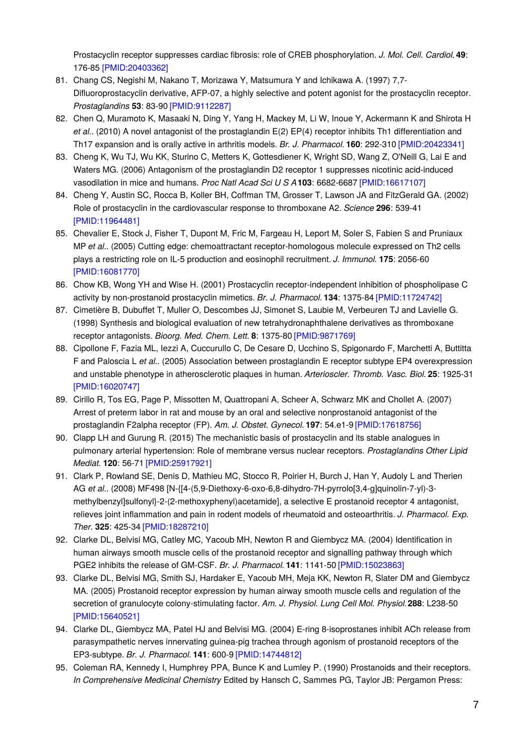Prostacyclin receptor suppresses cardiac fibrosis: role of CREB phosphorylation. *J. Mol. Cell. Cardiol.***49**: 176-85 [\[PMID:20403362\]](http://www.ncbi.nlm.nih.gov/pubmed/20403362?dopt=AbstractPlus)

- 81. Chang CS, Negishi M, Nakano T, Morizawa Y, Matsumura Y and Ichikawa A. (1997) 7,7- Difluoroprostacyclin derivative, AFP-07, a highly selective and potent agonist for the prostacyclin receptor. *Prostaglandins* **53**: 83-90 [\[PMID:9112287\]](http://www.ncbi.nlm.nih.gov/pubmed/9112287?dopt=AbstractPlus)
- 82. Chen Q, Muramoto K, Masaaki N, Ding Y, Yang H, Mackey M, Li W, Inoue Y, Ackermann K and Shirota H *et al.*. (2010) A novel antagonist of the prostaglandin E(2) EP(4) receptor inhibits Th1 differentiation and Th17 expansion and is orally active in arthritis models. *Br. J. Pharmacol.* **160**: 292-310 [\[PMID:20423341\]](http://www.ncbi.nlm.nih.gov/pubmed/20423341?dopt=AbstractPlus)
- 83. Cheng K, Wu TJ, Wu KK, Sturino C, Metters K, Gottesdiener K, Wright SD, Wang Z, O'Neill G, Lai E and Waters MG. (2006) Antagonism of the prostaglandin D2 receptor 1 suppresses nicotinic acid-induced vasodilation in mice and humans. *Proc Natl Acad Sci U S A***103**: 6682-6687 [\[PMID:16617107\]](http://www.ncbi.nlm.nih.gov/pubmed/16617107?dopt=AbstractPlus)
- 84. Cheng Y, Austin SC, Rocca B, Koller BH, Coffman TM, Grosser T, Lawson JA and FitzGerald GA. (2002) Role of prostacyclin in the cardiovascular response to thromboxane A2. *Science* **296**: 539-41 [\[PMID:11964481\]](http://www.ncbi.nlm.nih.gov/pubmed/11964481?dopt=AbstractPlus)
- 85. Chevalier E, Stock J, Fisher T, Dupont M, Fric M, Fargeau H, Leport M, Soler S, Fabien S and Pruniaux MP *et al.*. (2005) Cutting edge: chemoattractant receptor-homologous molecule expressed on Th2 cells plays a restricting role on IL-5 production and eosinophil recruitment. *J. Immunol.* **175**: 2056-60 [\[PMID:16081770\]](http://www.ncbi.nlm.nih.gov/pubmed/16081770?dopt=AbstractPlus)
- 86. Chow KB, Wong YH and Wise H. (2001) Prostacyclin receptor-independent inhibition of phospholipase C activity by non-prostanoid prostacyclin mimetics. *Br. J. Pharmacol.* **134**: 1375-84 [\[PMID:11724742\]](http://www.ncbi.nlm.nih.gov/pubmed/11724742?dopt=AbstractPlus)
- 87. Cimetière B, Dubuffet T, Muller O, Descombes JJ, Simonet S, Laubie M, Verbeuren TJ and Lavielle G. (1998) Synthesis and biological evaluation of new tetrahydronaphthalene derivatives as thromboxane receptor antagonists. *Bioorg. Med. Chem. Lett.* **8**: 1375-80 [\[PMID:9871769\]](http://www.ncbi.nlm.nih.gov/pubmed/9871769?dopt=AbstractPlus)
- 88. Cipollone F, Fazia ML, Iezzi A, Cuccurullo C, De Cesare D, Ucchino S, Spigonardo F, Marchetti A, Buttitta F and Paloscia L *et al.*. (2005) Association between prostaglandin E receptor subtype EP4 overexpression and unstable phenotype in atherosclerotic plaques in human. *Arterioscler. Thromb. Vasc. Biol.* **25**: 1925-31 [\[PMID:16020747\]](http://www.ncbi.nlm.nih.gov/pubmed/16020747?dopt=AbstractPlus)
- 89. Cirillo R, Tos EG, Page P, Missotten M, Quattropani A, Scheer A, Schwarz MK and Chollet A. (2007) Arrest of preterm labor in rat and mouse by an oral and selective nonprostanoid antagonist of the prostaglandin F2alpha receptor (FP). *Am. J. Obstet. Gynecol.* **197**: 54.e1-9 [\[PMID:17618756\]](http://www.ncbi.nlm.nih.gov/pubmed/17618756?dopt=AbstractPlus)
- 90. Clapp LH and Gurung R. (2015) The mechanistic basis of prostacyclin and its stable analogues in pulmonary arterial hypertension: Role of membrane versus nuclear receptors. *Prostaglandins Other Lipid Mediat.* **120**: 56-71 [\[PMID:25917921\]](http://www.ncbi.nlm.nih.gov/pubmed/25917921?dopt=AbstractPlus)
- 91. Clark P, Rowland SE, Denis D, Mathieu MC, Stocco R, Poirier H, Burch J, Han Y, Audoly L and Therien AG *et al.*. (2008) MF498 [N-{[4-(5,9-Diethoxy-6-oxo-6,8-dihydro-7H-pyrrolo[3,4-g]quinolin-7-yl)-3 methylbenzyl]sulfonyl}-2-(2-methoxyphenyl)acetamide], a selective E prostanoid receptor 4 antagonist, relieves joint inflammation and pain in rodent models of rheumatoid and osteoarthritis. *J. Pharmacol. Exp. Ther.* **325**: 425-34 [\[PMID:18287210\]](http://www.ncbi.nlm.nih.gov/pubmed/18287210?dopt=AbstractPlus)
- 92. Clarke DL, Belvisi MG, Catley MC, Yacoub MH, Newton R and Giembycz MA. (2004) Identification in human airways smooth muscle cells of the prostanoid receptor and signalling pathway through which PGE2 inhibits the release of GM-CSF. *Br. J. Pharmacol.* **141**: 1141-50 [\[PMID:15023863\]](http://www.ncbi.nlm.nih.gov/pubmed/15023863?dopt=AbstractPlus)
- 93. Clarke DL, Belvisi MG, Smith SJ, Hardaker E, Yacoub MH, Meja KK, Newton R, Slater DM and Giembycz MA. (2005) Prostanoid receptor expression by human airway smooth muscle cells and regulation of the secretion of granulocyte colony-stimulating factor. *Am. J. Physiol. Lung Cell Mol. Physiol.***288**: L238-50 [\[PMID:15640521\]](http://www.ncbi.nlm.nih.gov/pubmed/15640521?dopt=AbstractPlus)
- 94. Clarke DL, Giembycz MA, Patel HJ and Belvisi MG. (2004) E-ring 8-isoprostanes inhibit ACh release from parasympathetic nerves innervating guinea-pig trachea through agonism of prostanoid receptors of the EP3-subtype. *Br. J. Pharmacol.* **141**: 600-9 [\[PMID:14744812\]](http://www.ncbi.nlm.nih.gov/pubmed/14744812?dopt=AbstractPlus)
- 95. Coleman RA, Kennedy I, Humphrey PPA, Bunce K and Lumley P. (1990) Prostanoids and their receptors. *In Comprehensive Medicinal Chemistry* Edited by Hansch C, Sammes PG, Taylor JB: Pergamon Press: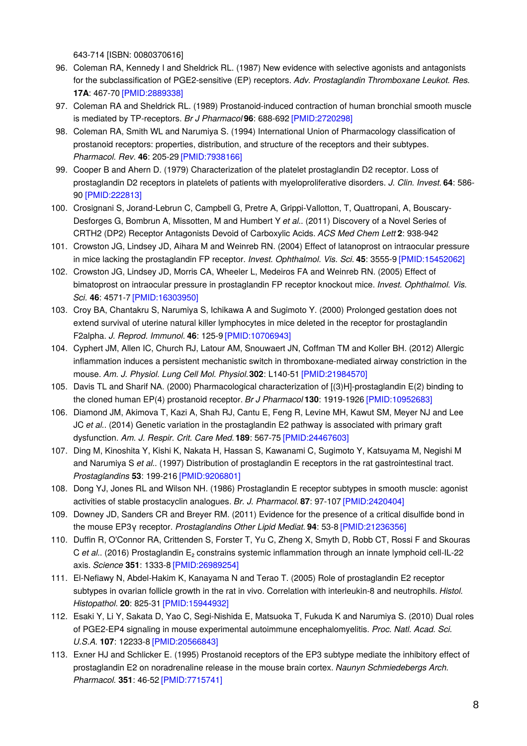643-714 [ISBN: 0080370616]

- 96. Coleman RA, Kennedy I and Sheldrick RL. (1987) New evidence with selective agonists and antagonists for the subclassification of PGE2-sensitive (EP) receptors. *Adv. Prostaglandin Thromboxane Leukot. Res.* **17A**: 467-70 [\[PMID:2889338\]](http://www.ncbi.nlm.nih.gov/pubmed/2889338?dopt=AbstractPlus)
- 97. Coleman RA and Sheldrick RL. (1989) Prostanoid-induced contraction of human bronchial smooth muscle is mediated by TP-receptors. *Br J Pharmacol* **96**: 688-692 [\[PMID:2720298\]](http://www.ncbi.nlm.nih.gov/pubmed/2720298?dopt=AbstractPlus)
- 98. Coleman RA, Smith WL and Narumiya S. (1994) International Union of Pharmacology classification of prostanoid receptors: properties, distribution, and structure of the receptors and their subtypes. *Pharmacol. Rev.* **46**: 205-29 [\[PMID:7938166\]](http://www.ncbi.nlm.nih.gov/pubmed/7938166?dopt=AbstractPlus)
- 99. Cooper B and Ahern D. (1979) Characterization of the platelet prostaglandin D2 receptor. Loss of prostaglandin D2 receptors in platelets of patients with myeloproliferative disorders. *J. Clin. Invest.* **64**: 586- 90 [\[PMID:222813\]](http://www.ncbi.nlm.nih.gov/pubmed/222813?dopt=AbstractPlus)
- 100. Crosignani S, Jorand-Lebrun C, Campbell G, Pretre A, Grippi-Vallotton, T, Quattropani, A, Bouscary-Desforges G, Bombrun A, Missotten, M and Humbert Y *et al.*. (2011) Discovery of a Novel Series of CRTH2 (DP2) Receptor Antagonists Devoid of Carboxylic Acids. *ACS Med Chem Lett* **2**: 938-942
- 101. Crowston JG, Lindsey JD, Aihara M and Weinreb RN. (2004) Effect of latanoprost on intraocular pressure in mice lacking the prostaglandin FP receptor. *Invest. Ophthalmol. Vis. Sci.* **45**: 3555-9 [\[PMID:15452062\]](http://www.ncbi.nlm.nih.gov/pubmed/15452062?dopt=AbstractPlus)
- 102. Crowston JG, Lindsey JD, Morris CA, Wheeler L, Medeiros FA and Weinreb RN. (2005) Effect of bimatoprost on intraocular pressure in prostaglandin FP receptor knockout mice. *Invest. Ophthalmol. Vis. Sci.* **46**: 4571-7 [\[PMID:16303950\]](http://www.ncbi.nlm.nih.gov/pubmed/16303950?dopt=AbstractPlus)
- 103. Croy BA, Chantakru S, Narumiya S, Ichikawa A and Sugimoto Y. (2000) Prolonged gestation does not extend survival of uterine natural killer lymphocytes in mice deleted in the receptor for prostaglandin F2alpha. *J. Reprod. Immunol.* **46**: 125-9 [\[PMID:10706943\]](http://www.ncbi.nlm.nih.gov/pubmed/10706943?dopt=AbstractPlus)
- 104. Cyphert JM, Allen IC, Church RJ, Latour AM, Snouwaert JN, Coffman TM and Koller BH. (2012) Allergic inflammation induces a persistent mechanistic switch in thromboxane-mediated airway constriction in the mouse. *Am. J. Physiol. Lung Cell Mol. Physiol.***302**: L140-51 [\[PMID:21984570\]](http://www.ncbi.nlm.nih.gov/pubmed/21984570?dopt=AbstractPlus)
- 105. Davis TL and Sharif NA. (2000) Pharmacological characterization of [(3)H]-prostaglandin E(2) binding to the cloned human EP(4) prostanoid receptor. *Br J Pharmacol* **130**: 1919-1926 [\[PMID:10952683\]](http://www.ncbi.nlm.nih.gov/pubmed/10952683?dopt=AbstractPlus)
- 106. Diamond JM, Akimova T, Kazi A, Shah RJ, Cantu E, Feng R, Levine MH, Kawut SM, Meyer NJ and Lee JC *et al.*. (2014) Genetic variation in the prostaglandin E2 pathway is associated with primary graft dysfunction. *Am. J. Respir. Crit. Care Med.***189**: 567-75 [\[PMID:24467603\]](http://www.ncbi.nlm.nih.gov/pubmed/24467603?dopt=AbstractPlus)
- 107. Ding M, Kinoshita Y, Kishi K, Nakata H, Hassan S, Kawanami C, Sugimoto Y, Katsuyama M, Negishi M and Narumiya S *et al.*. (1997) Distribution of prostaglandin E receptors in the rat gastrointestinal tract. *Prostaglandins* **53**: 199-216 [\[PMID:9206801\]](http://www.ncbi.nlm.nih.gov/pubmed/9206801?dopt=AbstractPlus)
- 108. Dong YJ, Jones RL and Wilson NH. (1986) Prostaglandin E receptor subtypes in smooth muscle: agonist activities of stable prostacyclin analogues. *Br. J. Pharmacol.* **87**: 97-107 [\[PMID:2420404\]](http://www.ncbi.nlm.nih.gov/pubmed/2420404?dopt=AbstractPlus)
- 109. Downey JD, Sanders CR and Breyer RM. (2011) Evidence for the presence of a critical disulfide bond in the mouse EP3γ receptor. *Prostaglandins Other Lipid Mediat.* **94**: 53-8 [\[PMID:21236356\]](http://www.ncbi.nlm.nih.gov/pubmed/21236356?dopt=AbstractPlus)
- 110. Duffin R, O'Connor RA, Crittenden S, Forster T, Yu C, Zheng X, Smyth D, Robb CT, Rossi F and Skouras C *et al.*. (2016) Prostaglandin E₂ constrains systemic inflammation through an innate lymphoid cell-IL-22 axis. *Science* **351**: 1333-8 [\[PMID:26989254\]](http://www.ncbi.nlm.nih.gov/pubmed/26989254?dopt=AbstractPlus)
- 111. El-Nefiawy N, Abdel-Hakim K, Kanayama N and Terao T. (2005) Role of prostaglandin E2 receptor subtypes in ovarian follicle growth in the rat in vivo. Correlation with interleukin-8 and neutrophils. *Histol. Histopathol.* **20**: 825-31 [\[PMID:15944932\]](http://www.ncbi.nlm.nih.gov/pubmed/15944932?dopt=AbstractPlus)
- 112. Esaki Y, Li Y, Sakata D, Yao C, Segi-Nishida E, Matsuoka T, Fukuda K and Narumiya S. (2010) Dual roles of PGE2-EP4 signaling in mouse experimental autoimmune encephalomyelitis. *Proc. Natl. Acad. Sci. U.S.A.* **107**: 12233-8 [\[PMID:20566843\]](http://www.ncbi.nlm.nih.gov/pubmed/20566843?dopt=AbstractPlus)
- 113. Exner HJ and Schlicker E. (1995) Prostanoid receptors of the EP3 subtype mediate the inhibitory effect of prostaglandin E2 on noradrenaline release in the mouse brain cortex. *Naunyn Schmiedebergs Arch. Pharmacol.* **351**: 46-52 [\[PMID:7715741\]](http://www.ncbi.nlm.nih.gov/pubmed/7715741?dopt=AbstractPlus)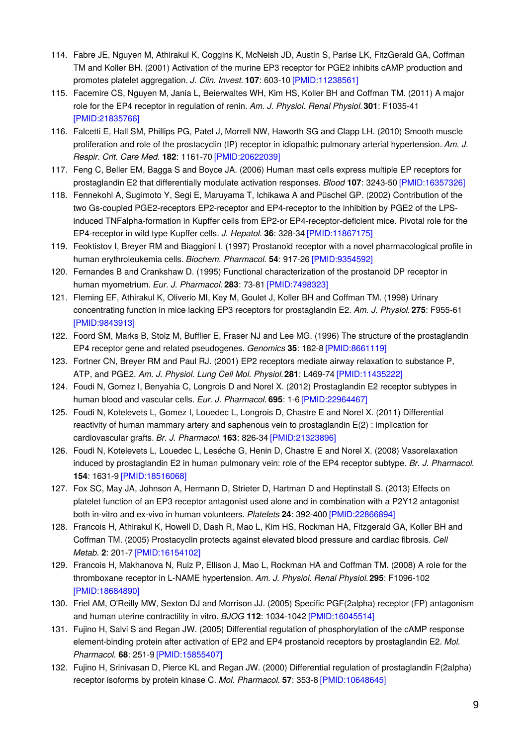- 114. Fabre JE, Nguyen M, Athirakul K, Coggins K, McNeish JD, Austin S, Parise LK, FitzGerald GA, Coffman TM and Koller BH. (2001) Activation of the murine EP3 receptor for PGE2 inhibits cAMP production and promotes platelet aggregation. *J. Clin. Invest.* **107**: 603-10 [\[PMID:11238561\]](http://www.ncbi.nlm.nih.gov/pubmed/11238561?dopt=AbstractPlus)
- 115. Facemire CS, Nguyen M, Jania L, Beierwaltes WH, Kim HS, Koller BH and Coffman TM. (2011) A major role for the EP4 receptor in regulation of renin. *Am. J. Physiol. Renal Physiol.***301**: F1035-41 [\[PMID:21835766\]](http://www.ncbi.nlm.nih.gov/pubmed/21835766?dopt=AbstractPlus)
- 116. Falcetti E, Hall SM, Phillips PG, Patel J, Morrell NW, Haworth SG and Clapp LH. (2010) Smooth muscle proliferation and role of the prostacyclin (IP) receptor in idiopathic pulmonary arterial hypertension. *Am. J. Respir. Crit. Care Med.* **182**: 1161-70 [\[PMID:20622039\]](http://www.ncbi.nlm.nih.gov/pubmed/20622039?dopt=AbstractPlus)
- 117. Feng C, Beller EM, Bagga S and Boyce JA. (2006) Human mast cells express multiple EP receptors for prostaglandin E2 that differentially modulate activation responses. *Blood* **107**: 3243-50 [\[PMID:16357326\]](http://www.ncbi.nlm.nih.gov/pubmed/16357326?dopt=AbstractPlus)
- 118. Fennekohl A, Sugimoto Y, Segi E, Maruyama T, Ichikawa A and Püschel GP. (2002) Contribution of the two Gs-coupled PGE2-receptors EP2-receptor and EP4-receptor to the inhibition by PGE2 of the LPSinduced TNFalpha-formation in Kupffer cells from EP2-or EP4-receptor-deficient mice. Pivotal role for the EP4-receptor in wild type Kupffer cells. *J. Hepatol.* **36**: 328-34 [\[PMID:11867175\]](http://www.ncbi.nlm.nih.gov/pubmed/11867175?dopt=AbstractPlus)
- 119. Feoktistov I, Breyer RM and Biaggioni I. (1997) Prostanoid receptor with a novel pharmacological profile in human erythroleukemia cells. *Biochem. Pharmacol.* **54**: 917-26 [\[PMID:9354592\]](http://www.ncbi.nlm.nih.gov/pubmed/9354592?dopt=AbstractPlus)
- 120. Fernandes B and Crankshaw D. (1995) Functional characterization of the prostanoid DP receptor in human myometrium. *Eur. J. Pharmacol.* **283**: 73-81 [\[PMID:7498323\]](http://www.ncbi.nlm.nih.gov/pubmed/7498323?dopt=AbstractPlus)
- 121. Fleming EF, Athirakul K, Oliverio MI, Key M, Goulet J, Koller BH and Coffman TM. (1998) Urinary concentrating function in mice lacking EP3 receptors for prostaglandin E2. *Am. J. Physiol.* **275**: F955-61 [\[PMID:9843913\]](http://www.ncbi.nlm.nih.gov/pubmed/9843913?dopt=AbstractPlus)
- 122. Foord SM, Marks B, Stolz M, Bufflier E, Fraser NJ and Lee MG. (1996) The structure of the prostaglandin EP4 receptor gene and related pseudogenes. *Genomics* **35**: 182-8 [\[PMID:8661119\]](http://www.ncbi.nlm.nih.gov/pubmed/8661119?dopt=AbstractPlus)
- 123. Fortner CN, Breyer RM and Paul RJ. (2001) EP2 receptors mediate airway relaxation to substance P, ATP, and PGE2. *Am. J. Physiol. Lung Cell Mol. Physiol.***281**: L469-74 [\[PMID:11435222\]](http://www.ncbi.nlm.nih.gov/pubmed/11435222?dopt=AbstractPlus)
- 124. Foudi N, Gomez I, Benyahia C, Longrois D and Norel X. (2012) Prostaglandin E2 receptor subtypes in human blood and vascular cells. *Eur. J. Pharmacol.* **695**: 1-6 [\[PMID:22964467\]](http://www.ncbi.nlm.nih.gov/pubmed/22964467?dopt=AbstractPlus)
- 125. Foudi N, Kotelevets L, Gomez I, Louedec L, Longrois D, Chastre E and Norel X. (2011) Differential reactivity of human mammary artery and saphenous vein to prostaglandin E(2) : implication for cardiovascular grafts. *Br. J. Pharmacol.* **163**: 826-34 [\[PMID:21323896\]](http://www.ncbi.nlm.nih.gov/pubmed/21323896?dopt=AbstractPlus)
- 126. Foudi N, Kotelevets L, Louedec L, Leséche G, Henin D, Chastre E and Norel X. (2008) Vasorelaxation induced by prostaglandin E2 in human pulmonary vein: role of the EP4 receptor subtype. *Br. J. Pharmacol.* **154**: 1631-9 [\[PMID:18516068\]](http://www.ncbi.nlm.nih.gov/pubmed/18516068?dopt=AbstractPlus)
- 127. Fox SC, May JA, Johnson A, Hermann D, Strieter D, Hartman D and Heptinstall S. (2013) Effects on platelet function of an EP3 receptor antagonist used alone and in combination with a P2Y12 antagonist both in-vitro and ex-vivo in human volunteers. *Platelets* **24**: 392-400 [\[PMID:22866894\]](http://www.ncbi.nlm.nih.gov/pubmed/22866894?dopt=AbstractPlus)
- 128. Francois H, Athirakul K, Howell D, Dash R, Mao L, Kim HS, Rockman HA, Fitzgerald GA, Koller BH and Coffman TM. (2005) Prostacyclin protects against elevated blood pressure and cardiac fibrosis. *Cell Metab.* **2**: 201-7 [\[PMID:16154102\]](http://www.ncbi.nlm.nih.gov/pubmed/16154102?dopt=AbstractPlus)
- 129. Francois H, Makhanova N, Ruiz P, Ellison J, Mao L, Rockman HA and Coffman TM. (2008) A role for the thromboxane receptor in L-NAME hypertension. *Am. J. Physiol. Renal Physiol.***295**: F1096-102 [\[PMID:18684890\]](http://www.ncbi.nlm.nih.gov/pubmed/18684890?dopt=AbstractPlus)
- 130. Friel AM, O'Reilly MW, Sexton DJ and Morrison JJ. (2005) Specific PGF(2alpha) receptor (FP) antagonism and human uterine contractility in vitro. *BJOG* **112**: 1034-1042 [\[PMID:16045514\]](http://www.ncbi.nlm.nih.gov/pubmed/16045514?dopt=AbstractPlus)
- 131. Fujino H, Salvi S and Regan JW. (2005) Differential regulation of phosphorylation of the cAMP response element-binding protein after activation of EP2 and EP4 prostanoid receptors by prostaglandin E2. *Mol. Pharmacol.* **68**: 251-9 [\[PMID:15855407\]](http://www.ncbi.nlm.nih.gov/pubmed/15855407?dopt=AbstractPlus)
- 132. Fujino H, Srinivasan D, Pierce KL and Regan JW. (2000) Differential regulation of prostaglandin F(2alpha) receptor isoforms by protein kinase C. *Mol. Pharmacol.* **57**: 353-8 [\[PMID:10648645\]](http://www.ncbi.nlm.nih.gov/pubmed/10648645?dopt=AbstractPlus)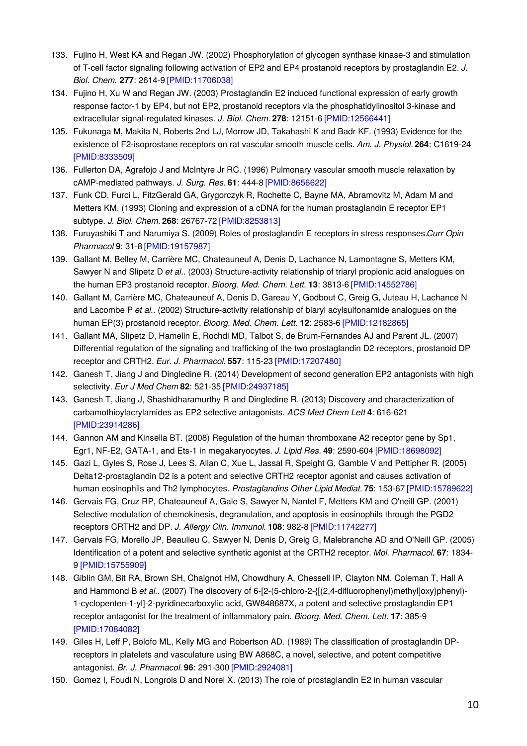- 133. Fujino H, West KA and Regan JW. (2002) Phosphorylation of glycogen synthase kinase-3 and stimulation of T-cell factor signaling following activation of EP2 and EP4 prostanoid receptors by prostaglandin E2. *J. Biol. Chem.* **277**: 2614-9 [\[PMID:11706038\]](http://www.ncbi.nlm.nih.gov/pubmed/11706038?dopt=AbstractPlus)
- 134. Fujino H, Xu W and Regan JW. (2003) Prostaglandin E2 induced functional expression of early growth response factor-1 by EP4, but not EP2, prostanoid receptors via the phosphatidylinositol 3-kinase and extracellular signal-regulated kinases. *J. Biol. Chem.* **278**: 12151-6 [\[PMID:12566441\]](http://www.ncbi.nlm.nih.gov/pubmed/12566441?dopt=AbstractPlus)
- 135. Fukunaga M, Makita N, Roberts 2nd LJ, Morrow JD, Takahashi K and Badr KF. (1993) Evidence for the existence of F2-isoprostane receptors on rat vascular smooth muscle cells. *Am. J. Physiol.* **264**: C1619-24 [\[PMID:8333509\]](http://www.ncbi.nlm.nih.gov/pubmed/8333509?dopt=AbstractPlus)
- 136. Fullerton DA, Agrafojo J and McIntyre Jr RC. (1996) Pulmonary vascular smooth muscle relaxation by cAMP-mediated pathways. *J. Surg. Res.* **61**: 444-8 [\[PMID:8656622\]](http://www.ncbi.nlm.nih.gov/pubmed/8656622?dopt=AbstractPlus)
- 137. Funk CD, Furci L, FitzGerald GA, Grygorczyk R, Rochette C, Bayne MA, Abramovitz M, Adam M and Metters KM. (1993) Cloning and expression of a cDNA for the human prostaglandin E receptor EP1 subtype. *J. Biol. Chem.* **268**: 26767-72 [\[PMID:8253813\]](http://www.ncbi.nlm.nih.gov/pubmed/8253813?dopt=AbstractPlus)
- 138. Furuyashiki T and Narumiya S. (2009) Roles of prostaglandin E receptors in stress responses.*Curr Opin Pharmacol* **9**: 31-8 [\[PMID:19157987\]](http://www.ncbi.nlm.nih.gov/pubmed/19157987?dopt=AbstractPlus)
- 139. Gallant M, Belley M, Carrière MC, Chateauneuf A, Denis D, Lachance N, Lamontagne S, Metters KM, Sawyer N and Slipetz D *et al.*. (2003) Structure-activity relationship of triaryl propionic acid analogues on the human EP3 prostanoid receptor. *Bioorg. Med. Chem. Lett.* **13**: 3813-6 [\[PMID:14552786\]](http://www.ncbi.nlm.nih.gov/pubmed/14552786?dopt=AbstractPlus)
- 140. Gallant M, Carrière MC, Chateauneuf A, Denis D, Gareau Y, Godbout C, Greig G, Juteau H, Lachance N and Lacombe P *et al.*. (2002) Structure-activity relationship of biaryl acylsulfonamide analogues on the human EP(3) prostanoid receptor. *Bioorg. Med. Chem. Lett.* **12**: 2583-6 [\[PMID:12182865\]](http://www.ncbi.nlm.nih.gov/pubmed/12182865?dopt=AbstractPlus)
- 141. Gallant MA, Slipetz D, Hamelin E, Rochdi MD, Talbot S, de Brum-Fernandes AJ and Parent JL. (2007) Differential regulation of the signaling and trafficking of the two prostaglandin D2 receptors, prostanoid DP receptor and CRTH2. *Eur. J. Pharmacol.* **557**: 115-23 [\[PMID:17207480\]](http://www.ncbi.nlm.nih.gov/pubmed/17207480?dopt=AbstractPlus)
- 142. Ganesh T, Jiang J and Dingledine R. (2014) Development of second generation EP2 antagonists with high selectivity. *Eur J Med Chem* **82**: 521-35 [\[PMID:24937185\]](http://www.ncbi.nlm.nih.gov/pubmed/24937185?dopt=AbstractPlus)
- 143. Ganesh T, Jiang J, Shashidharamurthy R and Dingledine R. (2013) Discovery and characterization of carbamothioylacrylamides as EP2 selective antagonists. *ACS Med Chem Lett* **4**: 616-621 [\[PMID:23914286\]](http://www.ncbi.nlm.nih.gov/pubmed/23914286?dopt=AbstractPlus)
- 144. Gannon AM and Kinsella BT. (2008) Regulation of the human thromboxane A2 receptor gene by Sp1, Egr1, NF-E2, GATA-1, and Ets-1 in megakaryocytes. *J. Lipid Res.* **49**: 2590-604 [\[PMID:18698092\]](http://www.ncbi.nlm.nih.gov/pubmed/18698092?dopt=AbstractPlus)
- 145. Gazi L, Gyles S, Rose J, Lees S, Allan C, Xue L, Jassal R, Speight G, Gamble V and Pettipher R. (2005) Delta12-prostaglandin D2 is a potent and selective CRTH2 receptor agonist and causes activation of human eosinophils and Th2 lymphocytes. *Prostaglandins Other Lipid Mediat.* **75**: 153-67 [\[PMID:15789622\]](http://www.ncbi.nlm.nih.gov/pubmed/15789622?dopt=AbstractPlus)
- 146. Gervais FG, Cruz RP, Chateauneuf A, Gale S, Sawyer N, Nantel F, Metters KM and O'neill GP. (2001) Selective modulation of chemokinesis, degranulation, and apoptosis in eosinophils through the PGD2 receptors CRTH2 and DP. *J. Allergy Clin. Immunol.* **108**: 982-8 [\[PMID:11742277\]](http://www.ncbi.nlm.nih.gov/pubmed/11742277?dopt=AbstractPlus)
- 147. Gervais FG, Morello JP, Beaulieu C, Sawyer N, Denis D, Greig G, Malebranche AD and O'Neill GP. (2005) Identification of a potent and selective synthetic agonist at the CRTH2 receptor. *Mol. Pharmacol.* **67**: 1834- 9 [\[PMID:15755909\]](http://www.ncbi.nlm.nih.gov/pubmed/15755909?dopt=AbstractPlus)
- 148. Giblin GM, Bit RA, Brown SH, Chaignot HM, Chowdhury A, Chessell IP, Clayton NM, Coleman T, Hall A and Hammond B *et al.*. (2007) The discovery of 6-[2-(5-chloro-2-{ $[(2,4-difluoropheny])$ methyl]oxy}phenyl)-1-cyclopenten-1-yl]-2-pyridinecarboxylic acid, GW848687X, a potent and selective prostaglandin EP1 receptor antagonist for the treatment of inflammatory pain. *Bioorg. Med. Chem. Lett.* **17**: 385-9 [\[PMID:17084082\]](http://www.ncbi.nlm.nih.gov/pubmed/17084082?dopt=AbstractPlus)
- 149. Giles H, Leff P, Bolofo ML, Kelly MG and Robertson AD. (1989) The classification of prostaglandin DPreceptors in platelets and vasculature using BW A868C, a novel, selective, and potent competitive antagonist. *Br. J. Pharmacol.* **96**: 291-300 [\[PMID:2924081\]](http://www.ncbi.nlm.nih.gov/pubmed/2924081?dopt=AbstractPlus)
- 150. Gomez I, Foudi N, Longrois D and Norel X. (2013) The role of prostaglandin E2 in human vascular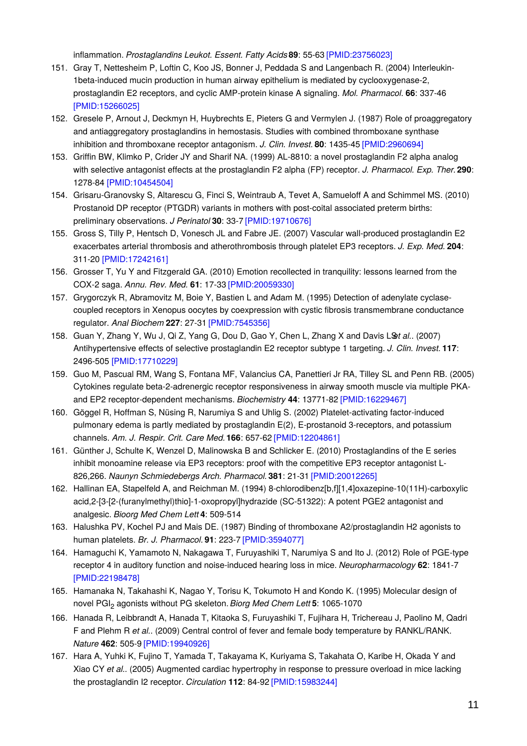inflammation. *Prostaglandins Leukot. Essent. Fatty Acids***89**: 55-63 [\[PMID:23756023\]](http://www.ncbi.nlm.nih.gov/pubmed/23756023?dopt=AbstractPlus)

- 151. Gray T, Nettesheim P, Loftin C, Koo JS, Bonner J, Peddada S and Langenbach R. (2004) Interleukin-1beta-induced mucin production in human airway epithelium is mediated by cyclooxygenase-2, prostaglandin E2 receptors, and cyclic AMP-protein kinase A signaling. *Mol. Pharmacol.* **66**: 337-46 [\[PMID:15266025\]](http://www.ncbi.nlm.nih.gov/pubmed/15266025?dopt=AbstractPlus)
- 152. Gresele P, Arnout J, Deckmyn H, Huybrechts E, Pieters G and Vermylen J. (1987) Role of proaggregatory and antiaggregatory prostaglandins in hemostasis. Studies with combined thromboxane synthase inhibition and thromboxane receptor antagonism. *J. Clin. Invest.* **80**: 1435-45 [\[PMID:2960694\]](http://www.ncbi.nlm.nih.gov/pubmed/2960694?dopt=AbstractPlus)
- 153. Griffin BW, Klimko P, Crider JY and Sharif NA. (1999) AL-8810: a novel prostaglandin F2 alpha analog with selective antagonist effects at the prostaglandin F2 alpha (FP) receptor. *J. Pharmacol. Exp. Ther.***290**: 1278-84 [\[PMID:10454504\]](http://www.ncbi.nlm.nih.gov/pubmed/10454504?dopt=AbstractPlus)
- 154. Grisaru-Granovsky S, Altarescu G, Finci S, Weintraub A, Tevet A, Samueloff A and Schimmel MS. (2010) Prostanoid DP receptor (PTGDR) variants in mothers with post-coital associated preterm births: preliminary observations. *J Perinatol* **30**: 33-7 [\[PMID:19710676\]](http://www.ncbi.nlm.nih.gov/pubmed/19710676?dopt=AbstractPlus)
- 155. Gross S, Tilly P, Hentsch D, Vonesch JL and Fabre JE. (2007) Vascular wall-produced prostaglandin E2 exacerbates arterial thrombosis and atherothrombosis through platelet EP3 receptors. *J. Exp. Med.* **204**: 311-20 [\[PMID:17242161\]](http://www.ncbi.nlm.nih.gov/pubmed/17242161?dopt=AbstractPlus)
- 156. Grosser T, Yu Y and Fitzgerald GA. (2010) Emotion recollected in tranquility: lessons learned from the COX-2 saga. *Annu. Rev. Med.* **61**: 17-33 [\[PMID:20059330\]](http://www.ncbi.nlm.nih.gov/pubmed/20059330?dopt=AbstractPlus)
- 157. Grygorczyk R, Abramovitz M, Boie Y, Bastien L and Adam M. (1995) Detection of adenylate cyclasecoupled receptors in Xenopus oocytes by coexpression with cystic fibrosis transmembrane conductance regulator. *Anal Biochem* **227**: 27-31 [\[PMID:7545356\]](http://www.ncbi.nlm.nih.gov/pubmed/7545356?dopt=AbstractPlus)
- 158. Guan Y, Zhang Y, Wu J, Qi Z, Yang G, Dou D, Gao Y, Chen L, Zhang X and Davis LS*et al.*. (2007) Antihypertensive effects of selective prostaglandin E2 receptor subtype 1 targeting. *J. Clin. Invest.* **117**: 2496-505 [\[PMID:17710229\]](http://www.ncbi.nlm.nih.gov/pubmed/17710229?dopt=AbstractPlus)
- 159. Guo M, Pascual RM, Wang S, Fontana MF, Valancius CA, Panettieri Jr RA, Tilley SL and Penn RB. (2005) Cytokines regulate beta-2-adrenergic receptor responsiveness in airway smooth muscle via multiple PKAand EP2 receptor-dependent mechanisms. *Biochemistry* **44**: 13771-82 [\[PMID:16229467\]](http://www.ncbi.nlm.nih.gov/pubmed/16229467?dopt=AbstractPlus)
- 160. Göggel R, Hoffman S, Nüsing R, Narumiya S and Uhlig S. (2002) Platelet-activating factor-induced pulmonary edema is partly mediated by prostaglandin E(2), E-prostanoid 3-receptors, and potassium channels. *Am. J. Respir. Crit. Care Med.***166**: 657-62 [\[PMID:12204861\]](http://www.ncbi.nlm.nih.gov/pubmed/12204861?dopt=AbstractPlus)
- 161. Günther J, Schulte K, Wenzel D, Malinowska B and Schlicker E. (2010) Prostaglandins of the E series inhibit monoamine release via EP3 receptors: proof with the competitive EP3 receptor antagonist L-826,266. *Naunyn Schmiedebergs Arch. Pharmacol.* **381**: 21-31 [\[PMID:20012265\]](http://www.ncbi.nlm.nih.gov/pubmed/20012265?dopt=AbstractPlus)
- 162. Hallinan EA, Stapelfeld A, and Reichman M. (1994) 8-chlorodibenz[b,f][1,4]oxazepine-10(11H)-carboxylic acid,2-[3-[2-(furanylmethyl)thio]-1-oxopropyl]hydrazide (SC-51322): A potent PGE2 antagonist and analgesic. *Bioorg Med Chem Lett* **4**: 509-514
- 163. Halushka PV, Kochel PJ and Mais DE. (1987) Binding of thromboxane A2/prostaglandin H2 agonists to human platelets. *Br. J. Pharmacol.* **91**: 223-7 [\[PMID:3594077\]](http://www.ncbi.nlm.nih.gov/pubmed/3594077?dopt=AbstractPlus)
- 164. Hamaguchi K, Yamamoto N, Nakagawa T, Furuyashiki T, Narumiya S and Ito J. (2012) Role of PGE-type receptor 4 in auditory function and noise-induced hearing loss in mice. *Neuropharmacology* **62**: 1841-7 [\[PMID:22198478\]](http://www.ncbi.nlm.nih.gov/pubmed/22198478?dopt=AbstractPlus)
- 165. Hamanaka N, Takahashi K, Nagao Y, Torisu K, Tokumoto H and Kondo K. (1995) Molecular design of novel PGI<sup>2</sup> agonists without PG skeleton. *Biorg Med Chem Lett* **5**: 1065-1070
- 166. Hanada R, Leibbrandt A, Hanada T, Kitaoka S, Furuyashiki T, Fujihara H, Trichereau J, Paolino M, Qadri F and Plehm R *et al.*. (2009) Central control of fever and female body temperature by RANKL/RANK. *Nature* **462**: 505-9 [\[PMID:19940926\]](http://www.ncbi.nlm.nih.gov/pubmed/19940926?dopt=AbstractPlus)
- 167. Hara A, Yuhki K, Fujino T, Yamada T, Takayama K, Kuriyama S, Takahata O, Karibe H, Okada Y and Xiao CY *et al.*. (2005) Augmented cardiac hypertrophy in response to pressure overload in mice lacking the prostaglandin I2 receptor. *Circulation* **112**: 84-92 [\[PMID:15983244\]](http://www.ncbi.nlm.nih.gov/pubmed/15983244?dopt=AbstractPlus)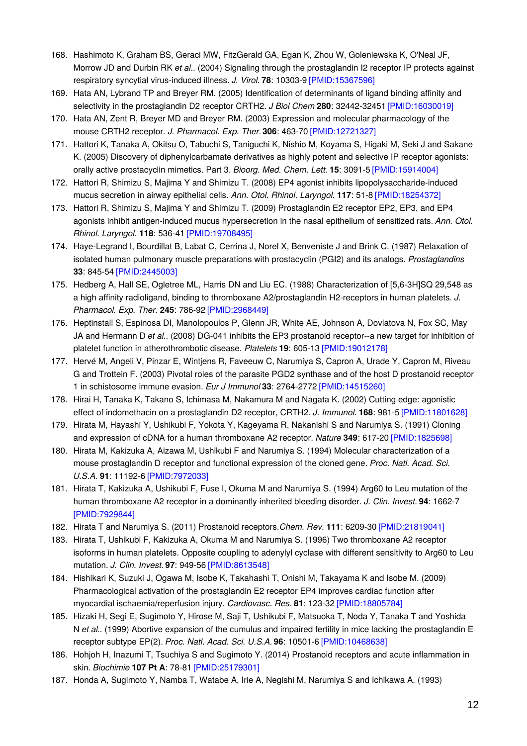- 168. Hashimoto K, Graham BS, Geraci MW, FitzGerald GA, Egan K, Zhou W, Goleniewska K, O'Neal JF, Morrow JD and Durbin RK *et al.*. (2004) Signaling through the prostaglandin I2 receptor IP protects against respiratory syncytial virus-induced illness. *J. Virol.* **78**: 10303-9 [\[PMID:15367596\]](http://www.ncbi.nlm.nih.gov/pubmed/15367596?dopt=AbstractPlus)
- 169. Hata AN, Lybrand TP and Breyer RM. (2005) Identification of determinants of ligand binding affinity and selectivity in the prostaglandin D2 receptor CRTH2. *J Biol Chem* **280**: 32442-32451 [\[PMID:16030019\]](http://www.ncbi.nlm.nih.gov/pubmed/16030019?dopt=AbstractPlus)
- 170. Hata AN, Zent R, Breyer MD and Breyer RM. (2003) Expression and molecular pharmacology of the mouse CRTH2 receptor. *J. Pharmacol. Exp. Ther.***306**: 463-70 [\[PMID:12721327\]](http://www.ncbi.nlm.nih.gov/pubmed/12721327?dopt=AbstractPlus)
- 171. Hattori K, Tanaka A, Okitsu O, Tabuchi S, Taniguchi K, Nishio M, Koyama S, Higaki M, Seki J and Sakane K. (2005) Discovery of diphenylcarbamate derivatives as highly potent and selective IP receptor agonists: orally active prostacyclin mimetics. Part 3. *Bioorg. Med. Chem. Lett.* **15**: 3091-5 [\[PMID:15914004\]](http://www.ncbi.nlm.nih.gov/pubmed/15914004?dopt=AbstractPlus)
- 172. Hattori R, Shimizu S, Majima Y and Shimizu T. (2008) EP4 agonist inhibits lipopolysaccharide-induced mucus secretion in airway epithelial cells. *Ann. Otol. Rhinol. Laryngol.* **117**: 51-8 [\[PMID:18254372\]](http://www.ncbi.nlm.nih.gov/pubmed/18254372?dopt=AbstractPlus)
- 173. Hattori R, Shimizu S, Majima Y and Shimizu T. (2009) Prostaglandin E2 receptor EP2, EP3, and EP4 agonists inhibit antigen-induced mucus hypersecretion in the nasal epithelium of sensitized rats. *Ann. Otol. Rhinol. Laryngol.* **118**: 536-41 [\[PMID:19708495\]](http://www.ncbi.nlm.nih.gov/pubmed/19708495?dopt=AbstractPlus)
- 174. Haye-Legrand I, Bourdillat B, Labat C, Cerrina J, Norel X, Benveniste J and Brink C. (1987) Relaxation of isolated human pulmonary muscle preparations with prostacyclin (PGI2) and its analogs. *Prostaglandins* **33**: 845-54 [\[PMID:2445003\]](http://www.ncbi.nlm.nih.gov/pubmed/2445003?dopt=AbstractPlus)
- 175. Hedberg A, Hall SE, Ogletree ML, Harris DN and Liu EC. (1988) Characterization of [5,6-3H]SQ 29,548 as a high affinity radioligand, binding to thromboxane A2/prostaglandin H2-receptors in human platelets. *J. Pharmacol. Exp. Ther.* **245**: 786-92 [\[PMID:2968449\]](http://www.ncbi.nlm.nih.gov/pubmed/2968449?dopt=AbstractPlus)
- 176. Heptinstall S, Espinosa DI, Manolopoulos P, Glenn JR, White AE, Johnson A, Dovlatova N, Fox SC, May JA and Hermann D *et al.*. (2008) DG-041 inhibits the EP3 prostanoid receptor--a new target for inhibition of platelet function in atherothrombotic disease. *Platelets* **19**: 605-13 [\[PMID:19012178\]](http://www.ncbi.nlm.nih.gov/pubmed/19012178?dopt=AbstractPlus)
- 177. Hervé M, Angeli V, Pinzar E, Wintjens R, Faveeuw C, Narumiya S, Capron A, Urade Y, Capron M, Riveau G and Trottein F. (2003) Pivotal roles of the parasite PGD2 synthase and of the host D prostanoid receptor 1 in schistosome immune evasion. *Eur J Immunol* **33**: 2764-2772 [\[PMID:14515260\]](http://www.ncbi.nlm.nih.gov/pubmed/14515260?dopt=AbstractPlus)
- 178. Hirai H, Tanaka K, Takano S, Ichimasa M, Nakamura M and Nagata K. (2002) Cutting edge: agonistic effect of indomethacin on a prostaglandin D2 receptor, CRTH2. *J. Immunol.* **168**: 981-5 [\[PMID:11801628\]](http://www.ncbi.nlm.nih.gov/pubmed/11801628?dopt=AbstractPlus)
- 179. Hirata M, Hayashi Y, Ushikubi F, Yokota Y, Kageyama R, Nakanishi S and Narumiya S. (1991) Cloning and expression of cDNA for a human thromboxane A2 receptor. *Nature* **349**: 617-20 [\[PMID:1825698\]](http://www.ncbi.nlm.nih.gov/pubmed/1825698?dopt=AbstractPlus)
- 180. Hirata M, Kakizuka A, Aizawa M, Ushikubi F and Narumiya S. (1994) Molecular characterization of a mouse prostaglandin D receptor and functional expression of the cloned gene. *Proc. Natl. Acad. Sci. U.S.A.* **91**: 11192-6 [\[PMID:7972033\]](http://www.ncbi.nlm.nih.gov/pubmed/7972033?dopt=AbstractPlus)
- 181. Hirata T, Kakizuka A, Ushikubi F, Fuse I, Okuma M and Narumiya S. (1994) Arg60 to Leu mutation of the human thromboxane A2 receptor in a dominantly inherited bleeding disorder. *J. Clin. Invest.* **94**: 1662-7 [\[PMID:7929844\]](http://www.ncbi.nlm.nih.gov/pubmed/7929844?dopt=AbstractPlus)
- 182. Hirata T and Narumiya S. (2011) Prostanoid receptors.*Chem. Rev.* **111**: 6209-30 [\[PMID:21819041\]](http://www.ncbi.nlm.nih.gov/pubmed/21819041?dopt=AbstractPlus)
- 183. Hirata T, Ushikubi F, Kakizuka A, Okuma M and Narumiya S. (1996) Two thromboxane A2 receptor isoforms in human platelets. Opposite coupling to adenylyl cyclase with different sensitivity to Arg60 to Leu mutation. *J. Clin. Invest.* **97**: 949-56 [\[PMID:8613548\]](http://www.ncbi.nlm.nih.gov/pubmed/8613548?dopt=AbstractPlus)
- 184. Hishikari K, Suzuki J, Ogawa M, Isobe K, Takahashi T, Onishi M, Takayama K and Isobe M. (2009) Pharmacological activation of the prostaglandin E2 receptor EP4 improves cardiac function after myocardial ischaemia/reperfusion injury. *Cardiovasc. Res.* **81**: 123-32 [\[PMID:18805784\]](http://www.ncbi.nlm.nih.gov/pubmed/18805784?dopt=AbstractPlus)
- 185. Hizaki H, Segi E, Sugimoto Y, Hirose M, Saji T, Ushikubi F, Matsuoka T, Noda Y, Tanaka T and Yoshida N *et al.*. (1999) Abortive expansion of the cumulus and impaired fertility in mice lacking the prostaglandin E receptor subtype EP(2). *Proc. Natl. Acad. Sci. U.S.A.* **96**: 10501-6 [\[PMID:10468638\]](http://www.ncbi.nlm.nih.gov/pubmed/10468638?dopt=AbstractPlus)
- 186. Hohjoh H, Inazumi T, Tsuchiya S and Sugimoto Y. (2014) Prostanoid receptors and acute inflammation in skin. *Biochimie* **107 Pt A**: 78-81 [\[PMID:25179301\]](http://www.ncbi.nlm.nih.gov/pubmed/25179301?dopt=AbstractPlus)
- 187. Honda A, Sugimoto Y, Namba T, Watabe A, Irie A, Negishi M, Narumiya S and Ichikawa A. (1993)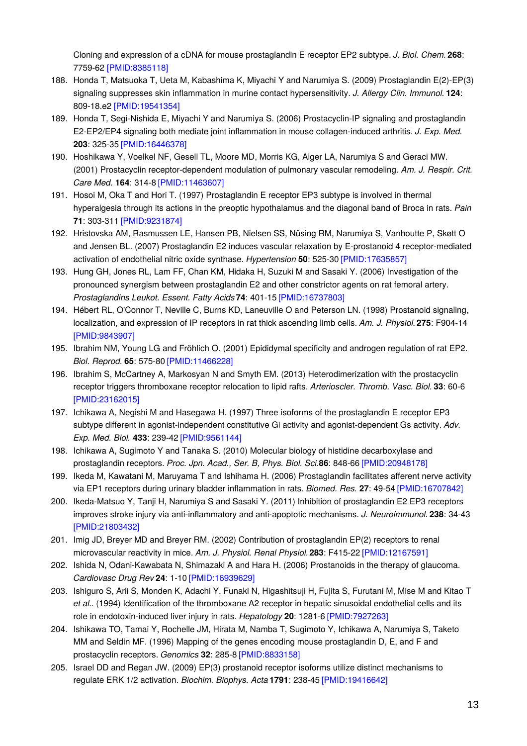Cloning and expression of a cDNA for mouse prostaglandin E receptor EP2 subtype. *J. Biol. Chem.* **268**: 7759-62 [\[PMID:8385118\]](http://www.ncbi.nlm.nih.gov/pubmed/8385118?dopt=AbstractPlus)

- 188. Honda T, Matsuoka T, Ueta M, Kabashima K, Miyachi Y and Narumiya S. (2009) Prostaglandin E(2)-EP(3) signaling suppresses skin inflammation in murine contact hypersensitivity. *J. Allergy Clin. Immunol.* **124**: 809-18.e2 [\[PMID:19541354\]](http://www.ncbi.nlm.nih.gov/pubmed/19541354?dopt=AbstractPlus)
- 189. Honda T, Segi-Nishida E, Miyachi Y and Narumiya S. (2006) Prostacyclin-IP signaling and prostaglandin E2-EP2/EP4 signaling both mediate joint inflammation in mouse collagen-induced arthritis. *J. Exp. Med.* **203**: 325-35 [\[PMID:16446378\]](http://www.ncbi.nlm.nih.gov/pubmed/16446378?dopt=AbstractPlus)
- 190. Hoshikawa Y, Voelkel NF, Gesell TL, Moore MD, Morris KG, Alger LA, Narumiya S and Geraci MW. (2001) Prostacyclin receptor-dependent modulation of pulmonary vascular remodeling. *Am. J. Respir. Crit. Care Med.* **164**: 314-8 [\[PMID:11463607\]](http://www.ncbi.nlm.nih.gov/pubmed/11463607?dopt=AbstractPlus)
- 191. Hosoi M, Oka T and Hori T. (1997) Prostaglandin E receptor EP3 subtype is involved in thermal hyperalgesia through its actions in the preoptic hypothalamus and the diagonal band of Broca in rats. *Pain* **71**: 303-311 [\[PMID:9231874\]](http://www.ncbi.nlm.nih.gov/pubmed/9231874?dopt=AbstractPlus)
- 192. Hristovska AM, Rasmussen LE, Hansen PB, Nielsen SS, Nüsing RM, Narumiya S, Vanhoutte P, Skøtt O and Jensen BL. (2007) Prostaglandin E2 induces vascular relaxation by E-prostanoid 4 receptor-mediated activation of endothelial nitric oxide synthase. *Hypertension* **50**: 525-30 [\[PMID:17635857\]](http://www.ncbi.nlm.nih.gov/pubmed/17635857?dopt=AbstractPlus)
- 193. Hung GH, Jones RL, Lam FF, Chan KM, Hidaka H, Suzuki M and Sasaki Y. (2006) Investigation of the pronounced synergism between prostaglandin E2 and other constrictor agents on rat femoral artery. *Prostaglandins Leukot. Essent. Fatty Acids***74**: 401-15 [\[PMID:16737803\]](http://www.ncbi.nlm.nih.gov/pubmed/16737803?dopt=AbstractPlus)
- 194. Hébert RL, O'Connor T, Neville C, Burns KD, Laneuville O and Peterson LN. (1998) Prostanoid signaling, localization, and expression of IP receptors in rat thick ascending limb cells. *Am. J. Physiol.* **275**: F904-14 [\[PMID:9843907\]](http://www.ncbi.nlm.nih.gov/pubmed/9843907?dopt=AbstractPlus)
- 195. Ibrahim NM, Young LG and Fröhlich O. (2001) Epididymal specificity and androgen regulation of rat EP2. *Biol. Reprod.* **65**: 575-80 [\[PMID:11466228\]](http://www.ncbi.nlm.nih.gov/pubmed/11466228?dopt=AbstractPlus)
- 196. Ibrahim S, McCartney A, Markosyan N and Smyth EM. (2013) Heterodimerization with the prostacyclin receptor triggers thromboxane receptor relocation to lipid rafts. *Arterioscler. Thromb. Vasc. Biol.* **33**: 60-6 [\[PMID:23162015\]](http://www.ncbi.nlm.nih.gov/pubmed/23162015?dopt=AbstractPlus)
- 197. Ichikawa A, Negishi M and Hasegawa H. (1997) Three isoforms of the prostaglandin E receptor EP3 subtype different in agonist-independent constitutive Gi activity and agonist-dependent Gs activity. *Adv. Exp. Med. Biol.* **433**: 239-42 [\[PMID:9561144\]](http://www.ncbi.nlm.nih.gov/pubmed/9561144?dopt=AbstractPlus)
- 198. Ichikawa A, Sugimoto Y and Tanaka S. (2010) Molecular biology of histidine decarboxylase and prostaglandin receptors. *Proc. Jpn. Acad., Ser. B, Phys. Biol. Sci.***86**: 848-66 [\[PMID:20948178\]](http://www.ncbi.nlm.nih.gov/pubmed/20948178?dopt=AbstractPlus)
- 199. Ikeda M, Kawatani M, Maruyama T and Ishihama H. (2006) Prostaglandin facilitates afferent nerve activity via EP1 receptors during urinary bladder inflammation in rats. *Biomed. Res.* **27**: 49-54 [\[PMID:16707842\]](http://www.ncbi.nlm.nih.gov/pubmed/16707842?dopt=AbstractPlus)
- 200. Ikeda-Matsuo Y, Tanji H, Narumiya S and Sasaki Y. (2011) Inhibition of prostaglandin E2 EP3 receptors improves stroke injury via anti-inflammatory and anti-apoptotic mechanisms. *J. Neuroimmunol.* **238**: 34-43 [\[PMID:21803432\]](http://www.ncbi.nlm.nih.gov/pubmed/21803432?dopt=AbstractPlus)
- 201. Imig JD, Breyer MD and Breyer RM. (2002) Contribution of prostaglandin EP(2) receptors to renal microvascular reactivity in mice. *Am. J. Physiol. Renal Physiol.***283**: F415-22 [\[PMID:12167591\]](http://www.ncbi.nlm.nih.gov/pubmed/12167591?dopt=AbstractPlus)
- 202. Ishida N, Odani-Kawabata N, Shimazaki A and Hara H. (2006) Prostanoids in the therapy of glaucoma. *Cardiovasc Drug Rev* **24**: 1-10 [\[PMID:16939629\]](http://www.ncbi.nlm.nih.gov/pubmed/16939629?dopt=AbstractPlus)
- 203. Ishiguro S, Arii S, Monden K, Adachi Y, Funaki N, Higashitsuji H, Fujita S, Furutani M, Mise M and Kitao T *et al.*. (1994) Identification of the thromboxane A2 receptor in hepatic sinusoidal endothelial cells and its role in endotoxin-induced liver injury in rats. *Hepatology* **20**: 1281-6 [\[PMID:7927263\]](http://www.ncbi.nlm.nih.gov/pubmed/7927263?dopt=AbstractPlus)
- 204. Ishikawa TO, Tamai Y, Rochelle JM, Hirata M, Namba T, Sugimoto Y, Ichikawa A, Narumiya S, Taketo MM and Seldin MF. (1996) Mapping of the genes encoding mouse prostaglandin D, E, and F and prostacyclin receptors. *Genomics* **32**: 285-8 [\[PMID:8833158\]](http://www.ncbi.nlm.nih.gov/pubmed/8833158?dopt=AbstractPlus)
- 205. Israel DD and Regan JW. (2009) EP(3) prostanoid receptor isoforms utilize distinct mechanisms to regulate ERK 1/2 activation. *Biochim. Biophys. Acta* **1791**: 238-45 [\[PMID:19416642\]](http://www.ncbi.nlm.nih.gov/pubmed/19416642?dopt=AbstractPlus)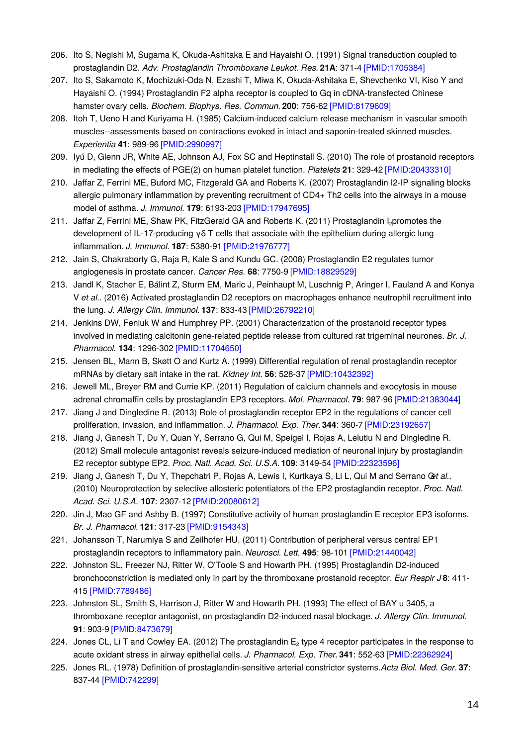- 206. Ito S, Negishi M, Sugama K, Okuda-Ashitaka E and Hayaishi O. (1991) Signal transduction coupled to prostaglandin D2. *Adv. Prostaglandin Thromboxane Leukot. Res.* **21A**: 371-4 [\[PMID:1705384\]](http://www.ncbi.nlm.nih.gov/pubmed/1705384?dopt=AbstractPlus)
- 207. Ito S, Sakamoto K, Mochizuki-Oda N, Ezashi T, Miwa K, Okuda-Ashitaka E, Shevchenko VI, Kiso Y and Hayaishi O. (1994) Prostaglandin F2 alpha receptor is coupled to Gq in cDNA-transfected Chinese hamster ovary cells. *Biochem. Biophys. Res. Commun.* **200**: 756-62 [\[PMID:8179609\]](http://www.ncbi.nlm.nih.gov/pubmed/8179609?dopt=AbstractPlus)
- 208. Itoh T, Ueno H and Kuriyama H. (1985) Calcium-induced calcium release mechanism in vascular smooth muscles--assessments based on contractions evoked in intact and saponin-treated skinned muscles. *Experientia* **41**: 989-96 [\[PMID:2990997\]](http://www.ncbi.nlm.nih.gov/pubmed/2990997?dopt=AbstractPlus)
- 209. Iyú D, Glenn JR, White AE, Johnson AJ, Fox SC and Heptinstall S. (2010) The role of prostanoid receptors in mediating the effects of PGE(2) on human platelet function. *Platelets* **21**: 329-42 [\[PMID:20433310\]](http://www.ncbi.nlm.nih.gov/pubmed/20433310?dopt=AbstractPlus)
- 210. Jaffar Z, Ferrini ME, Buford MC, Fitzgerald GA and Roberts K. (2007) Prostaglandin I2-IP signaling blocks allergic pulmonary inflammation by preventing recruitment of CD4+ Th2 cells into the airways in a mouse model of asthma. *J. Immunol.* **179**: 6193-203 [\[PMID:17947695\]](http://www.ncbi.nlm.nih.gov/pubmed/17947695?dopt=AbstractPlus)
- 211. Jaffar Z, Ferrini ME, Shaw PK, FitzGerald GA and Roberts K. (2011) Prostaglandin I<sub>2</sub>promotes the development of IL-17-producing γδ T cells that associate with the epithelium during allergic lung inflammation. *J. Immunol.* **187**: 5380-91 [\[PMID:21976777\]](http://www.ncbi.nlm.nih.gov/pubmed/21976777?dopt=AbstractPlus)
- 212. Jain S, Chakraborty G, Raja R, Kale S and Kundu GC. (2008) Prostaglandin E2 regulates tumor angiogenesis in prostate cancer. *Cancer Res.* **68**: 7750-9 [\[PMID:18829529\]](http://www.ncbi.nlm.nih.gov/pubmed/18829529?dopt=AbstractPlus)
- 213. Jandl K, Stacher E, Bálint Z, Sturm EM, Maric J, Peinhaupt M, Luschnig P, Aringer I, Fauland A and Konya V *et al.*. (2016) Activated prostaglandin D2 receptors on macrophages enhance neutrophil recruitment into the lung. *J. Allergy Clin. Immunol.* **137**: 833-43 [\[PMID:26792210\]](http://www.ncbi.nlm.nih.gov/pubmed/26792210?dopt=AbstractPlus)
- 214. Jenkins DW, Feniuk W and Humphrey PP. (2001) Characterization of the prostanoid receptor types involved in mediating calcitonin gene-related peptide release from cultured rat trigeminal neurones. *Br. J. Pharmacol.* **134**: 1296-302 [\[PMID:11704650\]](http://www.ncbi.nlm.nih.gov/pubmed/11704650?dopt=AbstractPlus)
- 215. Jensen BL, Mann B, Skøtt O and Kurtz A. (1999) Differential regulation of renal prostaglandin receptor mRNAs by dietary salt intake in the rat. *Kidney Int.* **56**: 528-37 [\[PMID:10432392\]](http://www.ncbi.nlm.nih.gov/pubmed/10432392?dopt=AbstractPlus)
- 216. Jewell ML, Breyer RM and Currie KP. (2011) Regulation of calcium channels and exocytosis in mouse adrenal chromaffin cells by prostaglandin EP3 receptors. *Mol. Pharmacol.* **79**: 987-96 [\[PMID:21383044\]](http://www.ncbi.nlm.nih.gov/pubmed/21383044?dopt=AbstractPlus)
- 217. Jiang J and Dingledine R. (2013) Role of prostaglandin receptor EP2 in the regulations of cancer cell proliferation, invasion, and inflammation. *J. Pharmacol. Exp. Ther.***344**: 360-7 [\[PMID:23192657\]](http://www.ncbi.nlm.nih.gov/pubmed/23192657?dopt=AbstractPlus)
- 218. Jiang J, Ganesh T, Du Y, Quan Y, Serrano G, Qui M, Speigel I, Rojas A, Lelutiu N and Dingledine R. (2012) Small molecule antagonist reveals seizure-induced mediation of neuronal injury by prostaglandin E2 receptor subtype EP2. *Proc. Natl. Acad. Sci. U.S.A.* **109**: 3149-54 [\[PMID:22323596\]](http://www.ncbi.nlm.nih.gov/pubmed/22323596?dopt=AbstractPlus)
- 219. Jiang J, Ganesh T, Du Y, Thepchatri P, Rojas A, Lewis I, Kurtkaya S, Li L, Qui M and Serrano G*et al.*. (2010) Neuroprotection by selective allosteric potentiators of the EP2 prostaglandin receptor. *Proc. Natl. Acad. Sci. U.S.A.* **107**: 2307-12 [\[PMID:20080612\]](http://www.ncbi.nlm.nih.gov/pubmed/20080612?dopt=AbstractPlus)
- 220. Jin J, Mao GF and Ashby B. (1997) Constitutive activity of human prostaglandin E receptor EP3 isoforms. *Br. J. Pharmacol.* **121**: 317-23 [\[PMID:9154343\]](http://www.ncbi.nlm.nih.gov/pubmed/9154343?dopt=AbstractPlus)
- 221. Johansson T, Narumiya S and Zeilhofer HU. (2011) Contribution of peripheral versus central EP1 prostaglandin receptors to inflammatory pain. *Neurosci. Lett.* **495**: 98-101 [\[PMID:21440042\]](http://www.ncbi.nlm.nih.gov/pubmed/21440042?dopt=AbstractPlus)
- 222. Johnston SL, Freezer NJ, Ritter W, O'Toole S and Howarth PH. (1995) Prostaglandin D2-induced bronchoconstriction is mediated only in part by the thromboxane prostanoid receptor. *Eur Respir J* **8**: 411- 415 [\[PMID:7789486\]](http://www.ncbi.nlm.nih.gov/pubmed/7789486?dopt=AbstractPlus)
- 223. Johnston SL, Smith S, Harrison J, Ritter W and Howarth PH. (1993) The effect of BAY u 3405, a thromboxane receptor antagonist, on prostaglandin D2-induced nasal blockage. *J. Allergy Clin. Immunol.* **91**: 903-9 [\[PMID:8473679\]](http://www.ncbi.nlm.nih.gov/pubmed/8473679?dopt=AbstractPlus)
- 224. Jones CL, Li T and Cowley EA. (2012) The prostaglandin E<sub>2</sub> type 4 receptor participates in the response to acute oxidant stress in airway epithelial cells. *J. Pharmacol. Exp. Ther.***341**: 552-63 [\[PMID:22362924\]](http://www.ncbi.nlm.nih.gov/pubmed/22362924?dopt=AbstractPlus)
- 225. Jones RL. (1978) Definition of prostaglandin-sensitive arterial constrictor systems.*Acta Biol. Med. Ger.* **37**: 837-44 [\[PMID:742299\]](http://www.ncbi.nlm.nih.gov/pubmed/742299?dopt=AbstractPlus)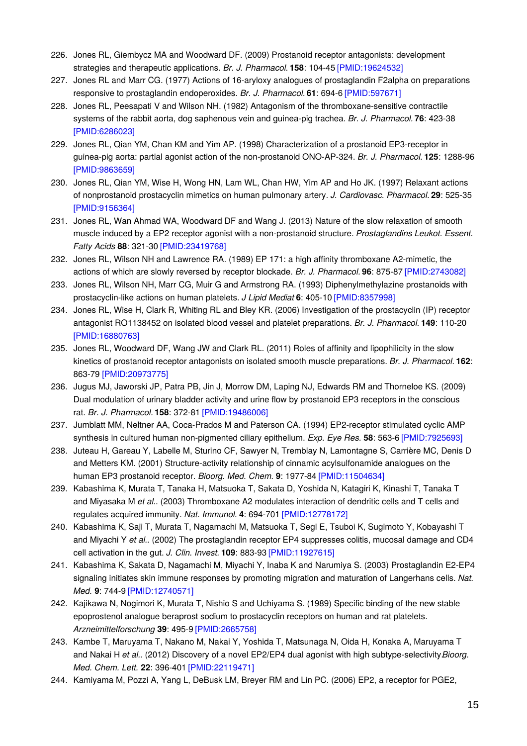- 226. Jones RL, Giembycz MA and Woodward DF. (2009) Prostanoid receptor antagonists: development strategies and therapeutic applications. *Br. J. Pharmacol.* **158**: 104-45 [\[PMID:19624532\]](http://www.ncbi.nlm.nih.gov/pubmed/19624532?dopt=AbstractPlus)
- 227. Jones RL and Marr CG. (1977) Actions of 16-aryloxy analogues of prostaglandin F2alpha on preparations responsive to prostaglandin endoperoxides. *Br. J. Pharmacol.* **61**: 694-6 [\[PMID:597671\]](http://www.ncbi.nlm.nih.gov/pubmed/597671?dopt=AbstractPlus)
- 228. Jones RL, Peesapati V and Wilson NH. (1982) Antagonism of the thromboxane-sensitive contractile systems of the rabbit aorta, dog saphenous vein and guinea-pig trachea. *Br. J. Pharmacol.* **76**: 423-38 [\[PMID:6286023\]](http://www.ncbi.nlm.nih.gov/pubmed/6286023?dopt=AbstractPlus)
- 229. Jones RL, Qian YM, Chan KM and Yim AP. (1998) Characterization of a prostanoid EP3-receptor in guinea-pig aorta: partial agonist action of the non-prostanoid ONO-AP-324. *Br. J. Pharmacol.* **125**: 1288-96 [\[PMID:9863659\]](http://www.ncbi.nlm.nih.gov/pubmed/9863659?dopt=AbstractPlus)
- 230. Jones RL, Qian YM, Wise H, Wong HN, Lam WL, Chan HW, Yim AP and Ho JK. (1997) Relaxant actions of nonprostanoid prostacyclin mimetics on human pulmonary artery. *J. Cardiovasc. Pharmacol.* **29**: 525-35 [\[PMID:9156364\]](http://www.ncbi.nlm.nih.gov/pubmed/9156364?dopt=AbstractPlus)
- 231. Jones RL, Wan Ahmad WA, Woodward DF and Wang J. (2013) Nature of the slow relaxation of smooth muscle induced by a EP2 receptor agonist with a non-prostanoid structure. *Prostaglandins Leukot. Essent. Fatty Acids* **88**: 321-30 [\[PMID:23419768\]](http://www.ncbi.nlm.nih.gov/pubmed/23419768?dopt=AbstractPlus)
- 232. Jones RL, Wilson NH and Lawrence RA. (1989) EP 171: a high affinity thromboxane A2-mimetic, the actions of which are slowly reversed by receptor blockade. *Br. J. Pharmacol.* **96**: 875-87 [\[PMID:2743082\]](http://www.ncbi.nlm.nih.gov/pubmed/2743082?dopt=AbstractPlus)
- 233. Jones RL, Wilson NH, Marr CG, Muir G and Armstrong RA. (1993) Diphenylmethylazine prostanoids with prostacyclin-like actions on human platelets. *J Lipid Mediat* **6**: 405-10 [\[PMID:8357998\]](http://www.ncbi.nlm.nih.gov/pubmed/8357998?dopt=AbstractPlus)
- 234. Jones RL, Wise H, Clark R, Whiting RL and Bley KR. (2006) Investigation of the prostacyclin (IP) receptor antagonist RO1138452 on isolated blood vessel and platelet preparations. *Br. J. Pharmacol.* **149**: 110-20 [\[PMID:16880763\]](http://www.ncbi.nlm.nih.gov/pubmed/16880763?dopt=AbstractPlus)
- 235. Jones RL, Woodward DF, Wang JW and Clark RL. (2011) Roles of affinity and lipophilicity in the slow kinetics of prostanoid receptor antagonists on isolated smooth muscle preparations. *Br. J. Pharmacol.* **162**: 863-79 [\[PMID:20973775\]](http://www.ncbi.nlm.nih.gov/pubmed/20973775?dopt=AbstractPlus)
- 236. Jugus MJ, Jaworski JP, Patra PB, Jin J, Morrow DM, Laping NJ, Edwards RM and Thorneloe KS. (2009) Dual modulation of urinary bladder activity and urine flow by prostanoid EP3 receptors in the conscious rat. *Br. J. Pharmacol.* **158**: 372-81 [\[PMID:19486006\]](http://www.ncbi.nlm.nih.gov/pubmed/19486006?dopt=AbstractPlus)
- 237. Jumblatt MM, Neltner AA, Coca-Prados M and Paterson CA. (1994) EP2-receptor stimulated cyclic AMP synthesis in cultured human non-pigmented ciliary epithelium. *Exp. Eye Res.* **58**: 563-6 [\[PMID:7925693\]](http://www.ncbi.nlm.nih.gov/pubmed/7925693?dopt=AbstractPlus)
- 238. Juteau H, Gareau Y, Labelle M, Sturino CF, Sawyer N, Tremblay N, Lamontagne S, Carrière MC, Denis D and Metters KM. (2001) Structure-activity relationship of cinnamic acylsulfonamide analogues on the human EP3 prostanoid receptor. *Bioorg. Med. Chem.* **9**: 1977-84 [\[PMID:11504634\]](http://www.ncbi.nlm.nih.gov/pubmed/11504634?dopt=AbstractPlus)
- 239. Kabashima K, Murata T, Tanaka H, Matsuoka T, Sakata D, Yoshida N, Katagiri K, Kinashi T, Tanaka T and Miyasaka M *et al.*. (2003) Thromboxane A2 modulates interaction of dendritic cells and T cells and regulates acquired immunity. *Nat. Immunol.* **4**: 694-701 [\[PMID:12778172\]](http://www.ncbi.nlm.nih.gov/pubmed/12778172?dopt=AbstractPlus)
- 240. Kabashima K, Saji T, Murata T, Nagamachi M, Matsuoka T, Segi E, Tsuboi K, Sugimoto Y, Kobayashi T and Miyachi Y *et al.*. (2002) The prostaglandin receptor EP4 suppresses colitis, mucosal damage and CD4 cell activation in the gut. *J. Clin. Invest.* **109**: 883-93 [\[PMID:11927615\]](http://www.ncbi.nlm.nih.gov/pubmed/11927615?dopt=AbstractPlus)
- 241. Kabashima K, Sakata D, Nagamachi M, Miyachi Y, Inaba K and Narumiya S. (2003) Prostaglandin E2-EP4 signaling initiates skin immune responses by promoting migration and maturation of Langerhans cells. *Nat. Med.* **9**: 744-9 [\[PMID:12740571\]](http://www.ncbi.nlm.nih.gov/pubmed/12740571?dopt=AbstractPlus)
- 242. Kajikawa N, Nogimori K, Murata T, Nishio S and Uchiyama S. (1989) Specific binding of the new stable epoprostenol analogue beraprost sodium to prostacyclin receptors on human and rat platelets. *Arzneimittelforschung* **39**: 495-9 [\[PMID:2665758\]](http://www.ncbi.nlm.nih.gov/pubmed/2665758?dopt=AbstractPlus)
- 243. Kambe T, Maruyama T, Nakano M, Nakai Y, Yoshida T, Matsunaga N, Oida H, Konaka A, Maruyama T and Nakai H *et al.*. (2012) Discovery of a novel EP2/EP4 dual agonist with high subtype-selectivity.*Bioorg. Med. Chem. Lett.* **22**: 396-401 [\[PMID:22119471\]](http://www.ncbi.nlm.nih.gov/pubmed/22119471?dopt=AbstractPlus)
- 244. Kamiyama M, Pozzi A, Yang L, DeBusk LM, Breyer RM and Lin PC. (2006) EP2, a receptor for PGE2,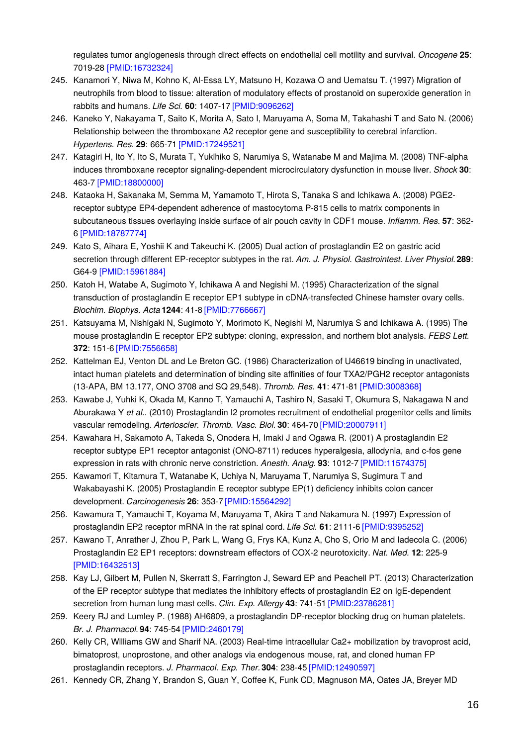regulates tumor angiogenesis through direct effects on endothelial cell motility and survival. *Oncogene* **25**: 7019-28 [\[PMID:16732324\]](http://www.ncbi.nlm.nih.gov/pubmed/16732324?dopt=AbstractPlus)

- 245. Kanamori Y, Niwa M, Kohno K, Al-Essa LY, Matsuno H, Kozawa O and Uematsu T. (1997) Migration of neutrophils from blood to tissue: alteration of modulatory effects of prostanoid on superoxide generation in rabbits and humans. *Life Sci.* **60**: 1407-17 [\[PMID:9096262\]](http://www.ncbi.nlm.nih.gov/pubmed/9096262?dopt=AbstractPlus)
- 246. Kaneko Y, Nakayama T, Saito K, Morita A, Sato I, Maruyama A, Soma M, Takahashi T and Sato N. (2006) Relationship between the thromboxane A2 receptor gene and susceptibility to cerebral infarction. *Hypertens. Res.* **29**: 665-71 [\[PMID:17249521\]](http://www.ncbi.nlm.nih.gov/pubmed/17249521?dopt=AbstractPlus)
- 247. Katagiri H, Ito Y, Ito S, Murata T, Yukihiko S, Narumiya S, Watanabe M and Majima M. (2008) TNF-alpha induces thromboxane receptor signaling-dependent microcirculatory dysfunction in mouse liver. *Shock* **30**: 463-7 [\[PMID:18800000\]](http://www.ncbi.nlm.nih.gov/pubmed/18800000?dopt=AbstractPlus)
- 248. Kataoka H, Sakanaka M, Semma M, Yamamoto T, Hirota S, Tanaka S and Ichikawa A. (2008) PGE2 receptor subtype EP4-dependent adherence of mastocytoma P-815 cells to matrix components in subcutaneous tissues overlaying inside surface of air pouch cavity in CDF1 mouse. *Inflamm. Res.* **57**: 362- 6 [\[PMID:18787774\]](http://www.ncbi.nlm.nih.gov/pubmed/18787774?dopt=AbstractPlus)
- 249. Kato S, Aihara E, Yoshii K and Takeuchi K. (2005) Dual action of prostaglandin E2 on gastric acid secretion through different EP-receptor subtypes in the rat. *Am. J. Physiol. Gastrointest. Liver Physiol.***289**: G64-9 [\[PMID:15961884\]](http://www.ncbi.nlm.nih.gov/pubmed/15961884?dopt=AbstractPlus)
- 250. Katoh H, Watabe A, Sugimoto Y, Ichikawa A and Negishi M. (1995) Characterization of the signal transduction of prostaglandin E receptor EP1 subtype in cDNA-transfected Chinese hamster ovary cells. *Biochim. Biophys. Acta* **1244**: 41-8 [\[PMID:7766667\]](http://www.ncbi.nlm.nih.gov/pubmed/7766667?dopt=AbstractPlus)
- 251. Katsuyama M, Nishigaki N, Sugimoto Y, Morimoto K, Negishi M, Narumiya S and Ichikawa A. (1995) The mouse prostaglandin E receptor EP2 subtype: cloning, expression, and northern blot analysis. *FEBS Lett.* **372**: 151-6 [\[PMID:7556658\]](http://www.ncbi.nlm.nih.gov/pubmed/7556658?dopt=AbstractPlus)
- 252. Kattelman EJ, Venton DL and Le Breton GC. (1986) Characterization of U46619 binding in unactivated, intact human platelets and determination of binding site affinities of four TXA2/PGH2 receptor antagonists (13-APA, BM 13.177, ONO 3708 and SQ 29,548). *Thromb. Res.* **41**: 471-81 [\[PMID:3008368\]](http://www.ncbi.nlm.nih.gov/pubmed/3008368?dopt=AbstractPlus)
- 253. Kawabe J, Yuhki K, Okada M, Kanno T, Yamauchi A, Tashiro N, Sasaki T, Okumura S, Nakagawa N and Aburakawa Y *et al.*. (2010) Prostaglandin I2 promotes recruitment of endothelial progenitor cells and limits vascular remodeling. *Arterioscler. Thromb. Vasc. Biol.* **30**: 464-70 [\[PMID:20007911\]](http://www.ncbi.nlm.nih.gov/pubmed/20007911?dopt=AbstractPlus)
- 254. Kawahara H, Sakamoto A, Takeda S, Onodera H, Imaki J and Ogawa R. (2001) A prostaglandin E2 receptor subtype EP1 receptor antagonist (ONO-8711) reduces hyperalgesia, allodynia, and c-fos gene expression in rats with chronic nerve constriction. *Anesth. Analg.* **93**: 1012-7 [\[PMID:11574375\]](http://www.ncbi.nlm.nih.gov/pubmed/11574375?dopt=AbstractPlus)
- 255. Kawamori T, Kitamura T, Watanabe K, Uchiya N, Maruyama T, Narumiya S, Sugimura T and Wakabayashi K. (2005) Prostaglandin E receptor subtype EP(1) deficiency inhibits colon cancer development. *Carcinogenesis* **26**: 353-7 [\[PMID:15564292\]](http://www.ncbi.nlm.nih.gov/pubmed/15564292?dopt=AbstractPlus)
- 256. Kawamura T, Yamauchi T, Koyama M, Maruyama T, Akira T and Nakamura N. (1997) Expression of prostaglandin EP2 receptor mRNA in the rat spinal cord. *Life Sci.* **61**: 2111-6 [\[PMID:9395252\]](http://www.ncbi.nlm.nih.gov/pubmed/9395252?dopt=AbstractPlus)
- 257. Kawano T, Anrather J, Zhou P, Park L, Wang G, Frys KA, Kunz A, Cho S, Orio M and Iadecola C. (2006) Prostaglandin E2 EP1 receptors: downstream effectors of COX-2 neurotoxicity. *Nat. Med.* **12**: 225-9 [\[PMID:16432513\]](http://www.ncbi.nlm.nih.gov/pubmed/16432513?dopt=AbstractPlus)
- 258. Kay LJ, Gilbert M, Pullen N, Skerratt S, Farrington J, Seward EP and Peachell PT. (2013) Characterization of the EP receptor subtype that mediates the inhibitory effects of prostaglandin E2 on IgE-dependent secretion from human lung mast cells. *Clin. Exp. Allergy* **43**: 741-51 [\[PMID:23786281\]](http://www.ncbi.nlm.nih.gov/pubmed/23786281?dopt=AbstractPlus)
- 259. Keery RJ and Lumley P. (1988) AH6809, a prostaglandin DP-receptor blocking drug on human platelets. *Br. J. Pharmacol.* **94**: 745-54 [\[PMID:2460179\]](http://www.ncbi.nlm.nih.gov/pubmed/2460179?dopt=AbstractPlus)
- 260. Kelly CR, Williams GW and Sharif NA. (2003) Real-time intracellular Ca2+ mobilization by travoprost acid, bimatoprost, unoprostone, and other analogs via endogenous mouse, rat, and cloned human FP prostaglandin receptors. *J. Pharmacol. Exp. Ther.***304**: 238-45 [\[PMID:12490597\]](http://www.ncbi.nlm.nih.gov/pubmed/12490597?dopt=AbstractPlus)
- 261. Kennedy CR, Zhang Y, Brandon S, Guan Y, Coffee K, Funk CD, Magnuson MA, Oates JA, Breyer MD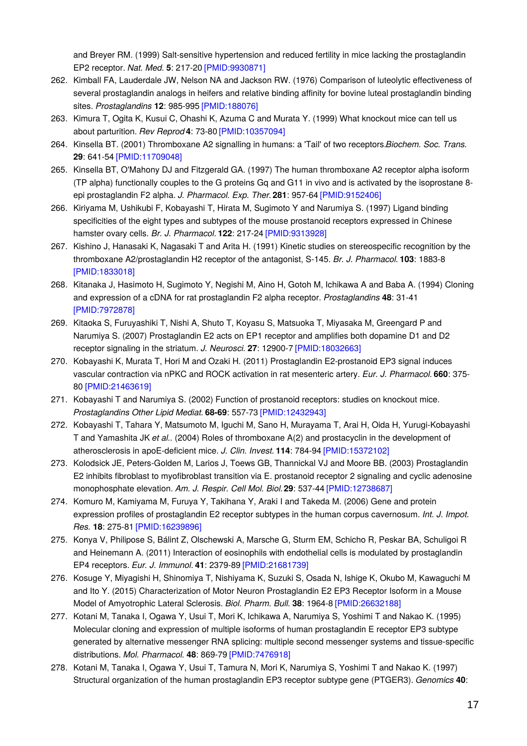and Breyer RM. (1999) Salt-sensitive hypertension and reduced fertility in mice lacking the prostaglandin EP2 receptor. *Nat. Med.* **5**: 217-20 [\[PMID:9930871\]](http://www.ncbi.nlm.nih.gov/pubmed/9930871?dopt=AbstractPlus)

- 262. Kimball FA, Lauderdale JW, Nelson NA and Jackson RW. (1976) Comparison of luteolytic effectiveness of several prostaglandin analogs in heifers and relative binding affinity for bovine luteal prostaglandin binding sites. *Prostaglandins* **12**: 985-995 [\[PMID:188076\]](http://www.ncbi.nlm.nih.gov/pubmed/188076?dopt=AbstractPlus)
- 263. Kimura T, Ogita K, Kusui C, Ohashi K, Azuma C and Murata Y. (1999) What knockout mice can tell us about parturition. *Rev Reprod* **4**: 73-80 [\[PMID:10357094\]](http://www.ncbi.nlm.nih.gov/pubmed/10357094?dopt=AbstractPlus)
- 264. Kinsella BT. (2001) Thromboxane A2 signalling in humans: a 'Tail' of two receptors.*Biochem. Soc. Trans.* **29**: 641-54 [\[PMID:11709048\]](http://www.ncbi.nlm.nih.gov/pubmed/11709048?dopt=AbstractPlus)
- 265. Kinsella BT, O'Mahony DJ and Fitzgerald GA. (1997) The human thromboxane A2 receptor alpha isoform (TP alpha) functionally couples to the G proteins Gq and G11 in vivo and is activated by the isoprostane 8 epi prostaglandin F2 alpha. *J. Pharmacol. Exp. Ther.***281**: 957-64 [\[PMID:9152406\]](http://www.ncbi.nlm.nih.gov/pubmed/9152406?dopt=AbstractPlus)
- 266. Kiriyama M, Ushikubi F, Kobayashi T, Hirata M, Sugimoto Y and Narumiya S. (1997) Ligand binding specificities of the eight types and subtypes of the mouse prostanoid receptors expressed in Chinese hamster ovary cells. *Br. J. Pharmacol.* **122**: 217-24 [\[PMID:9313928\]](http://www.ncbi.nlm.nih.gov/pubmed/9313928?dopt=AbstractPlus)
- 267. Kishino J, Hanasaki K, Nagasaki T and Arita H. (1991) Kinetic studies on stereospecific recognition by the thromboxane A2/prostaglandin H2 receptor of the antagonist, S-145. *Br. J. Pharmacol.* **103**: 1883-8 [\[PMID:1833018\]](http://www.ncbi.nlm.nih.gov/pubmed/1833018?dopt=AbstractPlus)
- 268. Kitanaka J, Hasimoto H, Sugimoto Y, Negishi M, Aino H, Gotoh M, Ichikawa A and Baba A. (1994) Cloning and expression of a cDNA for rat prostaglandin F2 alpha receptor. *Prostaglandins* **48**: 31-41 [\[PMID:7972878\]](http://www.ncbi.nlm.nih.gov/pubmed/7972878?dopt=AbstractPlus)
- 269. Kitaoka S, Furuyashiki T, Nishi A, Shuto T, Koyasu S, Matsuoka T, Miyasaka M, Greengard P and Narumiya S. (2007) Prostaglandin E2 acts on EP1 receptor and amplifies both dopamine D1 and D2 receptor signaling in the striatum. *J. Neurosci.* **27**: 12900-7 [\[PMID:18032663\]](http://www.ncbi.nlm.nih.gov/pubmed/18032663?dopt=AbstractPlus)
- 270. Kobayashi K, Murata T, Hori M and Ozaki H. (2011) Prostaglandin E2-prostanoid EP3 signal induces vascular contraction via nPKC and ROCK activation in rat mesenteric artery. *Eur. J. Pharmacol.* **660**: 375- 80 [\[PMID:21463619\]](http://www.ncbi.nlm.nih.gov/pubmed/21463619?dopt=AbstractPlus)
- 271. Kobayashi T and Narumiya S. (2002) Function of prostanoid receptors: studies on knockout mice. *Prostaglandins Other Lipid Mediat.* **68-69**: 557-73 [\[PMID:12432943\]](http://www.ncbi.nlm.nih.gov/pubmed/12432943?dopt=AbstractPlus)
- 272. Kobayashi T, Tahara Y, Matsumoto M, Iguchi M, Sano H, Murayama T, Arai H, Oida H, Yurugi-Kobayashi T and Yamashita JK *et al.*. (2004) Roles of thromboxane A(2) and prostacyclin in the development of atherosclerosis in apoE-deficient mice. *J. Clin. Invest.* **114**: 784-94 [\[PMID:15372102\]](http://www.ncbi.nlm.nih.gov/pubmed/15372102?dopt=AbstractPlus)
- 273. Kolodsick JE, Peters-Golden M, Larios J, Toews GB, Thannickal VJ and Moore BB. (2003) Prostaglandin E2 inhibits fibroblast to myofibroblast transition via E. prostanoid receptor 2 signaling and cyclic adenosine monophosphate elevation. *Am. J. Respir. Cell Mol. Biol.***29**: 537-44 [\[PMID:12738687\]](http://www.ncbi.nlm.nih.gov/pubmed/12738687?dopt=AbstractPlus)
- 274. Komuro M, Kamiyama M, Furuya Y, Takihana Y, Araki I and Takeda M. (2006) Gene and protein expression profiles of prostaglandin E2 receptor subtypes in the human corpus cavernosum. *Int. J. Impot. Res.* **18**: 275-81 [\[PMID:16239896\]](http://www.ncbi.nlm.nih.gov/pubmed/16239896?dopt=AbstractPlus)
- 275. Konya V, Philipose S, Bálint Z, Olschewski A, Marsche G, Sturm EM, Schicho R, Peskar BA, Schuligoi R and Heinemann A. (2011) Interaction of eosinophils with endothelial cells is modulated by prostaglandin EP4 receptors. *Eur. J. Immunol.* **41**: 2379-89 [\[PMID:21681739\]](http://www.ncbi.nlm.nih.gov/pubmed/21681739?dopt=AbstractPlus)
- 276. Kosuge Y, Miyagishi H, Shinomiya T, Nishiyama K, Suzuki S, Osada N, Ishige K, Okubo M, Kawaguchi M and Ito Y. (2015) Characterization of Motor Neuron Prostaglandin E2 EP3 Receptor Isoform in a Mouse Model of Amyotrophic Lateral Sclerosis. *Biol. Pharm. Bull.* **38**: 1964-8 [\[PMID:26632188\]](http://www.ncbi.nlm.nih.gov/pubmed/26632188?dopt=AbstractPlus)
- 277. Kotani M, Tanaka I, Ogawa Y, Usui T, Mori K, Ichikawa A, Narumiya S, Yoshimi T and Nakao K. (1995) Molecular cloning and expression of multiple isoforms of human prostaglandin E receptor EP3 subtype generated by alternative messenger RNA splicing: multiple second messenger systems and tissue-specific distributions. *Mol. Pharmacol.* **48**: 869-79 [\[PMID:7476918\]](http://www.ncbi.nlm.nih.gov/pubmed/7476918?dopt=AbstractPlus)
- 278. Kotani M, Tanaka I, Ogawa Y, Usui T, Tamura N, Mori K, Narumiya S, Yoshimi T and Nakao K. (1997) Structural organization of the human prostaglandin EP3 receptor subtype gene (PTGER3). *Genomics* **40**: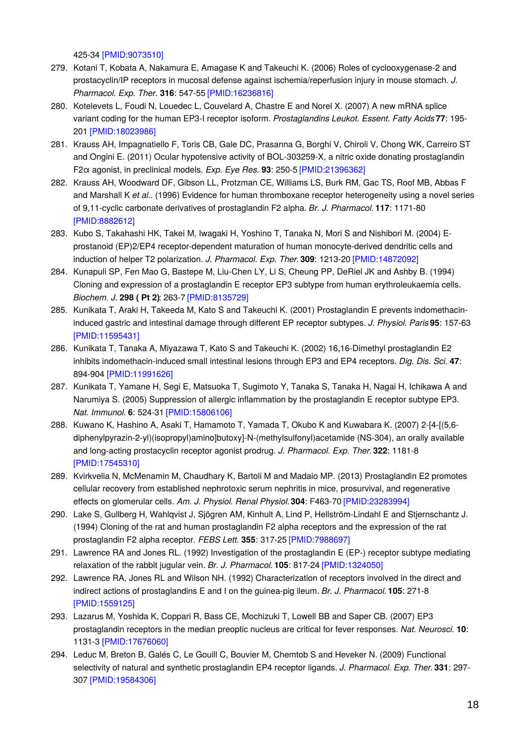425-34 [\[PMID:9073510\]](http://www.ncbi.nlm.nih.gov/pubmed/9073510?dopt=AbstractPlus)

- 279. Kotani T, Kobata A, Nakamura E, Amagase K and Takeuchi K. (2006) Roles of cyclooxygenase-2 and prostacyclin/IP receptors in mucosal defense against ischemia/reperfusion injury in mouse stomach. *J. Pharmacol. Exp. Ther.* **316**: 547-55 [\[PMID:16236816\]](http://www.ncbi.nlm.nih.gov/pubmed/16236816?dopt=AbstractPlus)
- 280. Kotelevets L, Foudi N, Louedec L, Couvelard A, Chastre E and Norel X. (2007) A new mRNA splice variant coding for the human EP3-I receptor isoform. *Prostaglandins Leukot. Essent. Fatty Acids***77**: 195- 201 [\[PMID:18023986\]](http://www.ncbi.nlm.nih.gov/pubmed/18023986?dopt=AbstractPlus)
- 281. Krauss AH, Impagnatiello F, Toris CB, Gale DC, Prasanna G, Borghi V, Chiroli V, Chong WK, Carreiro ST and Ongini E. (2011) Ocular hypotensive activity of BOL-303259-X, a nitric oxide donating prostaglandin F2α agonist, in preclinical models. *Exp. Eye Res.* **93**: 250-5 [\[PMID:21396362\]](http://www.ncbi.nlm.nih.gov/pubmed/21396362?dopt=AbstractPlus)
- 282. Krauss AH, Woodward DF, Gibson LL, Protzman CE, Williams LS, Burk RM, Gac TS, Roof MB, Abbas F and Marshall K *et al.*. (1996) Evidence for human thromboxane receptor heterogeneity using a novel series of 9,11-cyclic carbonate derivatives of prostaglandin F2 alpha. *Br. J. Pharmacol.* **117**: 1171-80 [\[PMID:8882612\]](http://www.ncbi.nlm.nih.gov/pubmed/8882612?dopt=AbstractPlus)
- 283. Kubo S, Takahashi HK, Takei M, Iwagaki H, Yoshino T, Tanaka N, Mori S and Nishibori M. (2004) Eprostanoid (EP)2/EP4 receptor-dependent maturation of human monocyte-derived dendritic cells and induction of helper T2 polarization. *J. Pharmacol. Exp. Ther.***309**: 1213-20 [\[PMID:14872092\]](http://www.ncbi.nlm.nih.gov/pubmed/14872092?dopt=AbstractPlus)
- 284. Kunapuli SP, Fen Mao G, Bastepe M, Liu-Chen LY, Li S, Cheung PP, DeRiel JK and Ashby B. (1994) Cloning and expression of a prostaglandin E receptor EP3 subtype from human erythroleukaemia cells. *Biochem. J.* **298 ( Pt 2)**: 263-7 [\[PMID:8135729\]](http://www.ncbi.nlm.nih.gov/pubmed/8135729?dopt=AbstractPlus)
- 285. Kunikata T, Araki H, Takeeda M, Kato S and Takeuchi K. (2001) Prostaglandin E prevents indomethacininduced gastric and intestinal damage through different EP receptor subtypes. *J. Physiol. Paris* **95**: 157-63 [\[PMID:11595431\]](http://www.ncbi.nlm.nih.gov/pubmed/11595431?dopt=AbstractPlus)
- 286. Kunikata T, Tanaka A, Miyazawa T, Kato S and Takeuchi K. (2002) 16,16-Dimethyl prostaglandin E2 inhibits indomethacin-induced small intestinal lesions through EP3 and EP4 receptors. *Dig. Dis. Sci.* **47**: 894-904 [\[PMID:11991626\]](http://www.ncbi.nlm.nih.gov/pubmed/11991626?dopt=AbstractPlus)
- 287. Kunikata T, Yamane H, Segi E, Matsuoka T, Sugimoto Y, Tanaka S, Tanaka H, Nagai H, Ichikawa A and Narumiya S. (2005) Suppression of allergic inflammation by the prostaglandin E receptor subtype EP3. *Nat. Immunol.* **6**: 524-31 [\[PMID:15806106\]](http://www.ncbi.nlm.nih.gov/pubmed/15806106?dopt=AbstractPlus)
- 288. Kuwano K, Hashino A, Asaki T, Hamamoto T, Yamada T, Okubo K and Kuwabara K. (2007) 2-[4-[(5,6 diphenylpyrazin-2-yl)(isopropyl)amino]butoxy]-N-(methylsulfonyl)acetamide (NS-304), an orally available and long-acting prostacyclin receptor agonist prodrug. *J. Pharmacol. Exp. Ther.***322**: 1181-8 [\[PMID:17545310\]](http://www.ncbi.nlm.nih.gov/pubmed/17545310?dopt=AbstractPlus)
- 289. Kvirkvelia N, McMenamin M, Chaudhary K, Bartoli M and Madaio MP. (2013) Prostaglandin E2 promotes cellular recovery from established nephrotoxic serum nephritis in mice, prosurvival, and regenerative effects on glomerular cells. *Am. J. Physiol. Renal Physiol.***304**: F463-70 [\[PMID:23283994\]](http://www.ncbi.nlm.nih.gov/pubmed/23283994?dopt=AbstractPlus)
- 290. Lake S, Gullberg H, Wahlqvist J, Sjögren AM, Kinhult A, Lind P, Hellström-Lindahl E and Stjernschantz J. (1994) Cloning of the rat and human prostaglandin F2 alpha receptors and the expression of the rat prostaglandin F2 alpha receptor. *FEBS Lett.* **355**: 317-25 [\[PMID:7988697\]](http://www.ncbi.nlm.nih.gov/pubmed/7988697?dopt=AbstractPlus)
- 291. Lawrence RA and Jones RL. (1992) Investigation of the prostaglandin E (EP-) receptor subtype mediating relaxation of the rabbit jugular vein. *Br. J. Pharmacol.* **105**: 817-24 [\[PMID:1324050\]](http://www.ncbi.nlm.nih.gov/pubmed/1324050?dopt=AbstractPlus)
- 292. Lawrence RA, Jones RL and Wilson NH. (1992) Characterization of receptors involved in the direct and indirect actions of prostaglandins E and I on the guinea-pig ileum. *Br. J. Pharmacol.* **105**: 271-8 [\[PMID:1559125\]](http://www.ncbi.nlm.nih.gov/pubmed/1559125?dopt=AbstractPlus)
- 293. Lazarus M, Yoshida K, Coppari R, Bass CE, Mochizuki T, Lowell BB and Saper CB. (2007) EP3 prostaglandin receptors in the median preoptic nucleus are critical for fever responses. *Nat. Neurosci.* **10**: 1131-3 [\[PMID:17676060\]](http://www.ncbi.nlm.nih.gov/pubmed/17676060?dopt=AbstractPlus)
- 294. Leduc M, Breton B, Galés C, Le Gouill C, Bouvier M, Chemtob S and Heveker N. (2009) Functional selectivity of natural and synthetic prostaglandin EP4 receptor ligands. *J. Pharmacol. Exp. Ther.***331**: 297- 307 [\[PMID:19584306\]](http://www.ncbi.nlm.nih.gov/pubmed/19584306?dopt=AbstractPlus)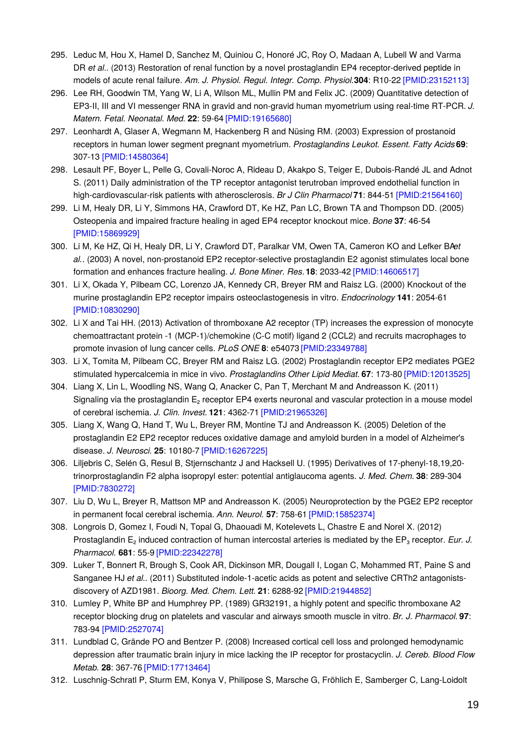- 295. Leduc M, Hou X, Hamel D, Sanchez M, Quiniou C, Honoré JC, Roy O, Madaan A, Lubell W and Varma DR *et al.*. (2013) Restoration of renal function by a novel prostaglandin EP4 receptor-derived peptide in models of acute renal failure. *Am. J. Physiol. Regul. Integr. Comp. Physiol.***304**: R10-22 [\[PMID:23152113\]](http://www.ncbi.nlm.nih.gov/pubmed/23152113?dopt=AbstractPlus)
- 296. Lee RH, Goodwin TM, Yang W, Li A, Wilson ML, Mullin PM and Felix JC. (2009) Quantitative detection of EP3-II, III and VI messenger RNA in gravid and non-gravid human myometrium using real-time RT-PCR. *J. Matern. Fetal. Neonatal. Med.* **22**: 59-64 [\[PMID:19165680\]](http://www.ncbi.nlm.nih.gov/pubmed/19165680?dopt=AbstractPlus)
- 297. Leonhardt A, Glaser A, Wegmann M, Hackenberg R and Nüsing RM. (2003) Expression of prostanoid receptors in human lower segment pregnant myometrium. *Prostaglandins Leukot. Essent. Fatty Acids***69**: 307-13 [\[PMID:14580364\]](http://www.ncbi.nlm.nih.gov/pubmed/14580364?dopt=AbstractPlus)
- 298. Lesault PF, Boyer L, Pelle G, Covali-Noroc A, Rideau D, Akakpo S, Teiger E, Dubois-Randé JL and Adnot S. (2011) Daily administration of the TP receptor antagonist terutroban improved endothelial function in high-cardiovascular-risk patients with atherosclerosis. *Br J Clin Pharmacol* **71**: 844-51 [\[PMID:21564160\]](http://www.ncbi.nlm.nih.gov/pubmed/21564160?dopt=AbstractPlus)
- 299. Li M, Healy DR, Li Y, Simmons HA, Crawford DT, Ke HZ, Pan LC, Brown TA and Thompson DD. (2005) Osteopenia and impaired fracture healing in aged EP4 receptor knockout mice. *Bone* **37**: 46-54 [\[PMID:15869929\]](http://www.ncbi.nlm.nih.gov/pubmed/15869929?dopt=AbstractPlus)
- 300. Li M, Ke HZ, Qi H, Healy DR, Li Y, Crawford DT, Paralkar VM, Owen TA, Cameron KO and Lefker BA*et al.*. (2003) A novel, non-prostanoid EP2 receptor-selective prostaglandin E2 agonist stimulates local bone formation and enhances fracture healing. *J. Bone Miner. Res.***18**: 2033-42 [\[PMID:14606517\]](http://www.ncbi.nlm.nih.gov/pubmed/14606517?dopt=AbstractPlus)
- 301. Li X, Okada Y, Pilbeam CC, Lorenzo JA, Kennedy CR, Breyer RM and Raisz LG. (2000) Knockout of the murine prostaglandin EP2 receptor impairs osteoclastogenesis in vitro. *Endocrinology* **141**: 2054-61 [\[PMID:10830290\]](http://www.ncbi.nlm.nih.gov/pubmed/10830290?dopt=AbstractPlus)
- 302. Li X and Tai HH. (2013) Activation of thromboxane A2 receptor (TP) increases the expression of monocyte chemoattractant protein -1 (MCP-1)/chemokine (C-C motif) ligand 2 (CCL2) and recruits macrophages to promote invasion of lung cancer cells. *PLoS ONE* **8**: e54073 [\[PMID:23349788\]](http://www.ncbi.nlm.nih.gov/pubmed/23349788?dopt=AbstractPlus)
- 303. Li X, Tomita M, Pilbeam CC, Breyer RM and Raisz LG. (2002) Prostaglandin receptor EP2 mediates PGE2 stimulated hypercalcemia in mice in vivo. *Prostaglandins Other Lipid Mediat.* **67**: 173-80 [\[PMID:12013525\]](http://www.ncbi.nlm.nih.gov/pubmed/12013525?dopt=AbstractPlus)
- 304. Liang X, Lin L, Woodling NS, Wang Q, Anacker C, Pan T, Merchant M and Andreasson K. (2011) Signaling via the prostaglandin  $E<sub>2</sub>$  receptor EP4 exerts neuronal and vascular protection in a mouse model of cerebral ischemia. *J. Clin. Invest.* **121**: 4362-71 [\[PMID:21965326\]](http://www.ncbi.nlm.nih.gov/pubmed/21965326?dopt=AbstractPlus)
- 305. Liang X, Wang Q, Hand T, Wu L, Breyer RM, Montine TJ and Andreasson K. (2005) Deletion of the prostaglandin E2 EP2 receptor reduces oxidative damage and amyloid burden in a model of Alzheimer's disease. *J. Neurosci.* **25**: 10180-7 [\[PMID:16267225\]](http://www.ncbi.nlm.nih.gov/pubmed/16267225?dopt=AbstractPlus)
- 306. Liljebris C, Selén G, Resul B, Stjernschantz J and Hacksell U. (1995) Derivatives of 17-phenyl-18,19,20 trinorprostaglandin F2 alpha isopropyl ester: potential antiglaucoma agents. *J. Med. Chem.* **38**: 289-304 [\[PMID:7830272\]](http://www.ncbi.nlm.nih.gov/pubmed/7830272?dopt=AbstractPlus)
- 307. Liu D, Wu L, Breyer R, Mattson MP and Andreasson K. (2005) Neuroprotection by the PGE2 EP2 receptor in permanent focal cerebral ischemia. *Ann. Neurol.* **57**: 758-61 [\[PMID:15852374\]](http://www.ncbi.nlm.nih.gov/pubmed/15852374?dopt=AbstractPlus)
- 308. Longrois D, Gomez I, Foudi N, Topal G, Dhaouadi M, Kotelevets L, Chastre E and Norel X. (2012) Prostaglandin E₂ induced contraction of human intercostal arteries is mediated by the EP₃ receptor. *Eur. J. Pharmacol.* **681**: 55-9 [\[PMID:22342278\]](http://www.ncbi.nlm.nih.gov/pubmed/22342278?dopt=AbstractPlus)
- 309. Luker T, Bonnert R, Brough S, Cook AR, Dickinson MR, Dougall I, Logan C, Mohammed RT, Paine S and Sanganee HJ *et al.*. (2011) Substituted indole-1-acetic acids as potent and selective CRTh2 antagonistsdiscovery of AZD1981. *Bioorg. Med. Chem. Lett.* **21**: 6288-92 [\[PMID:21944852\]](http://www.ncbi.nlm.nih.gov/pubmed/21944852?dopt=AbstractPlus)
- 310. Lumley P, White BP and Humphrey PP. (1989) GR32191, a highly potent and specific thromboxane A2 receptor blocking drug on platelets and vascular and airways smooth muscle in vitro. *Br. J. Pharmacol.* **97**: 783-94 [\[PMID:2527074\]](http://www.ncbi.nlm.nih.gov/pubmed/2527074?dopt=AbstractPlus)
- 311. Lundblad C, Grände PO and Bentzer P. (2008) Increased cortical cell loss and prolonged hemodynamic depression after traumatic brain injury in mice lacking the IP receptor for prostacyclin. *J. Cereb. Blood Flow Metab.* **28**: 367-76 [\[PMID:17713464\]](http://www.ncbi.nlm.nih.gov/pubmed/17713464?dopt=AbstractPlus)
- 312. Luschnig-Schratl P, Sturm EM, Konya V, Philipose S, Marsche G, Fröhlich E, Samberger C, Lang-Loidolt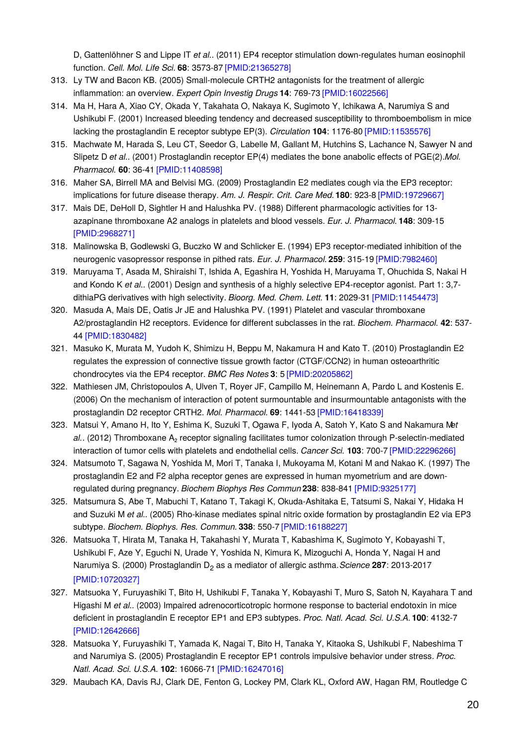D, Gattenlöhner S and Lippe IT *et al.*. (2011) EP4 receptor stimulation down-regulates human eosinophil function. *Cell. Mol. Life Sci.* **68**: 3573-87 [\[PMID:21365278\]](http://www.ncbi.nlm.nih.gov/pubmed/21365278?dopt=AbstractPlus)

- 313. Ly TW and Bacon KB. (2005) Small-molecule CRTH2 antagonists for the treatment of allergic inflammation: an overview. *Expert Opin Investig Drugs* **14**: 769-73 [\[PMID:16022566\]](http://www.ncbi.nlm.nih.gov/pubmed/16022566?dopt=AbstractPlus)
- 314. Ma H, Hara A, Xiao CY, Okada Y, Takahata O, Nakaya K, Sugimoto Y, Ichikawa A, Narumiya S and Ushikubi F. (2001) Increased bleeding tendency and decreased susceptibility to thromboembolism in mice lacking the prostaglandin E receptor subtype EP(3). *Circulation* **104**: 1176-80 [\[PMID:11535576\]](http://www.ncbi.nlm.nih.gov/pubmed/11535576?dopt=AbstractPlus)
- 315. Machwate M, Harada S, Leu CT, Seedor G, Labelle M, Gallant M, Hutchins S, Lachance N, Sawyer N and Slipetz D *et al.*. (2001) Prostaglandin receptor EP(4) mediates the bone anabolic effects of PGE(2).*Mol. Pharmacol.* **60**: 36-41 [\[PMID:11408598\]](http://www.ncbi.nlm.nih.gov/pubmed/11408598?dopt=AbstractPlus)
- 316. Maher SA, Birrell MA and Belvisi MG. (2009) Prostaglandin E2 mediates cough via the EP3 receptor: implications for future disease therapy. *Am. J. Respir. Crit. Care Med.***180**: 923-8 [\[PMID:19729667\]](http://www.ncbi.nlm.nih.gov/pubmed/19729667?dopt=AbstractPlus)
- 317. Mais DE, DeHoll D, Sightler H and Halushka PV. (1988) Different pharmacologic activities for 13 azapinane thromboxane A2 analogs in platelets and blood vessels. *Eur. J. Pharmacol.* **148**: 309-15 [\[PMID:2968271\]](http://www.ncbi.nlm.nih.gov/pubmed/2968271?dopt=AbstractPlus)
- 318. Malinowska B, Godlewski G, Buczko W and Schlicker E. (1994) EP3 receptor-mediated inhibition of the neurogenic vasopressor response in pithed rats. *Eur. J. Pharmacol.* **259**: 315-19 [\[PMID:7982460\]](http://www.ncbi.nlm.nih.gov/pubmed/7982460?dopt=AbstractPlus)
- 319. Maruyama T, Asada M, Shiraishi T, Ishida A, Egashira H, Yoshida H, Maruyama T, Ohuchida S, Nakai H and Kondo K *et al.*. (2001) Design and synthesis of a highly selective EP4-receptor agonist. Part 1: 3,7 dithiaPG derivatives with high selectivity. *Bioorg. Med. Chem. Lett.* **11**: 2029-31 [\[PMID:11454473\]](http://www.ncbi.nlm.nih.gov/pubmed/11454473?dopt=AbstractPlus)
- 320. Masuda A, Mais DE, Oatis Jr JE and Halushka PV. (1991) Platelet and vascular thromboxane A2/prostaglandin H2 receptors. Evidence for different subclasses in the rat. *Biochem. Pharmacol.* **42**: 537- 44 [\[PMID:1830482\]](http://www.ncbi.nlm.nih.gov/pubmed/1830482?dopt=AbstractPlus)
- 321. Masuko K, Murata M, Yudoh K, Shimizu H, Beppu M, Nakamura H and Kato T. (2010) Prostaglandin E2 regulates the expression of connective tissue growth factor (CTGF/CCN2) in human osteoarthritic chondrocytes via the EP4 receptor. *BMC Res Notes* **3**: 5 [\[PMID:20205862\]](http://www.ncbi.nlm.nih.gov/pubmed/20205862?dopt=AbstractPlus)
- 322. Mathiesen JM, Christopoulos A, Ulven T, Royer JF, Campillo M, Heinemann A, Pardo L and Kostenis E. (2006) On the mechanism of interaction of potent surmountable and insurmountable antagonists with the prostaglandin D2 receptor CRTH2. *Mol. Pharmacol.* **69**: 1441-53 [\[PMID:16418339\]](http://www.ncbi.nlm.nih.gov/pubmed/16418339?dopt=AbstractPlus)
- 323. Matsui Y, Amano H, Ito Y, Eshima K, Suzuki T, Ogawa F, Iyoda A, Satoh Y, Kato S and Nakamura M*et* al.. (2012) Thromboxane A<sub>2</sub> receptor signaling facilitates tumor colonization through P-selectin-mediated interaction of tumor cells with platelets and endothelial cells. *Cancer Sci.* **103**: 700-7 [\[PMID:22296266\]](http://www.ncbi.nlm.nih.gov/pubmed/22296266?dopt=AbstractPlus)
- 324. Matsumoto T, Sagawa N, Yoshida M, Mori T, Tanaka I, Mukoyama M, Kotani M and Nakao K. (1997) The prostaglandin E2 and F2 alpha receptor genes are expressed in human myometrium and are downregulated during pregnancy. *Biochem Biophys Res Commun* **238**: 838-841 [\[PMID:9325177\]](http://www.ncbi.nlm.nih.gov/pubmed/9325177?dopt=AbstractPlus)
- 325. Matsumura S, Abe T, Mabuchi T, Katano T, Takagi K, Okuda-Ashitaka E, Tatsumi S, Nakai Y, Hidaka H and Suzuki M *et al.*. (2005) Rho-kinase mediates spinal nitric oxide formation by prostaglandin E2 via EP3 subtype. *Biochem. Biophys. Res. Commun.* **338**: 550-7 [\[PMID:16188227\]](http://www.ncbi.nlm.nih.gov/pubmed/16188227?dopt=AbstractPlus)
- 326. Matsuoka T, Hirata M, Tanaka H, Takahashi Y, Murata T, Kabashima K, Sugimoto Y, Kobayashi T, Ushikubi F, Aze Y, Eguchi N, Urade Y, Yoshida N, Kimura K, Mizoguchi A, Honda Y, Nagai H and Narumiya S. (2000) Prostaglandin D<sup>2</sup> as a mediator of allergic asthma.*Science* **287**: 2013-2017 [\[PMID:10720327\]](http://www.ncbi.nlm.nih.gov/pubmed/10720327?dopt=AbstractPlus)
- 327. Matsuoka Y, Furuyashiki T, Bito H, Ushikubi F, Tanaka Y, Kobayashi T, Muro S, Satoh N, Kayahara T and Higashi M *et al.*. (2003) Impaired adrenocorticotropic hormone response to bacterial endotoxin in mice deficient in prostaglandin E receptor EP1 and EP3 subtypes. *Proc. Natl. Acad. Sci. U.S.A.* **100**: 4132-7 [\[PMID:12642666\]](http://www.ncbi.nlm.nih.gov/pubmed/12642666?dopt=AbstractPlus)
- 328. Matsuoka Y, Furuyashiki T, Yamada K, Nagai T, Bito H, Tanaka Y, Kitaoka S, Ushikubi F, Nabeshima T and Narumiya S. (2005) Prostaglandin E receptor EP1 controls impulsive behavior under stress. *Proc. Natl. Acad. Sci. U.S.A.* **102**: 16066-71 [\[PMID:16247016\]](http://www.ncbi.nlm.nih.gov/pubmed/16247016?dopt=AbstractPlus)
- 329. Maubach KA, Davis RJ, Clark DE, Fenton G, Lockey PM, Clark KL, Oxford AW, Hagan RM, Routledge C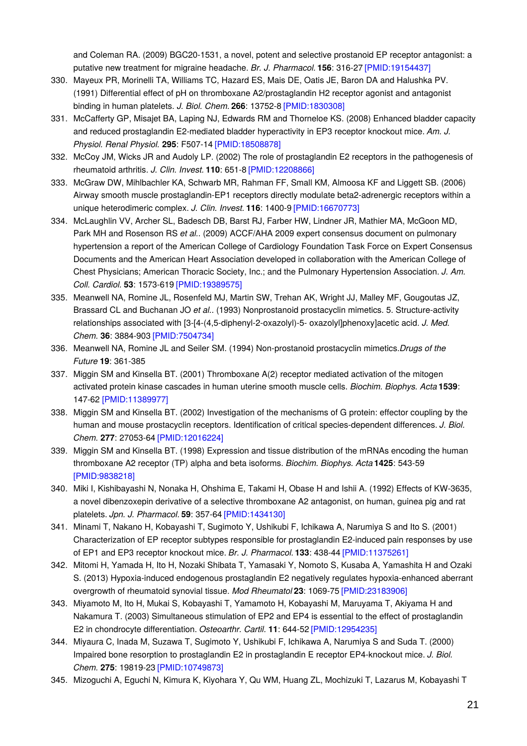and Coleman RA. (2009) BGC20-1531, a novel, potent and selective prostanoid EP receptor antagonist: a putative new treatment for migraine headache. *Br. J. Pharmacol.* **156**: 316-27 [\[PMID:19154437\]](http://www.ncbi.nlm.nih.gov/pubmed/19154437?dopt=AbstractPlus)

- 330. Mayeux PR, Morinelli TA, Williams TC, Hazard ES, Mais DE, Oatis JE, Baron DA and Halushka PV. (1991) Differential effect of pH on thromboxane A2/prostaglandin H2 receptor agonist and antagonist binding in human platelets. *J. Biol. Chem.* **266**: 13752-8 [\[PMID:1830308\]](http://www.ncbi.nlm.nih.gov/pubmed/1830308?dopt=AbstractPlus)
- 331. McCafferty GP, Misajet BA, Laping NJ, Edwards RM and Thorneloe KS. (2008) Enhanced bladder capacity and reduced prostaglandin E2-mediated bladder hyperactivity in EP3 receptor knockout mice. *Am. J. Physiol. Renal Physiol.* **295**: F507-14 [\[PMID:18508878\]](http://www.ncbi.nlm.nih.gov/pubmed/18508878?dopt=AbstractPlus)
- 332. McCoy JM, Wicks JR and Audoly LP. (2002) The role of prostaglandin E2 receptors in the pathogenesis of rheumatoid arthritis. *J. Clin. Invest.* **110**: 651-8 [\[PMID:12208866\]](http://www.ncbi.nlm.nih.gov/pubmed/12208866?dopt=AbstractPlus)
- 333. McGraw DW, Mihlbachler KA, Schwarb MR, Rahman FF, Small KM, Almoosa KF and Liggett SB. (2006) Airway smooth muscle prostaglandin-EP1 receptors directly modulate beta2-adrenergic receptors within a unique heterodimeric complex. *J. Clin. Invest.* **116**: 1400-9 [\[PMID:16670773\]](http://www.ncbi.nlm.nih.gov/pubmed/16670773?dopt=AbstractPlus)
- 334. McLaughlin VV, Archer SL, Badesch DB, Barst RJ, Farber HW, Lindner JR, Mathier MA, McGoon MD, Park MH and Rosenson RS *et al.*. (2009) ACCF/AHA 2009 expert consensus document on pulmonary hypertension a report of the American College of Cardiology Foundation Task Force on Expert Consensus Documents and the American Heart Association developed in collaboration with the American College of Chest Physicians; American Thoracic Society, Inc.; and the Pulmonary Hypertension Association. *J. Am. Coll. Cardiol.* **53**: 1573-619 [\[PMID:19389575\]](http://www.ncbi.nlm.nih.gov/pubmed/19389575?dopt=AbstractPlus)
- 335. Meanwell NA, Romine JL, Rosenfeld MJ, Martin SW, Trehan AK, Wright JJ, Malley MF, Gougoutas JZ, Brassard CL and Buchanan JO *et al.*. (1993) Nonprostanoid prostacyclin mimetics. 5. Structure-activity relationships associated with [3-[4-(4,5-diphenyl-2-oxazolyl)-5- oxazolyl]phenoxy]acetic acid. *J. Med. Chem.* **36**: 3884-903 [\[PMID:7504734\]](http://www.ncbi.nlm.nih.gov/pubmed/7504734?dopt=AbstractPlus)
- 336. Meanwell NA, Romine JL and Seiler SM. (1994) Non-prostanoid prostacyclin mimetics.*Drugs of the Future* **19**: 361-385
- 337. Miggin SM and Kinsella BT. (2001) Thromboxane A(2) receptor mediated activation of the mitogen activated protein kinase cascades in human uterine smooth muscle cells. *Biochim. Biophys. Acta* **1539**: 147-62 [\[PMID:11389977\]](http://www.ncbi.nlm.nih.gov/pubmed/11389977?dopt=AbstractPlus)
- 338. Miggin SM and Kinsella BT. (2002) Investigation of the mechanisms of G protein: effector coupling by the human and mouse prostacyclin receptors. Identification of critical species-dependent differences. *J. Biol. Chem.* **277**: 27053-64 [\[PMID:12016224\]](http://www.ncbi.nlm.nih.gov/pubmed/12016224?dopt=AbstractPlus)
- 339. Miggin SM and Kinsella BT. (1998) Expression and tissue distribution of the mRNAs encoding the human thromboxane A2 receptor (TP) alpha and beta isoforms. *Biochim. Biophys. Acta* **1425**: 543-59 [\[PMID:9838218\]](http://www.ncbi.nlm.nih.gov/pubmed/9838218?dopt=AbstractPlus)
- 340. Miki I, Kishibayashi N, Nonaka H, Ohshima E, Takami H, Obase H and Ishii A. (1992) Effects of KW-3635, a novel dibenzoxepin derivative of a selective thromboxane A2 antagonist, on human, guinea pig and rat platelets. *Jpn. J. Pharmacol.* **59**: 357-64 [\[PMID:1434130\]](http://www.ncbi.nlm.nih.gov/pubmed/1434130?dopt=AbstractPlus)
- 341. Minami T, Nakano H, Kobayashi T, Sugimoto Y, Ushikubi F, Ichikawa A, Narumiya S and Ito S. (2001) Characterization of EP receptor subtypes responsible for prostaglandin E2-induced pain responses by use of EP1 and EP3 receptor knockout mice. *Br. J. Pharmacol.* **133**: 438-44 [\[PMID:11375261\]](http://www.ncbi.nlm.nih.gov/pubmed/11375261?dopt=AbstractPlus)
- 342. Mitomi H, Yamada H, Ito H, Nozaki Shibata T, Yamasaki Y, Nomoto S, Kusaba A, Yamashita H and Ozaki S. (2013) Hypoxia-induced endogenous prostaglandin E2 negatively regulates hypoxia-enhanced aberrant overgrowth of rheumatoid synovial tissue. *Mod Rheumatol* **23**: 1069-75 [\[PMID:23183906\]](http://www.ncbi.nlm.nih.gov/pubmed/23183906?dopt=AbstractPlus)
- 343. Miyamoto M, Ito H, Mukai S, Kobayashi T, Yamamoto H, Kobayashi M, Maruyama T, Akiyama H and Nakamura T. (2003) Simultaneous stimulation of EP2 and EP4 is essential to the effect of prostaglandin E2 in chondrocyte differentiation. *Osteoarthr. Cartil.* **11**: 644-52 [\[PMID:12954235\]](http://www.ncbi.nlm.nih.gov/pubmed/12954235?dopt=AbstractPlus)
- 344. Miyaura C, Inada M, Suzawa T, Sugimoto Y, Ushikubi F, Ichikawa A, Narumiya S and Suda T. (2000) Impaired bone resorption to prostaglandin E2 in prostaglandin E receptor EP4-knockout mice. *J. Biol. Chem.* **275**: 19819-23 [\[PMID:10749873\]](http://www.ncbi.nlm.nih.gov/pubmed/10749873?dopt=AbstractPlus)
- 345. Mizoguchi A, Eguchi N, Kimura K, Kiyohara Y, Qu WM, Huang ZL, Mochizuki T, Lazarus M, Kobayashi T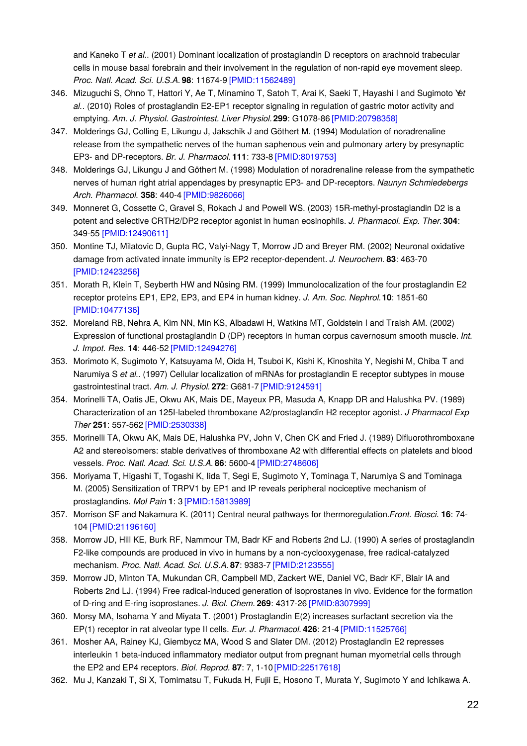and Kaneko T *et al.*. (2001) Dominant localization of prostaglandin D receptors on arachnoid trabecular cells in mouse basal forebrain and their involvement in the regulation of non-rapid eye movement sleep. *Proc. Natl. Acad. Sci. U.S.A.* **98**: 11674-9 [\[PMID:11562489\]](http://www.ncbi.nlm.nih.gov/pubmed/11562489?dopt=AbstractPlus)

- 346. Mizuguchi S, Ohno T, Hattori Y, Ae T, Minamino T, Satoh T, Arai K, Saeki T, Hayashi I and Sugimoto Y*et al.*. (2010) Roles of prostaglandin E2-EP1 receptor signaling in regulation of gastric motor activity and emptying. *Am. J. Physiol. Gastrointest. Liver Physiol.***299**: G1078-86 [\[PMID:20798358\]](http://www.ncbi.nlm.nih.gov/pubmed/20798358?dopt=AbstractPlus)
- 347. Molderings GJ, Colling E, Likungu J, Jakschik J and Göthert M. (1994) Modulation of noradrenaline release from the sympathetic nerves of the human saphenous vein and pulmonary artery by presynaptic EP3- and DP-receptors. *Br. J. Pharmacol.* **111**: 733-8 [\[PMID:8019753\]](http://www.ncbi.nlm.nih.gov/pubmed/8019753?dopt=AbstractPlus)
- 348. Molderings GJ, Likungu J and Göthert M. (1998) Modulation of noradrenaline release from the sympathetic nerves of human right atrial appendages by presynaptic EP3- and DP-receptors. *Naunyn Schmiedebergs Arch. Pharmacol.* **358**: 440-4 [\[PMID:9826066\]](http://www.ncbi.nlm.nih.gov/pubmed/9826066?dopt=AbstractPlus)
- 349. Monneret G, Cossette C, Gravel S, Rokach J and Powell WS. (2003) 15R-methyl-prostaglandin D2 is a potent and selective CRTH2/DP2 receptor agonist in human eosinophils. *J. Pharmacol. Exp. Ther.***304**: 349-55 [\[PMID:12490611\]](http://www.ncbi.nlm.nih.gov/pubmed/12490611?dopt=AbstractPlus)
- 350. Montine TJ, Milatovic D, Gupta RC, Valyi-Nagy T, Morrow JD and Breyer RM. (2002) Neuronal oxidative damage from activated innate immunity is EP2 receptor-dependent. *J. Neurochem.* **83**: 463-70 [\[PMID:12423256\]](http://www.ncbi.nlm.nih.gov/pubmed/12423256?dopt=AbstractPlus)
- 351. Morath R, Klein T, Seyberth HW and Nüsing RM. (1999) Immunolocalization of the four prostaglandin E2 receptor proteins EP1, EP2, EP3, and EP4 in human kidney. *J. Am. Soc. Nephrol.***10**: 1851-60 [\[PMID:10477136\]](http://www.ncbi.nlm.nih.gov/pubmed/10477136?dopt=AbstractPlus)
- 352. Moreland RB, Nehra A, Kim NN, Min KS, Albadawi H, Watkins MT, Goldstein I and Traish AM. (2002) Expression of functional prostaglandin D (DP) receptors in human corpus cavernosum smooth muscle. *Int. J. Impot. Res.* **14**: 446-52 [\[PMID:12494276\]](http://www.ncbi.nlm.nih.gov/pubmed/12494276?dopt=AbstractPlus)
- 353. Morimoto K, Sugimoto Y, Katsuyama M, Oida H, Tsuboi K, Kishi K, Kinoshita Y, Negishi M, Chiba T and Narumiya S *et al.*. (1997) Cellular localization of mRNAs for prostaglandin E receptor subtypes in mouse gastrointestinal tract. *Am. J. Physiol.* **272**: G681-7 [\[PMID:9124591\]](http://www.ncbi.nlm.nih.gov/pubmed/9124591?dopt=AbstractPlus)
- 354. Morinelli TA, Oatis JE, Okwu AK, Mais DE, Mayeux PR, Masuda A, Knapp DR and Halushka PV. (1989) Characterization of an 125I-labeled thromboxane A2/prostaglandin H2 receptor agonist. *J Pharmacol Exp Ther* **251**: 557-562 [\[PMID:2530338\]](http://www.ncbi.nlm.nih.gov/pubmed/2530338?dopt=AbstractPlus)
- 355. Morinelli TA, Okwu AK, Mais DE, Halushka PV, John V, Chen CK and Fried J. (1989) Difluorothromboxane A2 and stereoisomers: stable derivatives of thromboxane A2 with differential effects on platelets and blood vessels. *Proc. Natl. Acad. Sci. U.S.A.* **86**: 5600-4 [\[PMID:2748606\]](http://www.ncbi.nlm.nih.gov/pubmed/2748606?dopt=AbstractPlus)
- 356. Moriyama T, Higashi T, Togashi K, Iida T, Segi E, Sugimoto Y, Tominaga T, Narumiya S and Tominaga M. (2005) Sensitization of TRPV1 by EP1 and IP reveals peripheral nociceptive mechanism of prostaglandins. *Mol Pain* **1**: 3 [\[PMID:15813989\]](http://www.ncbi.nlm.nih.gov/pubmed/15813989?dopt=AbstractPlus)
- 357. Morrison SF and Nakamura K. (2011) Central neural pathways for thermoregulation.*Front. Biosci.* **16**: 74- 104 [\[PMID:21196160\]](http://www.ncbi.nlm.nih.gov/pubmed/21196160?dopt=AbstractPlus)
- 358. Morrow JD, Hill KE, Burk RF, Nammour TM, Badr KF and Roberts 2nd LJ. (1990) A series of prostaglandin F2-like compounds are produced in vivo in humans by a non-cyclooxygenase, free radical-catalyzed mechanism. *Proc. Natl. Acad. Sci. U.S.A.* **87**: 9383-7 [\[PMID:2123555\]](http://www.ncbi.nlm.nih.gov/pubmed/2123555?dopt=AbstractPlus)
- 359. Morrow JD, Minton TA, Mukundan CR, Campbell MD, Zackert WE, Daniel VC, Badr KF, Blair IA and Roberts 2nd LJ. (1994) Free radical-induced generation of isoprostanes in vivo. Evidence for the formation of D-ring and E-ring isoprostanes. *J. Biol. Chem.* **269**: 4317-26 [\[PMID:8307999\]](http://www.ncbi.nlm.nih.gov/pubmed/8307999?dopt=AbstractPlus)
- 360. Morsy MA, Isohama Y and Miyata T. (2001) Prostaglandin E(2) increases surfactant secretion via the EP(1) receptor in rat alveolar type II cells. *Eur. J. Pharmacol.* **426**: 21-4 [\[PMID:11525766\]](http://www.ncbi.nlm.nih.gov/pubmed/11525766?dopt=AbstractPlus)
- 361. Mosher AA, Rainey KJ, Giembycz MA, Wood S and Slater DM. (2012) Prostaglandin E2 represses interleukin 1 beta-induced inflammatory mediator output from pregnant human myometrial cells through the EP2 and EP4 receptors. *Biol. Reprod.* **87**: 7, 1-10 [\[PMID:22517618\]](http://www.ncbi.nlm.nih.gov/pubmed/22517618?dopt=AbstractPlus)
- 362. Mu J, Kanzaki T, Si X, Tomimatsu T, Fukuda H, Fujii E, Hosono T, Murata Y, Sugimoto Y and Ichikawa A.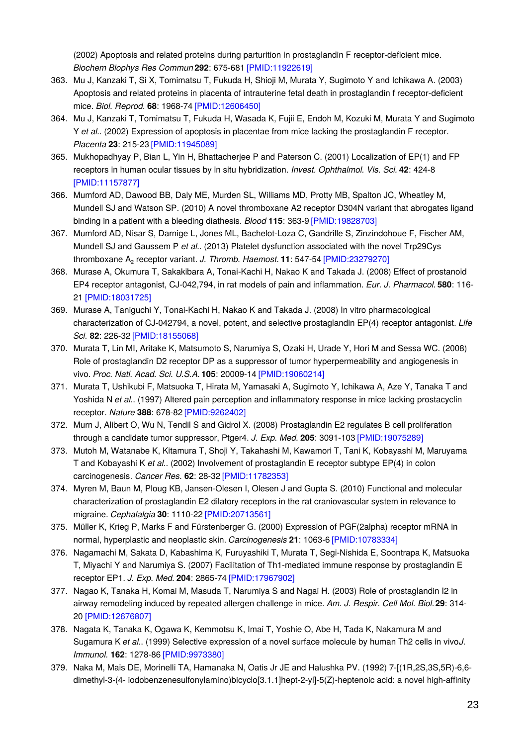(2002) Apoptosis and related proteins during parturition in prostaglandin F receptor-deficient mice. *Biochem Biophys Res Commun* **292**: 675-681 [\[PMID:11922619\]](http://www.ncbi.nlm.nih.gov/pubmed/11922619?dopt=AbstractPlus)

- 363. Mu J, Kanzaki T, Si X, Tomimatsu T, Fukuda H, Shioji M, Murata Y, Sugimoto Y and Ichikawa A. (2003) Apoptosis and related proteins in placenta of intrauterine fetal death in prostaglandin f receptor-deficient mice. *Biol. Reprod.* **68**: 1968-74 [\[PMID:12606450\]](http://www.ncbi.nlm.nih.gov/pubmed/12606450?dopt=AbstractPlus)
- 364. Mu J, Kanzaki T, Tomimatsu T, Fukuda H, Wasada K, Fujii E, Endoh M, Kozuki M, Murata Y and Sugimoto Y *et al.*. (2002) Expression of apoptosis in placentae from mice lacking the prostaglandin F receptor. *Placenta* **23**: 215-23 [\[PMID:11945089\]](http://www.ncbi.nlm.nih.gov/pubmed/11945089?dopt=AbstractPlus)
- 365. Mukhopadhyay P, Bian L, Yin H, Bhattacherjee P and Paterson C. (2001) Localization of EP(1) and FP receptors in human ocular tissues by in situ hybridization. *Invest. Ophthalmol. Vis. Sci.* **42**: 424-8 [\[PMID:11157877\]](http://www.ncbi.nlm.nih.gov/pubmed/11157877?dopt=AbstractPlus)
- 366. Mumford AD, Dawood BB, Daly ME, Murden SL, Williams MD, Protty MB, Spalton JC, Wheatley M, Mundell SJ and Watson SP. (2010) A novel thromboxane A2 receptor D304N variant that abrogates ligand binding in a patient with a bleeding diathesis. *Blood* **115**: 363-9 [\[PMID:19828703\]](http://www.ncbi.nlm.nih.gov/pubmed/19828703?dopt=AbstractPlus)
- 367. Mumford AD, Nisar S, Darnige L, Jones ML, Bachelot-Loza C, Gandrille S, Zinzindohoue F, Fischer AM, Mundell SJ and Gaussem P *et al.*. (2013) Platelet dysfunction associated with the novel Trp29Cys thromboxane A₂ receptor variant. *J. Thromb. Haemost.* **11**: 547-54 [\[PMID:23279270\]](http://www.ncbi.nlm.nih.gov/pubmed/23279270?dopt=AbstractPlus)
- 368. Murase A, Okumura T, Sakakibara A, Tonai-Kachi H, Nakao K and Takada J. (2008) Effect of prostanoid EP4 receptor antagonist, CJ-042,794, in rat models of pain and inflammation. *Eur. J. Pharmacol.* **580**: 116- 21 [\[PMID:18031725\]](http://www.ncbi.nlm.nih.gov/pubmed/18031725?dopt=AbstractPlus)
- 369. Murase A, Taniguchi Y, Tonai-Kachi H, Nakao K and Takada J. (2008) In vitro pharmacological characterization of CJ-042794, a novel, potent, and selective prostaglandin EP(4) receptor antagonist. *Life Sci.* **82**: 226-32 [\[PMID:18155068\]](http://www.ncbi.nlm.nih.gov/pubmed/18155068?dopt=AbstractPlus)
- 370. Murata T, Lin MI, Aritake K, Matsumoto S, Narumiya S, Ozaki H, Urade Y, Hori M and Sessa WC. (2008) Role of prostaglandin D2 receptor DP as a suppressor of tumor hyperpermeability and angiogenesis in vivo. *Proc. Natl. Acad. Sci. U.S.A.* **105**: 20009-14 [\[PMID:19060214\]](http://www.ncbi.nlm.nih.gov/pubmed/19060214?dopt=AbstractPlus)
- 371. Murata T, Ushikubi F, Matsuoka T, Hirata M, Yamasaki A, Sugimoto Y, Ichikawa A, Aze Y, Tanaka T and Yoshida N *et al.*. (1997) Altered pain perception and inflammatory response in mice lacking prostacyclin receptor. *Nature* **388**: 678-82 [\[PMID:9262402\]](http://www.ncbi.nlm.nih.gov/pubmed/9262402?dopt=AbstractPlus)
- 372. Murn J, Alibert O, Wu N, Tendil S and Gidrol X. (2008) Prostaglandin E2 regulates B cell proliferation through a candidate tumor suppressor, Ptger4. *J. Exp. Med.* **205**: 3091-103 [\[PMID:19075289\]](http://www.ncbi.nlm.nih.gov/pubmed/19075289?dopt=AbstractPlus)
- 373. Mutoh M, Watanabe K, Kitamura T, Shoji Y, Takahashi M, Kawamori T, Tani K, Kobayashi M, Maruyama T and Kobayashi K *et al.*. (2002) Involvement of prostaglandin E receptor subtype EP(4) in colon carcinogenesis. *Cancer Res.* **62**: 28-32 [\[PMID:11782353\]](http://www.ncbi.nlm.nih.gov/pubmed/11782353?dopt=AbstractPlus)
- 374. Myren M, Baun M, Ploug KB, Jansen-Olesen I, Olesen J and Gupta S. (2010) Functional and molecular characterization of prostaglandin E2 dilatory receptors in the rat craniovascular system in relevance to migraine. *Cephalalgia* **30**: 1110-22 [\[PMID:20713561\]](http://www.ncbi.nlm.nih.gov/pubmed/20713561?dopt=AbstractPlus)
- 375. Müller K, Krieg P, Marks F and Fürstenberger G. (2000) Expression of PGF(2alpha) receptor mRNA in normal, hyperplastic and neoplastic skin. *Carcinogenesis* **21**: 1063-6 [\[PMID:10783334\]](http://www.ncbi.nlm.nih.gov/pubmed/10783334?dopt=AbstractPlus)
- 376. Nagamachi M, Sakata D, Kabashima K, Furuyashiki T, Murata T, Segi-Nishida E, Soontrapa K, Matsuoka T, Miyachi Y and Narumiya S. (2007) Facilitation of Th1-mediated immune response by prostaglandin E receptor EP1. *J. Exp. Med.* **204**: 2865-74 [\[PMID:17967902\]](http://www.ncbi.nlm.nih.gov/pubmed/17967902?dopt=AbstractPlus)
- 377. Nagao K, Tanaka H, Komai M, Masuda T, Narumiya S and Nagai H. (2003) Role of prostaglandin I2 in airway remodeling induced by repeated allergen challenge in mice. *Am. J. Respir. Cell Mol. Biol.***29**: 314- 20 [\[PMID:12676807\]](http://www.ncbi.nlm.nih.gov/pubmed/12676807?dopt=AbstractPlus)
- 378. Nagata K, Tanaka K, Ogawa K, Kemmotsu K, Imai T, Yoshie O, Abe H, Tada K, Nakamura M and Sugamura K *et al.*. (1999) Selective expression of a novel surface molecule by human Th2 cells in vivo.*J. Immunol.* **162**: 1278-86 [\[PMID:9973380\]](http://www.ncbi.nlm.nih.gov/pubmed/9973380?dopt=AbstractPlus)
- 379. Naka M, Mais DE, Morinelli TA, Hamanaka N, Oatis Jr JE and Halushka PV. (1992) 7-[(1R,2S,3S,5R)-6,6 dimethyl-3-(4- iodobenzenesulfonylamino)bicyclo[3.1.1]hept-2-yl]-5(Z)-heptenoic acid: a novel high-affinity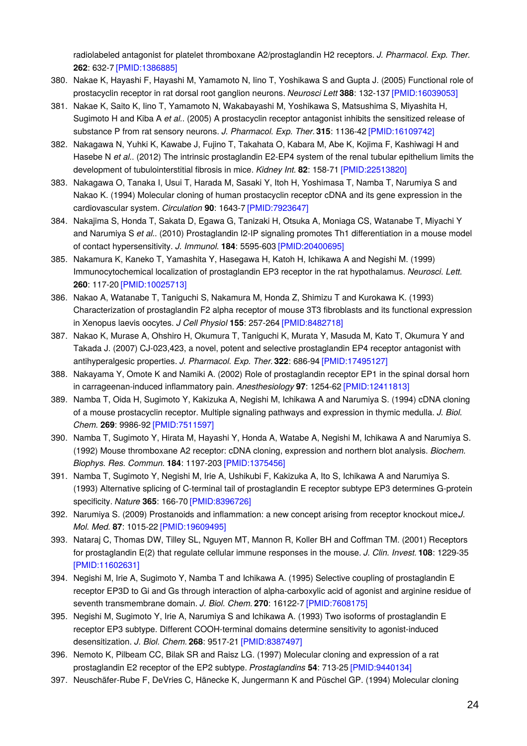radiolabeled antagonist for platelet thromboxane A2/prostaglandin H2 receptors. *J. Pharmacol. Exp. Ther.* **262**: 632-7 [\[PMID:1386885\]](http://www.ncbi.nlm.nih.gov/pubmed/1386885?dopt=AbstractPlus)

- 380. Nakae K, Hayashi F, Hayashi M, Yamamoto N, Iino T, Yoshikawa S and Gupta J. (2005) Functional role of prostacyclin receptor in rat dorsal root ganglion neurons. *Neurosci Lett* **388**: 132-137 [\[PMID:16039053\]](http://www.ncbi.nlm.nih.gov/pubmed/16039053?dopt=AbstractPlus)
- 381. Nakae K, Saito K, Iino T, Yamamoto N, Wakabayashi M, Yoshikawa S, Matsushima S, Miyashita H, Sugimoto H and Kiba A *et al.*. (2005) A prostacyclin receptor antagonist inhibits the sensitized release of substance P from rat sensory neurons. *J. Pharmacol. Exp. Ther.***315**: 1136-42 [\[PMID:16109742\]](http://www.ncbi.nlm.nih.gov/pubmed/16109742?dopt=AbstractPlus)
- 382. Nakagawa N, Yuhki K, Kawabe J, Fujino T, Takahata O, Kabara M, Abe K, Kojima F, Kashiwagi H and Hasebe N *et al.*. (2012) The intrinsic prostaglandin E2-EP4 system of the renal tubular epithelium limits the development of tubulointerstitial fibrosis in mice. *Kidney Int.* **82**: 158-71 [\[PMID:22513820\]](http://www.ncbi.nlm.nih.gov/pubmed/22513820?dopt=AbstractPlus)
- 383. Nakagawa O, Tanaka I, Usui T, Harada M, Sasaki Y, Itoh H, Yoshimasa T, Namba T, Narumiya S and Nakao K. (1994) Molecular cloning of human prostacyclin receptor cDNA and its gene expression in the cardiovascular system. *Circulation* **90**: 1643-7 [\[PMID:7923647\]](http://www.ncbi.nlm.nih.gov/pubmed/7923647?dopt=AbstractPlus)
- 384. Nakajima S, Honda T, Sakata D, Egawa G, Tanizaki H, Otsuka A, Moniaga CS, Watanabe T, Miyachi Y and Narumiya S *et al.*. (2010) Prostaglandin I2-IP signaling promotes Th1 differentiation in a mouse model of contact hypersensitivity. *J. Immunol.* **184**: 5595-603 [\[PMID:20400695\]](http://www.ncbi.nlm.nih.gov/pubmed/20400695?dopt=AbstractPlus)
- 385. Nakamura K, Kaneko T, Yamashita Y, Hasegawa H, Katoh H, Ichikawa A and Negishi M. (1999) Immunocytochemical localization of prostaglandin EP3 receptor in the rat hypothalamus. *Neurosci. Lett.* **260**: 117-20 [\[PMID:10025713\]](http://www.ncbi.nlm.nih.gov/pubmed/10025713?dopt=AbstractPlus)
- 386. Nakao A, Watanabe T, Taniguchi S, Nakamura M, Honda Z, Shimizu T and Kurokawa K. (1993) Characterization of prostaglandin F2 alpha receptor of mouse 3T3 fibroblasts and its functional expression in Xenopus laevis oocytes. *J Cell Physiol* **155**: 257-264 [\[PMID:8482718\]](http://www.ncbi.nlm.nih.gov/pubmed/8482718?dopt=AbstractPlus)
- 387. Nakao K, Murase A, Ohshiro H, Okumura T, Taniguchi K, Murata Y, Masuda M, Kato T, Okumura Y and Takada J. (2007) CJ-023,423, a novel, potent and selective prostaglandin EP4 receptor antagonist with antihyperalgesic properties. *J. Pharmacol. Exp. Ther.***322**: 686-94 [\[PMID:17495127\]](http://www.ncbi.nlm.nih.gov/pubmed/17495127?dopt=AbstractPlus)
- 388. Nakayama Y, Omote K and Namiki A. (2002) Role of prostaglandin receptor EP1 in the spinal dorsal horn in carrageenan-induced inflammatory pain. *Anesthesiology* **97**: 1254-62 [\[PMID:12411813\]](http://www.ncbi.nlm.nih.gov/pubmed/12411813?dopt=AbstractPlus)
- 389. Namba T, Oida H, Sugimoto Y, Kakizuka A, Negishi M, Ichikawa A and Narumiya S. (1994) cDNA cloning of a mouse prostacyclin receptor. Multiple signaling pathways and expression in thymic medulla. *J. Biol. Chem.* **269**: 9986-92 [\[PMID:7511597\]](http://www.ncbi.nlm.nih.gov/pubmed/7511597?dopt=AbstractPlus)
- 390. Namba T, Sugimoto Y, Hirata M, Hayashi Y, Honda A, Watabe A, Negishi M, Ichikawa A and Narumiya S. (1992) Mouse thromboxane A2 receptor: cDNA cloning, expression and northern blot analysis. *Biochem. Biophys. Res. Commun.* **184**: 1197-203 [\[PMID:1375456\]](http://www.ncbi.nlm.nih.gov/pubmed/1375456?dopt=AbstractPlus)
- 391. Namba T, Sugimoto Y, Negishi M, Irie A, Ushikubi F, Kakizuka A, Ito S, Ichikawa A and Narumiya S. (1993) Alternative splicing of C-terminal tail of prostaglandin E receptor subtype EP3 determines G-protein specificity. *Nature* **365**: 166-70 [\[PMID:8396726\]](http://www.ncbi.nlm.nih.gov/pubmed/8396726?dopt=AbstractPlus)
- 392. Narumiya S. (2009) Prostanoids and inflammation: a new concept arising from receptor knockout mice.*J. Mol. Med.* **87**: 1015-22 [\[PMID:19609495\]](http://www.ncbi.nlm.nih.gov/pubmed/19609495?dopt=AbstractPlus)
- 393. Nataraj C, Thomas DW, Tilley SL, Nguyen MT, Mannon R, Koller BH and Coffman TM. (2001) Receptors for prostaglandin E(2) that regulate cellular immune responses in the mouse. *J. Clin. Invest.* **108**: 1229-35 [\[PMID:11602631\]](http://www.ncbi.nlm.nih.gov/pubmed/11602631?dopt=AbstractPlus)
- 394. Negishi M, Irie A, Sugimoto Y, Namba T and Ichikawa A. (1995) Selective coupling of prostaglandin E receptor EP3D to Gi and Gs through interaction of alpha-carboxylic acid of agonist and arginine residue of seventh transmembrane domain. *J. Biol. Chem.* **270**: 16122-7 [\[PMID:7608175\]](http://www.ncbi.nlm.nih.gov/pubmed/7608175?dopt=AbstractPlus)
- 395. Negishi M, Sugimoto Y, Irie A, Narumiya S and Ichikawa A. (1993) Two isoforms of prostaglandin E receptor EP3 subtype. Different COOH-terminal domains determine sensitivity to agonist-induced desensitization. *J. Biol. Chem.* **268**: 9517-21 [\[PMID:8387497\]](http://www.ncbi.nlm.nih.gov/pubmed/8387497?dopt=AbstractPlus)
- 396. Nemoto K, Pilbeam CC, Bilak SR and Raisz LG. (1997) Molecular cloning and expression of a rat prostaglandin E2 receptor of the EP2 subtype. *Prostaglandins* **54**: 713-25 [\[PMID:9440134\]](http://www.ncbi.nlm.nih.gov/pubmed/9440134?dopt=AbstractPlus)
- 397. Neuschäfer-Rube F, DeVries C, Hänecke K, Jungermann K and Püschel GP. (1994) Molecular cloning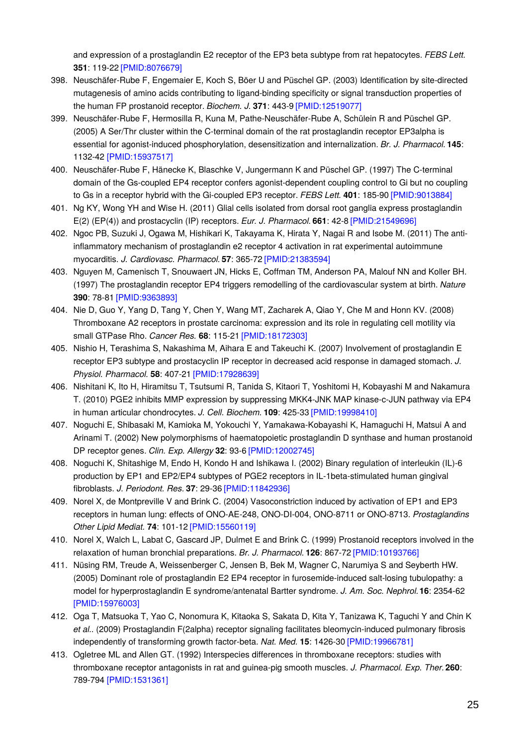and expression of a prostaglandin E2 receptor of the EP3 beta subtype from rat hepatocytes. *FEBS Lett.* **351**: 119-22 [\[PMID:8076679\]](http://www.ncbi.nlm.nih.gov/pubmed/8076679?dopt=AbstractPlus)

- 398. Neuschäfer-Rube F, Engemaier E, Koch S, Böer U and Püschel GP. (2003) Identification by site-directed mutagenesis of amino acids contributing to ligand-binding specificity or signal transduction properties of the human FP prostanoid receptor. *Biochem. J.* **371**: 443-9 [\[PMID:12519077\]](http://www.ncbi.nlm.nih.gov/pubmed/12519077?dopt=AbstractPlus)
- 399. Neuschäfer-Rube F, Hermosilla R, Kuna M, Pathe-Neuschäfer-Rube A, Schülein R and Püschel GP. (2005) A Ser/Thr cluster within the C-terminal domain of the rat prostaglandin receptor EP3alpha is essential for agonist-induced phosphorylation, desensitization and internalization. *Br. J. Pharmacol.* **145**: 1132-42 [\[PMID:15937517\]](http://www.ncbi.nlm.nih.gov/pubmed/15937517?dopt=AbstractPlus)
- 400. Neuschäfer-Rube F, Hänecke K, Blaschke V, Jungermann K and Püschel GP. (1997) The C-terminal domain of the Gs-coupled EP4 receptor confers agonist-dependent coupling control to Gi but no coupling to Gs in a receptor hybrid with the Gi-coupled EP3 receptor. *FEBS Lett.* **401**: 185-90 [\[PMID:9013884\]](http://www.ncbi.nlm.nih.gov/pubmed/9013884?dopt=AbstractPlus)
- 401. Ng KY, Wong YH and Wise H. (2011) Glial cells isolated from dorsal root ganglia express prostaglandin E(2) (EP(4)) and prostacyclin (IP) receptors. *Eur. J. Pharmacol.* **661**: 42-8 [\[PMID:21549696\]](http://www.ncbi.nlm.nih.gov/pubmed/21549696?dopt=AbstractPlus)
- 402. Ngoc PB, Suzuki J, Ogawa M, Hishikari K, Takayama K, Hirata Y, Nagai R and Isobe M. (2011) The antiinflammatory mechanism of prostaglandin e2 receptor 4 activation in rat experimental autoimmune myocarditis. *J. Cardiovasc. Pharmacol.* **57**: 365-72 [\[PMID:21383594\]](http://www.ncbi.nlm.nih.gov/pubmed/21383594?dopt=AbstractPlus)
- 403. Nguyen M, Camenisch T, Snouwaert JN, Hicks E, Coffman TM, Anderson PA, Malouf NN and Koller BH. (1997) The prostaglandin receptor EP4 triggers remodelling of the cardiovascular system at birth. *Nature* **390**: 78-81 [\[PMID:9363893\]](http://www.ncbi.nlm.nih.gov/pubmed/9363893?dopt=AbstractPlus)
- 404. Nie D, Guo Y, Yang D, Tang Y, Chen Y, Wang MT, Zacharek A, Qiao Y, Che M and Honn KV. (2008) Thromboxane A2 receptors in prostate carcinoma: expression and its role in regulating cell motility via small GTPase Rho. *Cancer Res.* **68**: 115-21 [\[PMID:18172303\]](http://www.ncbi.nlm.nih.gov/pubmed/18172303?dopt=AbstractPlus)
- 405. Nishio H, Terashima S, Nakashima M, Aihara E and Takeuchi K. (2007) Involvement of prostaglandin E receptor EP3 subtype and prostacyclin IP receptor in decreased acid response in damaged stomach. *J. Physiol. Pharmacol.* **58**: 407-21 [\[PMID:17928639\]](http://www.ncbi.nlm.nih.gov/pubmed/17928639?dopt=AbstractPlus)
- 406. Nishitani K, Ito H, Hiramitsu T, Tsutsumi R, Tanida S, Kitaori T, Yoshitomi H, Kobayashi M and Nakamura T. (2010) PGE2 inhibits MMP expression by suppressing MKK4-JNK MAP kinase-c-JUN pathway via EP4 in human articular chondrocytes. *J. Cell. Biochem.* **109**: 425-33 [\[PMID:19998410\]](http://www.ncbi.nlm.nih.gov/pubmed/19998410?dopt=AbstractPlus)
- 407. Noguchi E, Shibasaki M, Kamioka M, Yokouchi Y, Yamakawa-Kobayashi K, Hamaguchi H, Matsui A and Arinami T. (2002) New polymorphisms of haematopoietic prostaglandin D synthase and human prostanoid DP receptor genes. *Clin. Exp. Allergy* **32**: 93-6 [\[PMID:12002745\]](http://www.ncbi.nlm.nih.gov/pubmed/12002745?dopt=AbstractPlus)
- 408. Noguchi K, Shitashige M, Endo H, Kondo H and Ishikawa I. (2002) Binary regulation of interleukin (IL)-6 production by EP1 and EP2/EP4 subtypes of PGE2 receptors in IL-1beta-stimulated human gingival fibroblasts. *J. Periodont. Res.* **37**: 29-36 [\[PMID:11842936\]](http://www.ncbi.nlm.nih.gov/pubmed/11842936?dopt=AbstractPlus)
- 409. Norel X, de Montpreville V and Brink C. (2004) Vasoconstriction induced by activation of EP1 and EP3 receptors in human lung: effects of ONO-AE-248, ONO-DI-004, ONO-8711 or ONO-8713. *Prostaglandins Other Lipid Mediat.* **74**: 101-12 [\[PMID:15560119\]](http://www.ncbi.nlm.nih.gov/pubmed/15560119?dopt=AbstractPlus)
- 410. Norel X, Walch L, Labat C, Gascard JP, Dulmet E and Brink C. (1999) Prostanoid receptors involved in the relaxation of human bronchial preparations. *Br. J. Pharmacol.* **126**: 867-72 [\[PMID:10193766\]](http://www.ncbi.nlm.nih.gov/pubmed/10193766?dopt=AbstractPlus)
- 411. Nüsing RM, Treude A, Weissenberger C, Jensen B, Bek M, Wagner C, Narumiya S and Seyberth HW. (2005) Dominant role of prostaglandin E2 EP4 receptor in furosemide-induced salt-losing tubulopathy: a model for hyperprostaglandin E syndrome/antenatal Bartter syndrome. *J. Am. Soc. Nephrol.***16**: 2354-62 [\[PMID:15976003\]](http://www.ncbi.nlm.nih.gov/pubmed/15976003?dopt=AbstractPlus)
- 412. Oga T, Matsuoka T, Yao C, Nonomura K, Kitaoka S, Sakata D, Kita Y, Tanizawa K, Taguchi Y and Chin K *et al.*. (2009) Prostaglandin F(2alpha) receptor signaling facilitates bleomycin-induced pulmonary fibrosis independently of transforming growth factor-beta. *Nat. Med.* **15**: 1426-30 [\[PMID:19966781\]](http://www.ncbi.nlm.nih.gov/pubmed/19966781?dopt=AbstractPlus)
- 413. Ogletree ML and Allen GT. (1992) Interspecies differences in thromboxane receptors: studies with thromboxane receptor antagonists in rat and guinea-pig smooth muscles. *J. Pharmacol. Exp. Ther.***260**: 789-794 [\[PMID:1531361\]](http://www.ncbi.nlm.nih.gov/pubmed/1531361?dopt=AbstractPlus)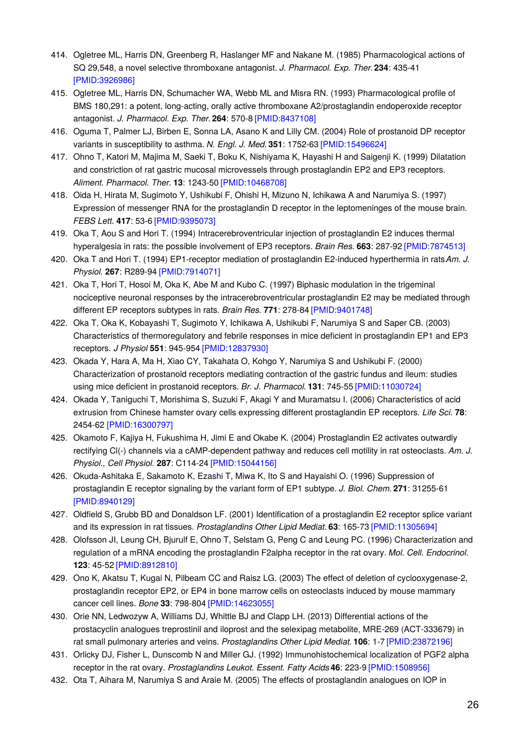- 414. Ogletree ML, Harris DN, Greenberg R, Haslanger MF and Nakane M. (1985) Pharmacological actions of SQ 29,548, a novel selective thromboxane antagonist. *J. Pharmacol. Exp. Ther.***234**: 435-41 [\[PMID:3926986\]](http://www.ncbi.nlm.nih.gov/pubmed/3926986?dopt=AbstractPlus)
- 415. Ogletree ML, Harris DN, Schumacher WA, Webb ML and Misra RN. (1993) Pharmacological profile of BMS 180,291: a potent, long-acting, orally active thromboxane A2/prostaglandin endoperoxide receptor antagonist. *J. Pharmacol. Exp. Ther.***264**: 570-8 [\[PMID:8437108\]](http://www.ncbi.nlm.nih.gov/pubmed/8437108?dopt=AbstractPlus)
- 416. Oguma T, Palmer LJ, Birben E, Sonna LA, Asano K and Lilly CM. (2004) Role of prostanoid DP receptor variants in susceptibility to asthma. *N. Engl. J. Med.* **351**: 1752-63 [\[PMID:15496624\]](http://www.ncbi.nlm.nih.gov/pubmed/15496624?dopt=AbstractPlus)
- 417. Ohno T, Katori M, Majima M, Saeki T, Boku K, Nishiyama K, Hayashi H and Saigenji K. (1999) Dilatation and constriction of rat gastric mucosal microvessels through prostaglandin EP2 and EP3 receptors. *Aliment. Pharmacol. Ther.* **13**: 1243-50 [\[PMID:10468708\]](http://www.ncbi.nlm.nih.gov/pubmed/10468708?dopt=AbstractPlus)
- 418. Oida H, Hirata M, Sugimoto Y, Ushikubi F, Ohishi H, Mizuno N, Ichikawa A and Narumiya S. (1997) Expression of messenger RNA for the prostaglandin D receptor in the leptomeninges of the mouse brain. *FEBS Lett.* **417**: 53-6 [\[PMID:9395073\]](http://www.ncbi.nlm.nih.gov/pubmed/9395073?dopt=AbstractPlus)
- 419. Oka T, Aou S and Hori T. (1994) Intracerebroventricular injection of prostaglandin E2 induces thermal hyperalgesia in rats: the possible involvement of EP3 receptors. *Brain Res.* **663**: 287-92 [\[PMID:7874513\]](http://www.ncbi.nlm.nih.gov/pubmed/7874513?dopt=AbstractPlus)
- 420. Oka T and Hori T. (1994) EP1-receptor mediation of prostaglandin E2-induced hyperthermia in rats Am. *J. Physiol.* **267**: R289-94 [\[PMID:7914071\]](http://www.ncbi.nlm.nih.gov/pubmed/7914071?dopt=AbstractPlus)
- 421. Oka T, Hori T, Hosoi M, Oka K, Abe M and Kubo C. (1997) Biphasic modulation in the trigeminal nociceptive neuronal responses by the intracerebroventricular prostaglandin E2 may be mediated through different EP receptors subtypes in rats. *Brain Res.* **771**: 278-84 [\[PMID:9401748\]](http://www.ncbi.nlm.nih.gov/pubmed/9401748?dopt=AbstractPlus)
- 422. Oka T, Oka K, Kobayashi T, Sugimoto Y, Ichikawa A, Ushikubi F, Narumiya S and Saper CB. (2003) Characteristics of thermoregulatory and febrile responses in mice deficient in prostaglandin EP1 and EP3 receptors. *J Physiol* **551**: 945-954 [\[PMID:12837930\]](http://www.ncbi.nlm.nih.gov/pubmed/12837930?dopt=AbstractPlus)
- 423. Okada Y, Hara A, Ma H, Xiao CY, Takahata O, Kohgo Y, Narumiya S and Ushikubi F. (2000) Characterization of prostanoid receptors mediating contraction of the gastric fundus and ileum: studies using mice deficient in prostanoid receptors. *Br. J. Pharmacol.* **131**: 745-55 [\[PMID:11030724\]](http://www.ncbi.nlm.nih.gov/pubmed/11030724?dopt=AbstractPlus)
- 424. Okada Y, Taniguchi T, Morishima S, Suzuki F, Akagi Y and Muramatsu I. (2006) Characteristics of acid extrusion from Chinese hamster ovary cells expressing different prostaglandin EP receptors. *Life Sci.* **78**: 2454-62 [\[PMID:16300797\]](http://www.ncbi.nlm.nih.gov/pubmed/16300797?dopt=AbstractPlus)
- 425. Okamoto F, Kajiya H, Fukushima H, Jimi E and Okabe K. (2004) Prostaglandin E2 activates outwardly rectifying Cl(-) channels via a cAMP-dependent pathway and reduces cell motility in rat osteoclasts. *Am. J. Physiol., Cell Physiol.* **287**: C114-24 [\[PMID:15044156\]](http://www.ncbi.nlm.nih.gov/pubmed/15044156?dopt=AbstractPlus)
- 426. Okuda-Ashitaka E, Sakamoto K, Ezashi T, Miwa K, Ito S and Hayaishi O. (1996) Suppression of prostaglandin E receptor signaling by the variant form of EP1 subtype. *J. Biol. Chem.* **271**: 31255-61 [\[PMID:8940129\]](http://www.ncbi.nlm.nih.gov/pubmed/8940129?dopt=AbstractPlus)
- 427. Oldfield S, Grubb BD and Donaldson LF. (2001) Identification of a prostaglandin E2 receptor splice variant and its expression in rat tissues. *Prostaglandins Other Lipid Mediat.* **63**: 165-73 [\[PMID:11305694\]](http://www.ncbi.nlm.nih.gov/pubmed/11305694?dopt=AbstractPlus)
- 428. Olofsson JI, Leung CH, Bjurulf E, Ohno T, Selstam G, Peng C and Leung PC. (1996) Characterization and regulation of a mRNA encoding the prostaglandin F2alpha receptor in the rat ovary. *Mol. Cell. Endocrinol.* **123**: 45-52 [\[PMID:8912810\]](http://www.ncbi.nlm.nih.gov/pubmed/8912810?dopt=AbstractPlus)
- 429. Ono K, Akatsu T, Kugai N, Pilbeam CC and Raisz LG. (2003) The effect of deletion of cyclooxygenase-2, prostaglandin receptor EP2, or EP4 in bone marrow cells on osteoclasts induced by mouse mammary cancer cell lines. *Bone* **33**: 798-804 [\[PMID:14623055\]](http://www.ncbi.nlm.nih.gov/pubmed/14623055?dopt=AbstractPlus)
- 430. Orie NN, Ledwozyw A, Williams DJ, Whittle BJ and Clapp LH. (2013) Differential actions of the prostacyclin analogues treprostinil and iloprost and the selexipag metabolite, MRE-269 (ACT-333679) in rat small pulmonary arteries and veins. *Prostaglandins Other Lipid Mediat.* **106**: 1-7 [\[PMID:23872196\]](http://www.ncbi.nlm.nih.gov/pubmed/23872196?dopt=AbstractPlus)
- 431. Orlicky DJ, Fisher L, Dunscomb N and Miller GJ. (1992) Immunohistochemical localization of PGF2 alpha receptor in the rat ovary. *Prostaglandins Leukot. Essent. Fatty Acids***46**: 223-9 [\[PMID:1508956\]](http://www.ncbi.nlm.nih.gov/pubmed/1508956?dopt=AbstractPlus)
- 432. Ota T, Aihara M, Narumiya S and Araie M. (2005) The effects of prostaglandin analogues on IOP in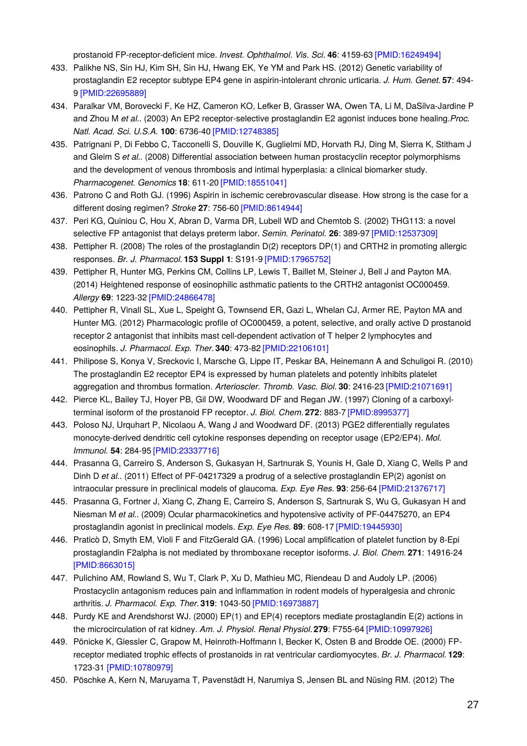prostanoid FP-receptor-deficient mice. *Invest. Ophthalmol. Vis. Sci.* **46**: 4159-63 [\[PMID:16249494\]](http://www.ncbi.nlm.nih.gov/pubmed/16249494?dopt=AbstractPlus)

- 433. Palikhe NS, Sin HJ, Kim SH, Sin HJ, Hwang EK, Ye YM and Park HS. (2012) Genetic variability of prostaglandin E2 receptor subtype EP4 gene in aspirin-intolerant chronic urticaria. *J. Hum. Genet.* **57**: 494- 9 [\[PMID:22695889\]](http://www.ncbi.nlm.nih.gov/pubmed/22695889?dopt=AbstractPlus)
- 434. Paralkar VM, Borovecki F, Ke HZ, Cameron KO, Lefker B, Grasser WA, Owen TA, Li M, DaSilva-Jardine P and Zhou M *et al.*. (2003) An EP2 receptor-selective prostaglandin E2 agonist induces bone healing.*Proc. Natl. Acad. Sci. U.S.A.* **100**: 6736-40 [\[PMID:12748385\]](http://www.ncbi.nlm.nih.gov/pubmed/12748385?dopt=AbstractPlus)
- 435. Patrignani P, Di Febbo C, Tacconelli S, Douville K, Guglielmi MD, Horvath RJ, Ding M, Sierra K, Stitham J and Gleim S *et al.*. (2008) Differential association between human prostacyclin receptor polymorphisms and the development of venous thrombosis and intimal hyperplasia: a clinical biomarker study. *Pharmacogenet. Genomics* **18**: 611-20 [\[PMID:18551041\]](http://www.ncbi.nlm.nih.gov/pubmed/18551041?dopt=AbstractPlus)
- 436. Patrono C and Roth GJ. (1996) Aspirin in ischemic cerebrovascular disease. How strong is the case for a different dosing regimen? *Stroke* **27**: 756-60 [\[PMID:8614944\]](http://www.ncbi.nlm.nih.gov/pubmed/8614944?dopt=AbstractPlus)
- 437. Peri KG, Quiniou C, Hou X, Abran D, Varma DR, Lubell WD and Chemtob S. (2002) THG113: a novel selective FP antagonist that delays preterm labor. *Semin. Perinatol.* **26**: 389-97 [\[PMID:12537309\]](http://www.ncbi.nlm.nih.gov/pubmed/12537309?dopt=AbstractPlus)
- 438. Pettipher R. (2008) The roles of the prostaglandin D(2) receptors DP(1) and CRTH2 in promoting allergic responses. *Br. J. Pharmacol.* **153 Suppl 1**: S191-9 [\[PMID:17965752\]](http://www.ncbi.nlm.nih.gov/pubmed/17965752?dopt=AbstractPlus)
- 439. Pettipher R, Hunter MG, Perkins CM, Collins LP, Lewis T, Baillet M, Steiner J, Bell J and Payton MA. (2014) Heightened response of eosinophilic asthmatic patients to the CRTH2 antagonist OC000459. *Allergy* **69**: 1223-32 [\[PMID:24866478\]](http://www.ncbi.nlm.nih.gov/pubmed/24866478?dopt=AbstractPlus)
- 440. Pettipher R, Vinall SL, Xue L, Speight G, Townsend ER, Gazi L, Whelan CJ, Armer RE, Payton MA and Hunter MG. (2012) Pharmacologic profile of OC000459, a potent, selective, and orally active D prostanoid receptor 2 antagonist that inhibits mast cell-dependent activation of T helper 2 lymphocytes and eosinophils. *J. Pharmacol. Exp. Ther.***340**: 473-82 [\[PMID:22106101\]](http://www.ncbi.nlm.nih.gov/pubmed/22106101?dopt=AbstractPlus)
- 441. Philipose S, Konya V, Sreckovic I, Marsche G, Lippe IT, Peskar BA, Heinemann A and Schuligoi R. (2010) The prostaglandin E2 receptor EP4 is expressed by human platelets and potently inhibits platelet aggregation and thrombus formation. *Arterioscler. Thromb. Vasc. Biol.* **30**: 2416-23 [\[PMID:21071691\]](http://www.ncbi.nlm.nih.gov/pubmed/21071691?dopt=AbstractPlus)
- 442. Pierce KL, Bailey TJ, Hoyer PB, Gil DW, Woodward DF and Regan JW. (1997) Cloning of a carboxylterminal isoform of the prostanoid FP receptor. *J. Biol. Chem.* **272**: 883-7 [\[PMID:8995377\]](http://www.ncbi.nlm.nih.gov/pubmed/8995377?dopt=AbstractPlus)
- 443. Poloso NJ, Urquhart P, Nicolaou A, Wang J and Woodward DF. (2013) PGE2 differentially regulates monocyte-derived dendritic cell cytokine responses depending on receptor usage (EP2/EP4). *Mol. Immunol.* **54**: 284-95 [\[PMID:23337716\]](http://www.ncbi.nlm.nih.gov/pubmed/23337716?dopt=AbstractPlus)
- 444. Prasanna G, Carreiro S, Anderson S, Gukasyan H, Sartnurak S, Younis H, Gale D, Xiang C, Wells P and Dinh D *et al.*. (2011) Effect of PF-04217329 a prodrug of a selective prostaglandin EP(2) agonist on intraocular pressure in preclinical models of glaucoma. *Exp. Eye Res.* **93**: 256-64 [\[PMID:21376717\]](http://www.ncbi.nlm.nih.gov/pubmed/21376717?dopt=AbstractPlus)
- 445. Prasanna G, Fortner J, Xiang C, Zhang E, Carreiro S, Anderson S, Sartnurak S, Wu G, Gukasyan H and Niesman M *et al.*. (2009) Ocular pharmacokinetics and hypotensive activity of PF-04475270, an EP4 prostaglandin agonist in preclinical models. *Exp. Eye Res.* **89**: 608-17 [\[PMID:19445930\]](http://www.ncbi.nlm.nih.gov/pubmed/19445930?dopt=AbstractPlus)
- 446. Praticò D, Smyth EM, Violi F and FitzGerald GA. (1996) Local amplification of platelet function by 8-Epi prostaglandin F2alpha is not mediated by thromboxane receptor isoforms. *J. Biol. Chem.* **271**: 14916-24 [\[PMID:8663015\]](http://www.ncbi.nlm.nih.gov/pubmed/8663015?dopt=AbstractPlus)
- 447. Pulichino AM, Rowland S, Wu T, Clark P, Xu D, Mathieu MC, Riendeau D and Audoly LP. (2006) Prostacyclin antagonism reduces pain and inflammation in rodent models of hyperalgesia and chronic arthritis. *J. Pharmacol. Exp. Ther.***319**: 1043-50 [\[PMID:16973887\]](http://www.ncbi.nlm.nih.gov/pubmed/16973887?dopt=AbstractPlus)
- 448. Purdy KE and Arendshorst WJ. (2000) EP(1) and EP(4) receptors mediate prostaglandin E(2) actions in the microcirculation of rat kidney. *Am. J. Physiol. Renal Physiol.***279**: F755-64 [\[PMID:10997926\]](http://www.ncbi.nlm.nih.gov/pubmed/10997926?dopt=AbstractPlus)
- 449. Pönicke K, Giessler C, Grapow M, Heinroth-Hoffmann I, Becker K, Osten B and Brodde OE. (2000) FPreceptor mediated trophic effects of prostanoids in rat ventricular cardiomyocytes. *Br. J. Pharmacol.* **129**: 1723-31 [\[PMID:10780979\]](http://www.ncbi.nlm.nih.gov/pubmed/10780979?dopt=AbstractPlus)
- 450. Pöschke A, Kern N, Maruyama T, Pavenstädt H, Narumiya S, Jensen BL and Nüsing RM. (2012) The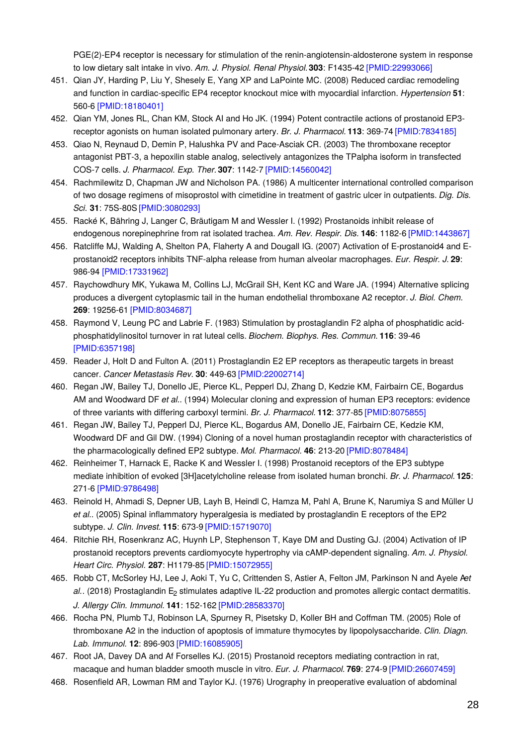PGE(2)-EP4 receptor is necessary for stimulation of the renin-angiotensin-aldosterone system in response to low dietary salt intake in vivo. *Am. J. Physiol. Renal Physiol.***303**: F1435-42 [\[PMID:22993066\]](http://www.ncbi.nlm.nih.gov/pubmed/22993066?dopt=AbstractPlus)

- 451. Qian JY, Harding P, Liu Y, Shesely E, Yang XP and LaPointe MC. (2008) Reduced cardiac remodeling and function in cardiac-specific EP4 receptor knockout mice with myocardial infarction. *Hypertension* **51**: 560-6 [\[PMID:18180401\]](http://www.ncbi.nlm.nih.gov/pubmed/18180401?dopt=AbstractPlus)
- 452. Qian YM, Jones RL, Chan KM, Stock AI and Ho JK. (1994) Potent contractile actions of prostanoid EP3 receptor agonists on human isolated pulmonary artery. *Br. J. Pharmacol.* **113**: 369-74 [\[PMID:7834185\]](http://www.ncbi.nlm.nih.gov/pubmed/7834185?dopt=AbstractPlus)
- 453. Qiao N, Reynaud D, Demin P, Halushka PV and Pace-Asciak CR. (2003) The thromboxane receptor antagonist PBT-3, a hepoxilin stable analog, selectively antagonizes the TPalpha isoform in transfected COS-7 cells. *J. Pharmacol. Exp. Ther.***307**: 1142-7 [\[PMID:14560042\]](http://www.ncbi.nlm.nih.gov/pubmed/14560042?dopt=AbstractPlus)
- 454. Rachmilewitz D, Chapman JW and Nicholson PA. (1986) A multicenter international controlled comparison of two dosage regimens of misoprostol with cimetidine in treatment of gastric ulcer in outpatients. *Dig. Dis. Sci.* **31**: 75S-80S [\[PMID:3080293\]](http://www.ncbi.nlm.nih.gov/pubmed/3080293?dopt=AbstractPlus)
- 455. Racké K, Bähring J, Langer C, Bräutigam M and Wessler I. (1992) Prostanoids inhibit release of endogenous norepinephrine from rat isolated trachea. *Am. Rev. Respir. Dis.* **146**: 1182-6 [\[PMID:1443867\]](http://www.ncbi.nlm.nih.gov/pubmed/1443867?dopt=AbstractPlus)
- 456. Ratcliffe MJ, Walding A, Shelton PA, Flaherty A and Dougall IG. (2007) Activation of E-prostanoid4 and Eprostanoid2 receptors inhibits TNF-alpha release from human alveolar macrophages. *Eur. Respir. J.* **29**: 986-94 [\[PMID:17331962\]](http://www.ncbi.nlm.nih.gov/pubmed/17331962?dopt=AbstractPlus)
- 457. Raychowdhury MK, Yukawa M, Collins LJ, McGrail SH, Kent KC and Ware JA. (1994) Alternative splicing produces a divergent cytoplasmic tail in the human endothelial thromboxane A2 receptor. *J. Biol. Chem.* **269**: 19256-61 [\[PMID:8034687\]](http://www.ncbi.nlm.nih.gov/pubmed/8034687?dopt=AbstractPlus)
- 458. Raymond V, Leung PC and Labrie F. (1983) Stimulation by prostaglandin F2 alpha of phosphatidic acidphosphatidylinositol turnover in rat luteal cells. *Biochem. Biophys. Res. Commun.* **116**: 39-46 [\[PMID:6357198\]](http://www.ncbi.nlm.nih.gov/pubmed/6357198?dopt=AbstractPlus)
- 459. Reader J, Holt D and Fulton A. (2011) Prostaglandin E2 EP receptors as therapeutic targets in breast cancer. *Cancer Metastasis Rev.* **30**: 449-63 [\[PMID:22002714\]](http://www.ncbi.nlm.nih.gov/pubmed/22002714?dopt=AbstractPlus)
- 460. Regan JW, Bailey TJ, Donello JE, Pierce KL, Pepperl DJ, Zhang D, Kedzie KM, Fairbairn CE, Bogardus AM and Woodward DF *et al.*. (1994) Molecular cloning and expression of human EP3 receptors: evidence of three variants with differing carboxyl termini. *Br. J. Pharmacol.* **112**: 377-85 [\[PMID:8075855\]](http://www.ncbi.nlm.nih.gov/pubmed/8075855?dopt=AbstractPlus)
- 461. Regan JW, Bailey TJ, Pepperl DJ, Pierce KL, Bogardus AM, Donello JE, Fairbairn CE, Kedzie KM, Woodward DF and Gil DW. (1994) Cloning of a novel human prostaglandin receptor with characteristics of the pharmacologically defined EP2 subtype. *Mol. Pharmacol.* **46**: 213-20 [\[PMID:8078484\]](http://www.ncbi.nlm.nih.gov/pubmed/8078484?dopt=AbstractPlus)
- 462. Reinheimer T, Harnack E, Racke K and Wessler I. (1998) Prostanoid receptors of the EP3 subtype mediate inhibition of evoked [3H]acetylcholine release from isolated human bronchi. *Br. J. Pharmacol.* **125**: 271-6 [\[PMID:9786498\]](http://www.ncbi.nlm.nih.gov/pubmed/9786498?dopt=AbstractPlus)
- 463. Reinold H, Ahmadi S, Depner UB, Layh B, Heindl C, Hamza M, Pahl A, Brune K, Narumiya S and Müller U *et al.*. (2005) Spinal inflammatory hyperalgesia is mediated by prostaglandin E receptors of the EP2 subtype. *J. Clin. Invest.* **115**: 673-9 [\[PMID:15719070\]](http://www.ncbi.nlm.nih.gov/pubmed/15719070?dopt=AbstractPlus)
- 464. Ritchie RH, Rosenkranz AC, Huynh LP, Stephenson T, Kaye DM and Dusting GJ. (2004) Activation of IP prostanoid receptors prevents cardiomyocyte hypertrophy via cAMP-dependent signaling. *Am. J. Physiol. Heart Circ. Physiol.* **287**: H1179-85 [\[PMID:15072955\]](http://www.ncbi.nlm.nih.gov/pubmed/15072955?dopt=AbstractPlus)
- 465. Robb CT, McSorley HJ, Lee J, Aoki T, Yu C, Crittenden S, Astier A, Felton JM, Parkinson N and Ayele A*et* al.. (2018) Prostaglandin E<sub>2</sub> stimulates adaptive IL-22 production and promotes allergic contact dermatitis. *J. Allergy Clin. Immunol.* **141**: 152-162 [\[PMID:28583370\]](http://www.ncbi.nlm.nih.gov/pubmed/28583370?dopt=AbstractPlus)
- 466. Rocha PN, Plumb TJ, Robinson LA, Spurney R, Pisetsky D, Koller BH and Coffman TM. (2005) Role of thromboxane A2 in the induction of apoptosis of immature thymocytes by lipopolysaccharide. *Clin. Diagn. Lab. Immunol.* **12**: 896-903 [\[PMID:16085905\]](http://www.ncbi.nlm.nih.gov/pubmed/16085905?dopt=AbstractPlus)
- 467. Root JA, Davey DA and Af Forselles KJ. (2015) Prostanoid receptors mediating contraction in rat, macaque and human bladder smooth muscle in vitro. *Eur. J. Pharmacol.* **769**: 274-9 [\[PMID:26607459\]](http://www.ncbi.nlm.nih.gov/pubmed/26607459?dopt=AbstractPlus)
- 468. Rosenfield AR, Lowman RM and Taylor KJ. (1976) Urography in preoperative evaluation of abdominal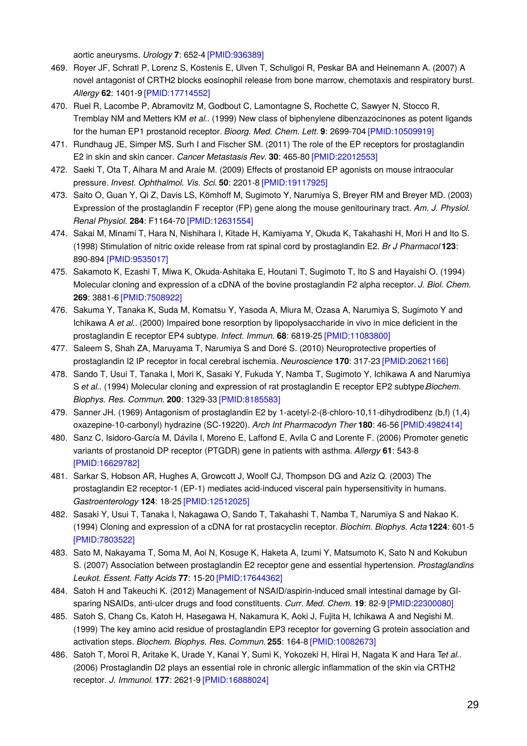aortic aneurysms. *Urology* **7**: 652-4 [\[PMID:936389\]](http://www.ncbi.nlm.nih.gov/pubmed/936389?dopt=AbstractPlus)

- 469. Royer JF, Schratl P, Lorenz S, Kostenis E, Ulven T, Schuligoi R, Peskar BA and Heinemann A. (2007) A novel antagonist of CRTH2 blocks eosinophil release from bone marrow, chemotaxis and respiratory burst. *Allergy* **62**: 1401-9 [\[PMID:17714552\]](http://www.ncbi.nlm.nih.gov/pubmed/17714552?dopt=AbstractPlus)
- 470. Ruel R, Lacombe P, Abramovitz M, Godbout C, Lamontagne S, Rochette C, Sawyer N, Stocco R, Tremblay NM and Metters KM *et al.*. (1999) New class of biphenylene dibenzazocinones as potent ligands for the human EP1 prostanoid receptor. *Bioorg. Med. Chem. Lett.* **9**: 2699-704 [\[PMID:10509919\]](http://www.ncbi.nlm.nih.gov/pubmed/10509919?dopt=AbstractPlus)
- 471. Rundhaug JE, Simper MS, Surh I and Fischer SM. (2011) The role of the EP receptors for prostaglandin E2 in skin and skin cancer. *Cancer Metastasis Rev.* **30**: 465-80 [\[PMID:22012553\]](http://www.ncbi.nlm.nih.gov/pubmed/22012553?dopt=AbstractPlus)
- 472. Saeki T, Ota T, Aihara M and Araie M. (2009) Effects of prostanoid EP agonists on mouse intraocular pressure. *Invest. Ophthalmol. Vis. Sci.* **50**: 2201-8 [\[PMID:19117925\]](http://www.ncbi.nlm.nih.gov/pubmed/19117925?dopt=AbstractPlus)
- 473. Saito O, Guan Y, Qi Z, Davis LS, Kömhoff M, Sugimoto Y, Narumiya S, Breyer RM and Breyer MD. (2003) Expression of the prostaglandin F receptor (FP) gene along the mouse genitourinary tract. *Am. J. Physiol. Renal Physiol.* **284**: F1164-70 [\[PMID:12631554\]](http://www.ncbi.nlm.nih.gov/pubmed/12631554?dopt=AbstractPlus)
- 474. Sakai M, Minami T, Hara N, Nishihara I, Kitade H, Kamiyama Y, Okuda K, Takahashi H, Mori H and Ito S. (1998) Stimulation of nitric oxide release from rat spinal cord by prostaglandin E2. *Br J Pharmacol* **123**: 890-894 [\[PMID:9535017\]](http://www.ncbi.nlm.nih.gov/pubmed/9535017?dopt=AbstractPlus)
- 475. Sakamoto K, Ezashi T, Miwa K, Okuda-Ashitaka E, Houtani T, Sugimoto T, Ito S and Hayaishi O. (1994) Molecular cloning and expression of a cDNA of the bovine prostaglandin F2 alpha receptor. *J. Biol. Chem.* **269**: 3881-6 [\[PMID:7508922\]](http://www.ncbi.nlm.nih.gov/pubmed/7508922?dopt=AbstractPlus)
- 476. Sakuma Y, Tanaka K, Suda M, Komatsu Y, Yasoda A, Miura M, Ozasa A, Narumiya S, Sugimoto Y and Ichikawa A *et al.*. (2000) Impaired bone resorption by lipopolysaccharide in vivo in mice deficient in the prostaglandin E receptor EP4 subtype. *Infect. Immun.* **68**: 6819-25 [\[PMID:11083800\]](http://www.ncbi.nlm.nih.gov/pubmed/11083800?dopt=AbstractPlus)
- 477. Saleem S, Shah ZA, Maruyama T, Narumiya S and Doré S. (2010) Neuroprotective properties of prostaglandin I2 IP receptor in focal cerebral ischemia. *Neuroscience* **170**: 317-23 [\[PMID:20621166\]](http://www.ncbi.nlm.nih.gov/pubmed/20621166?dopt=AbstractPlus)
- 478. Sando T, Usui T, Tanaka I, Mori K, Sasaki Y, Fukuda Y, Namba T, Sugimoto Y, Ichikawa A and Narumiya S *et al.*. (1994) Molecular cloning and expression of rat prostaglandin E receptor EP2 subtype.*Biochem. Biophys. Res. Commun.* **200**: 1329-33 [\[PMID:8185583\]](http://www.ncbi.nlm.nih.gov/pubmed/8185583?dopt=AbstractPlus)
- 479. Sanner JH. (1969) Antagonism of prostaglandin E2 by 1-acetyl-2-(8-chloro-10,11-dihydrodibenz (b,f) (1,4) oxazepine-10-carbonyl) hydrazine (SC-19220). *Arch Int Pharmacodyn Ther* **180**: 46-56 [\[PMID:4982414\]](http://www.ncbi.nlm.nih.gov/pubmed/4982414?dopt=AbstractPlus)
- 480. Sanz C, Isidoro-García M, Dávila I, Moreno E, Laffond E, Avila C and Lorente F. (2006) Promoter genetic variants of prostanoid DP receptor (PTGDR) gene in patients with asthma. *Allergy* **61**: 543-8 [\[PMID:16629782\]](http://www.ncbi.nlm.nih.gov/pubmed/16629782?dopt=AbstractPlus)
- 481. Sarkar S, Hobson AR, Hughes A, Growcott J, Woolf CJ, Thompson DG and Aziz Q. (2003) The prostaglandin E2 receptor-1 (EP-1) mediates acid-induced visceral pain hypersensitivity in humans. *Gastroenterology* **124**: 18-25 [\[PMID:12512025\]](http://www.ncbi.nlm.nih.gov/pubmed/12512025?dopt=AbstractPlus)
- 482. Sasaki Y, Usui T, Tanaka I, Nakagawa O, Sando T, Takahashi T, Namba T, Narumiya S and Nakao K. (1994) Cloning and expression of a cDNA for rat prostacyclin receptor. *Biochim. Biophys. Acta* **1224**: 601-5 [\[PMID:7803522\]](http://www.ncbi.nlm.nih.gov/pubmed/7803522?dopt=AbstractPlus)
- 483. Sato M, Nakayama T, Soma M, Aoi N, Kosuge K, Haketa A, Izumi Y, Matsumoto K, Sato N and Kokubun S. (2007) Association between prostaglandin E2 receptor gene and essential hypertension. *Prostaglandins Leukot. Essent. Fatty Acids* **77**: 15-20 [\[PMID:17644362\]](http://www.ncbi.nlm.nih.gov/pubmed/17644362?dopt=AbstractPlus)
- 484. Satoh H and Takeuchi K. (2012) Management of NSAID/aspirin-induced small intestinal damage by GIsparing NSAIDs, anti-ulcer drugs and food constituents. *Curr. Med. Chem.* **19**: 82-9 [\[PMID:22300080\]](http://www.ncbi.nlm.nih.gov/pubmed/22300080?dopt=AbstractPlus)
- 485. Satoh S, Chang Cs, Katoh H, Hasegawa H, Nakamura K, Aoki J, Fujita H, Ichikawa A and Negishi M. (1999) The key amino acid residue of prostaglandin EP3 receptor for governing G protein association and activation steps. *Biochem. Biophys. Res. Commun.* **255**: 164-8 [\[PMID:10082673\]](http://www.ncbi.nlm.nih.gov/pubmed/10082673?dopt=AbstractPlus)
- 486. Satoh T, Moroi R, Aritake K, Urade Y, Kanai Y, Sumi K, Yokozeki H, Hirai H, Nagata K and Hara T*et al.*. (2006) Prostaglandin D2 plays an essential role in chronic allergic inflammation of the skin via CRTH2 receptor. *J. Immunol.* **177**: 2621-9 [\[PMID:16888024\]](http://www.ncbi.nlm.nih.gov/pubmed/16888024?dopt=AbstractPlus)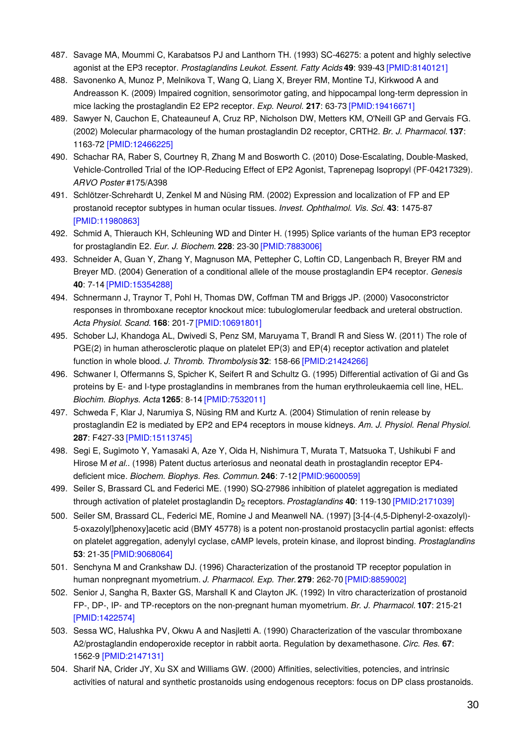- 487. Savage MA, Moummi C, Karabatsos PJ and Lanthorn TH. (1993) SC-46275: a potent and highly selective agonist at the EP3 receptor. *Prostaglandins Leukot. Essent. Fatty Acids***49**: 939-43 [\[PMID:8140121\]](http://www.ncbi.nlm.nih.gov/pubmed/8140121?dopt=AbstractPlus)
- 488. Savonenko A, Munoz P, Melnikova T, Wang Q, Liang X, Breyer RM, Montine TJ, Kirkwood A and Andreasson K. (2009) Impaired cognition, sensorimotor gating, and hippocampal long-term depression in mice lacking the prostaglandin E2 EP2 receptor. *Exp. Neurol.* **217**: 63-73 [\[PMID:19416671\]](http://www.ncbi.nlm.nih.gov/pubmed/19416671?dopt=AbstractPlus)
- 489. Sawyer N, Cauchon E, Chateauneuf A, Cruz RP, Nicholson DW, Metters KM, O'Neill GP and Gervais FG. (2002) Molecular pharmacology of the human prostaglandin D2 receptor, CRTH2. *Br. J. Pharmacol.* **137**: 1163-72 [\[PMID:12466225\]](http://www.ncbi.nlm.nih.gov/pubmed/12466225?dopt=AbstractPlus)
- 490. Schachar RA, Raber S, Courtney R, Zhang M and Bosworth C. (2010) Dose-Escalating, Double-Masked, Vehicle-Controlled Trial of the IOP-Reducing Effect of EP2 Agonist, Taprenepag Isopropyl (PF-04217329). *ARVO Poster* #175/A398
- 491. Schlötzer-Schrehardt U, Zenkel M and Nüsing RM. (2002) Expression and localization of FP and EP prostanoid receptor subtypes in human ocular tissues. *Invest. Ophthalmol. Vis. Sci.* **43**: 1475-87 [\[PMID:11980863\]](http://www.ncbi.nlm.nih.gov/pubmed/11980863?dopt=AbstractPlus)
- 492. Schmid A, Thierauch KH, Schleuning WD and Dinter H. (1995) Splice variants of the human EP3 receptor for prostaglandin E2. *Eur. J. Biochem.* **228**: 23-30 [\[PMID:7883006\]](http://www.ncbi.nlm.nih.gov/pubmed/7883006?dopt=AbstractPlus)
- 493. Schneider A, Guan Y, Zhang Y, Magnuson MA, Pettepher C, Loftin CD, Langenbach R, Breyer RM and Breyer MD. (2004) Generation of a conditional allele of the mouse prostaglandin EP4 receptor. *Genesis* **40**: 7-14 [\[PMID:15354288\]](http://www.ncbi.nlm.nih.gov/pubmed/15354288?dopt=AbstractPlus)
- 494. Schnermann J, Traynor T, Pohl H, Thomas DW, Coffman TM and Briggs JP. (2000) Vasoconstrictor responses in thromboxane receptor knockout mice: tubuloglomerular feedback and ureteral obstruction. *Acta Physiol. Scand.* **168**: 201-7 [\[PMID:10691801\]](http://www.ncbi.nlm.nih.gov/pubmed/10691801?dopt=AbstractPlus)
- 495. Schober LJ, Khandoga AL, Dwivedi S, Penz SM, Maruyama T, Brandl R and Siess W. (2011) The role of PGE(2) in human atherosclerotic plaque on platelet EP(3) and EP(4) receptor activation and platelet function in whole blood. *J. Thromb. Thrombolysis* **32**: 158-66 [\[PMID:21424266\]](http://www.ncbi.nlm.nih.gov/pubmed/21424266?dopt=AbstractPlus)
- 496. Schwaner I, Offermanns S, Spicher K, Seifert R and Schultz G. (1995) Differential activation of Gi and Gs proteins by E- and I-type prostaglandins in membranes from the human erythroleukaemia cell line, HEL. *Biochim. Biophys. Acta* **1265**: 8-14 [\[PMID:7532011\]](http://www.ncbi.nlm.nih.gov/pubmed/7532011?dopt=AbstractPlus)
- 497. Schweda F, Klar J, Narumiya S, Nüsing RM and Kurtz A. (2004) Stimulation of renin release by prostaglandin E2 is mediated by EP2 and EP4 receptors in mouse kidneys. *Am. J. Physiol. Renal Physiol.* **287**: F427-33 [\[PMID:15113745\]](http://www.ncbi.nlm.nih.gov/pubmed/15113745?dopt=AbstractPlus)
- 498. Segi E, Sugimoto Y, Yamasaki A, Aze Y, Oida H, Nishimura T, Murata T, Matsuoka T, Ushikubi F and Hirose M *et al.*. (1998) Patent ductus arteriosus and neonatal death in prostaglandin receptor EP4 deficient mice. *Biochem. Biophys. Res. Commun.* **246**: 7-12 [\[PMID:9600059\]](http://www.ncbi.nlm.nih.gov/pubmed/9600059?dopt=AbstractPlus)
- 499. Seiler S, Brassard CL and Federici ME. (1990) SQ-27986 inhibition of platelet aggregation is mediated through activation of platelet prostaglandin D<sub>2</sub> receptors. *Prostaglandins* 40: 119-130 [\[PMID:2171039\]](http://www.ncbi.nlm.nih.gov/pubmed/2171039?dopt=AbstractPlus)
- 500. Seiler SM, Brassard CL, Federici ME, Romine J and Meanwell NA. (1997) [3-[4-(4,5-Diphenyl-2-oxazolyl)- 5-oxazolyl]phenoxy]acetic acid (BMY 45778) is a potent non-prostanoid prostacyclin partial agonist: effects on platelet aggregation, adenylyl cyclase, cAMP levels, protein kinase, and iloprost binding. *Prostaglandins* **53**: 21-35 [\[PMID:9068064\]](http://www.ncbi.nlm.nih.gov/pubmed/9068064?dopt=AbstractPlus)
- 501. Senchyna M and Crankshaw DJ. (1996) Characterization of the prostanoid TP receptor population in human nonpregnant myometrium. *J. Pharmacol. Exp. Ther.***279**: 262-70 [\[PMID:8859002\]](http://www.ncbi.nlm.nih.gov/pubmed/8859002?dopt=AbstractPlus)
- 502. Senior J, Sangha R, Baxter GS, Marshall K and Clayton JK. (1992) In vitro characterization of prostanoid FP-, DP-, IP- and TP-receptors on the non-pregnant human myometrium. *Br. J. Pharmacol.* **107**: 215-21 [\[PMID:1422574\]](http://www.ncbi.nlm.nih.gov/pubmed/1422574?dopt=AbstractPlus)
- 503. Sessa WC, Halushka PV, Okwu A and Nasjletti A. (1990) Characterization of the vascular thromboxane A2/prostaglandin endoperoxide receptor in rabbit aorta. Regulation by dexamethasone. *Circ. Res.* **67**: 1562-9 [\[PMID:2147131\]](http://www.ncbi.nlm.nih.gov/pubmed/2147131?dopt=AbstractPlus)
- 504. Sharif NA, Crider JY, Xu SX and Williams GW. (2000) Affinities, selectivities, potencies, and intrinsic activities of natural and synthetic prostanoids using endogenous receptors: focus on DP class prostanoids.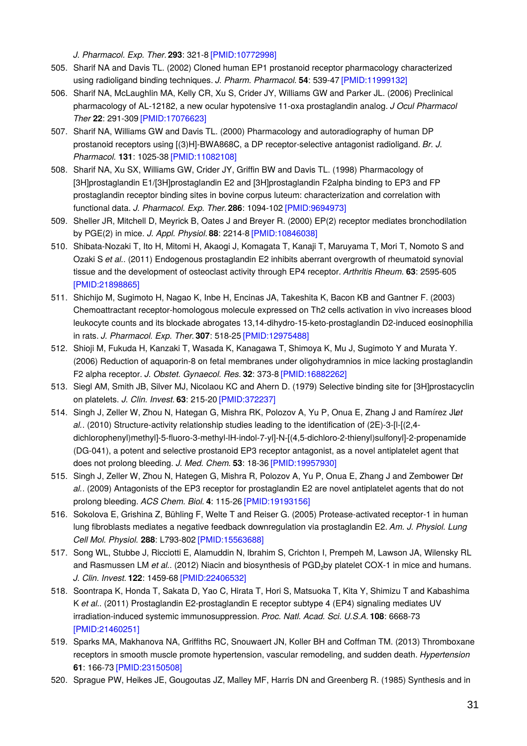*J. Pharmacol. Exp. Ther.***293**: 321-8 [\[PMID:10772998\]](http://www.ncbi.nlm.nih.gov/pubmed/10772998?dopt=AbstractPlus)

- 505. Sharif NA and Davis TL. (2002) Cloned human EP1 prostanoid receptor pharmacology characterized using radioligand binding techniques. *J. Pharm. Pharmacol.* **54**: 539-47 [\[PMID:11999132\]](http://www.ncbi.nlm.nih.gov/pubmed/11999132?dopt=AbstractPlus)
- 506. Sharif NA, McLaughlin MA, Kelly CR, Xu S, Crider JY, Williams GW and Parker JL. (2006) Preclinical pharmacology of AL-12182, a new ocular hypotensive 11-oxa prostaglandin analog. *J Ocul Pharmacol Ther* **22**: 291-309 [\[PMID:17076623\]](http://www.ncbi.nlm.nih.gov/pubmed/17076623?dopt=AbstractPlus)
- 507. Sharif NA, Williams GW and Davis TL. (2000) Pharmacology and autoradiography of human DP prostanoid receptors using [(3)H]-BWA868C, a DP receptor-selective antagonist radioligand. *Br. J. Pharmacol.* **131**: 1025-38 [\[PMID:11082108\]](http://www.ncbi.nlm.nih.gov/pubmed/11082108?dopt=AbstractPlus)
- 508. Sharif NA, Xu SX, Williams GW, Crider JY, Griffin BW and Davis TL. (1998) Pharmacology of [3H]prostaglandin E1/[3H]prostaglandin E2 and [3H]prostaglandin F2alpha binding to EP3 and FP prostaglandin receptor binding sites in bovine corpus luteum: characterization and correlation with functional data. *J. Pharmacol. Exp. Ther.***286**: 1094-102 [\[PMID:9694973\]](http://www.ncbi.nlm.nih.gov/pubmed/9694973?dopt=AbstractPlus)
- 509. Sheller JR, Mitchell D, Meyrick B, Oates J and Breyer R. (2000) EP(2) receptor mediates bronchodilation by PGE(2) in mice. *J. Appl. Physiol.* **88**: 2214-8 [\[PMID:10846038\]](http://www.ncbi.nlm.nih.gov/pubmed/10846038?dopt=AbstractPlus)
- 510. Shibata-Nozaki T, Ito H, Mitomi H, Akaogi J, Komagata T, Kanaji T, Maruyama T, Mori T, Nomoto S and Ozaki S *et al.*. (2011) Endogenous prostaglandin E2 inhibits aberrant overgrowth of rheumatoid synovial tissue and the development of osteoclast activity through EP4 receptor. *Arthritis Rheum.* **63**: 2595-605 [\[PMID:21898865\]](http://www.ncbi.nlm.nih.gov/pubmed/21898865?dopt=AbstractPlus)
- 511. Shichijo M, Sugimoto H, Nagao K, Inbe H, Encinas JA, Takeshita K, Bacon KB and Gantner F. (2003) Chemoattractant receptor-homologous molecule expressed on Th2 cells activation in vivo increases blood leukocyte counts and its blockade abrogates 13,14-dihydro-15-keto-prostaglandin D2-induced eosinophilia in rats. *J. Pharmacol. Exp. Ther.***307**: 518-25 [\[PMID:12975488\]](http://www.ncbi.nlm.nih.gov/pubmed/12975488?dopt=AbstractPlus)
- 512. Shioji M, Fukuda H, Kanzaki T, Wasada K, Kanagawa T, Shimoya K, Mu J, Sugimoto Y and Murata Y. (2006) Reduction of aquaporin-8 on fetal membranes under oligohydramnios in mice lacking prostaglandin F2 alpha receptor. *J. Obstet. Gynaecol. Res.* **32**: 373-8 [\[PMID:16882262\]](http://www.ncbi.nlm.nih.gov/pubmed/16882262?dopt=AbstractPlus)
- 513. Siegl AM, Smith JB, Silver MJ, Nicolaou KC and Ahern D. (1979) Selective binding site for [3H]prostacyclin on platelets. *J. Clin. Invest.* **63**: 215-20 [\[PMID:372237\]](http://www.ncbi.nlm.nih.gov/pubmed/372237?dopt=AbstractPlus)
- 514. Singh J, Zeller W, Zhou N, Hategan G, Mishra RK, Polozov A, Yu P, Onua E, Zhang J and Ramírez Jlet *al.*. (2010) Structure-activity relationship studies leading to the identification of (2E)-3-[l-[(2,4 dichlorophenyl)methyl]-5-fluoro-3-methyl-lH-indol-7-yl]-N-[(4,5-dichloro-2-thienyl)sulfonyl]-2-propenamide (DG-041), a potent and selective prostanoid EP3 receptor antagonist, as a novel antiplatelet agent that does not prolong bleeding. *J. Med. Chem.* **53**: 18-36 [\[PMID:19957930\]](http://www.ncbi.nlm.nih.gov/pubmed/19957930?dopt=AbstractPlus)
- 515. Singh J, Zeller W, Zhou N, Hategen G, Mishra R, Polozov A, Yu P, Onua E, Zhang J and Zembower D*et al.*. (2009) Antagonists of the EP3 receptor for prostaglandin E2 are novel antiplatelet agents that do not prolong bleeding. *ACS Chem. Biol.* **4**: 115-26 [\[PMID:19193156\]](http://www.ncbi.nlm.nih.gov/pubmed/19193156?dopt=AbstractPlus)
- 516. Sokolova E, Grishina Z, Bühling F, Welte T and Reiser G. (2005) Protease-activated receptor-1 in human lung fibroblasts mediates a negative feedback downregulation via prostaglandin E2. *Am. J. Physiol. Lung Cell Mol. Physiol.* **288**: L793-802 [\[PMID:15563688\]](http://www.ncbi.nlm.nih.gov/pubmed/15563688?dopt=AbstractPlus)
- 517. Song WL, Stubbe J, Ricciotti E, Alamuddin N, Ibrahim S, Crichton I, Prempeh M, Lawson JA, Wilensky RL and Rasmussen LM *et al.*. (2012) Niacin and biosynthesis of PGD<sub>2</sub>by platelet COX-1 in mice and humans. *J. Clin. Invest.* **122**: 1459-68 [\[PMID:22406532\]](http://www.ncbi.nlm.nih.gov/pubmed/22406532?dopt=AbstractPlus)
- 518. Soontrapa K, Honda T, Sakata D, Yao C, Hirata T, Hori S, Matsuoka T, Kita Y, Shimizu T and Kabashima K *et al.*. (2011) Prostaglandin E2-prostaglandin E receptor subtype 4 (EP4) signaling mediates UV irradiation-induced systemic immunosuppression. *Proc. Natl. Acad. Sci. U.S.A.* **108**: 6668-73 [\[PMID:21460251\]](http://www.ncbi.nlm.nih.gov/pubmed/21460251?dopt=AbstractPlus)
- 519. Sparks MA, Makhanova NA, Griffiths RC, Snouwaert JN, Koller BH and Coffman TM. (2013) Thromboxane receptors in smooth muscle promote hypertension, vascular remodeling, and sudden death. *Hypertension* **61**: 166-73 [\[PMID:23150508\]](http://www.ncbi.nlm.nih.gov/pubmed/23150508?dopt=AbstractPlus)
- 520. Sprague PW, Heikes JE, Gougoutas JZ, Malley MF, Harris DN and Greenberg R. (1985) Synthesis and in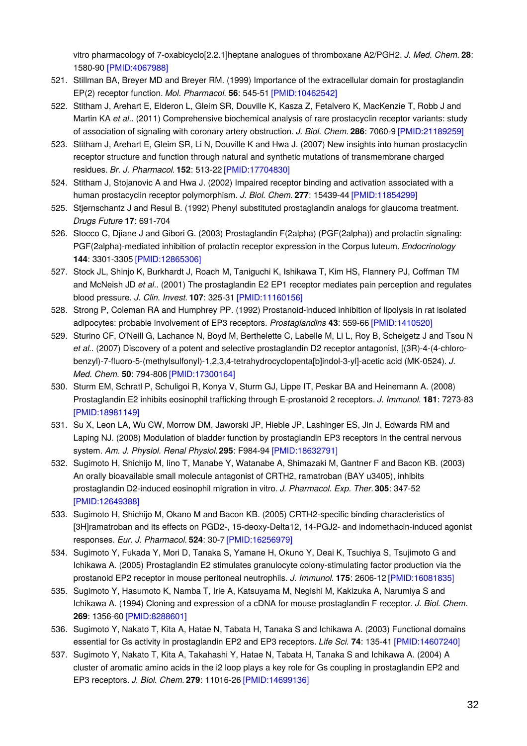vitro pharmacology of 7-oxabicyclo[2.2.1]heptane analogues of thromboxane A2/PGH2. *J. Med. Chem.* **28**: 1580-90 [\[PMID:4067988\]](http://www.ncbi.nlm.nih.gov/pubmed/4067988?dopt=AbstractPlus)

- 521. Stillman BA, Breyer MD and Breyer RM. (1999) Importance of the extracellular domain for prostaglandin EP(2) receptor function. *Mol. Pharmacol.* **56**: 545-51 [\[PMID:10462542\]](http://www.ncbi.nlm.nih.gov/pubmed/10462542?dopt=AbstractPlus)
- 522. Stitham J, Arehart E, Elderon L, Gleim SR, Douville K, Kasza Z, Fetalvero K, MacKenzie T, Robb J and Martin KA *et al.*. (2011) Comprehensive biochemical analysis of rare prostacyclin receptor variants: study of association of signaling with coronary artery obstruction. *J. Biol. Chem.* **286**: 7060-9 [\[PMID:21189259\]](http://www.ncbi.nlm.nih.gov/pubmed/21189259?dopt=AbstractPlus)
- 523. Stitham J, Arehart E, Gleim SR, Li N, Douville K and Hwa J. (2007) New insights into human prostacyclin receptor structure and function through natural and synthetic mutations of transmembrane charged residues. *Br. J. Pharmacol.* **152**: 513-22 [\[PMID:17704830\]](http://www.ncbi.nlm.nih.gov/pubmed/17704830?dopt=AbstractPlus)
- 524. Stitham J, Stojanovic A and Hwa J. (2002) Impaired receptor binding and activation associated with a human prostacyclin receptor polymorphism. *J. Biol. Chem.* **277**: 15439-44 [\[PMID:11854299\]](http://www.ncbi.nlm.nih.gov/pubmed/11854299?dopt=AbstractPlus)
- 525. Stjernschantz J and Resul B. (1992) Phenyl substituted prostaglandin analogs for glaucoma treatment. *Drugs Future* **17**: 691-704
- 526. Stocco C, Djiane J and Gibori G. (2003) Prostaglandin F(2alpha) (PGF(2alpha)) and prolactin signaling: PGF(2alpha)-mediated inhibition of prolactin receptor expression in the Corpus luteum. *Endocrinology* **144**: 3301-3305 [\[PMID:12865306\]](http://www.ncbi.nlm.nih.gov/pubmed/12865306?dopt=AbstractPlus)
- 527. Stock JL, Shinjo K, Burkhardt J, Roach M, Taniguchi K, Ishikawa T, Kim HS, Flannery PJ, Coffman TM and McNeish JD *et al.*. (2001) The prostaglandin E2 EP1 receptor mediates pain perception and regulates blood pressure. *J. Clin. Invest.* **107**: 325-31 [\[PMID:11160156\]](http://www.ncbi.nlm.nih.gov/pubmed/11160156?dopt=AbstractPlus)
- 528. Strong P, Coleman RA and Humphrey PP. (1992) Prostanoid-induced inhibition of lipolysis in rat isolated adipocytes: probable involvement of EP3 receptors. *Prostaglandins* **43**: 559-66 [\[PMID:1410520\]](http://www.ncbi.nlm.nih.gov/pubmed/1410520?dopt=AbstractPlus)
- 529. Sturino CF, O'Neill G, Lachance N, Boyd M, Berthelette C, Labelle M, Li L, Roy B, Scheigetz J and Tsou N *et al.*. (2007) Discovery of a potent and selective prostaglandin D2 receptor antagonist, [(3R)-4-(4-chlorobenzyl)-7-fluoro-5-(methylsulfonyl)-1,2,3,4-tetrahydrocyclopenta[b]indol-3-yl]-acetic acid (MK-0524). *J. Med. Chem.* **50**: 794-806 [\[PMID:17300164\]](http://www.ncbi.nlm.nih.gov/pubmed/17300164?dopt=AbstractPlus)
- 530. Sturm EM, Schratl P, Schuligoi R, Konya V, Sturm GJ, Lippe IT, Peskar BA and Heinemann A. (2008) Prostaglandin E2 inhibits eosinophil trafficking through E-prostanoid 2 receptors. *J. Immunol.* **181**: 7273-83 [\[PMID:18981149\]](http://www.ncbi.nlm.nih.gov/pubmed/18981149?dopt=AbstractPlus)
- 531. Su X, Leon LA, Wu CW, Morrow DM, Jaworski JP, Hieble JP, Lashinger ES, Jin J, Edwards RM and Laping NJ. (2008) Modulation of bladder function by prostaglandin EP3 receptors in the central nervous system. *Am. J. Physiol. Renal Physiol.***295**: F984-94 [\[PMID:18632791\]](http://www.ncbi.nlm.nih.gov/pubmed/18632791?dopt=AbstractPlus)
- 532. Sugimoto H, Shichijo M, Iino T, Manabe Y, Watanabe A, Shimazaki M, Gantner F and Bacon KB. (2003) An orally bioavailable small molecule antagonist of CRTH2, ramatroban (BAY u3405), inhibits prostaglandin D2-induced eosinophil migration in vitro. *J. Pharmacol. Exp. Ther.***305**: 347-52 [\[PMID:12649388\]](http://www.ncbi.nlm.nih.gov/pubmed/12649388?dopt=AbstractPlus)
- 533. Sugimoto H, Shichijo M, Okano M and Bacon KB. (2005) CRTH2-specific binding characteristics of [3H]ramatroban and its effects on PGD2-, 15-deoxy-Delta12, 14-PGJ2- and indomethacin-induced agonist responses. *Eur. J. Pharmacol.* **524**: 30-7 [\[PMID:16256979\]](http://www.ncbi.nlm.nih.gov/pubmed/16256979?dopt=AbstractPlus)
- 534. Sugimoto Y, Fukada Y, Mori D, Tanaka S, Yamane H, Okuno Y, Deai K, Tsuchiya S, Tsujimoto G and Ichikawa A. (2005) Prostaglandin E2 stimulates granulocyte colony-stimulating factor production via the prostanoid EP2 receptor in mouse peritoneal neutrophils. *J. Immunol.* **175**: 2606-12 [\[PMID:16081835\]](http://www.ncbi.nlm.nih.gov/pubmed/16081835?dopt=AbstractPlus)
- 535. Sugimoto Y, Hasumoto K, Namba T, Irie A, Katsuyama M, Negishi M, Kakizuka A, Narumiya S and Ichikawa A. (1994) Cloning and expression of a cDNA for mouse prostaglandin F receptor. *J. Biol. Chem.* **269**: 1356-60 [\[PMID:8288601\]](http://www.ncbi.nlm.nih.gov/pubmed/8288601?dopt=AbstractPlus)
- 536. Sugimoto Y, Nakato T, Kita A, Hatae N, Tabata H, Tanaka S and Ichikawa A. (2003) Functional domains essential for Gs activity in prostaglandin EP2 and EP3 receptors. *Life Sci.* **74**: 135-41 [\[PMID:14607240\]](http://www.ncbi.nlm.nih.gov/pubmed/14607240?dopt=AbstractPlus)
- 537. Sugimoto Y, Nakato T, Kita A, Takahashi Y, Hatae N, Tabata H, Tanaka S and Ichikawa A. (2004) A cluster of aromatic amino acids in the i2 loop plays a key role for Gs coupling in prostaglandin EP2 and EP3 receptors. *J. Biol. Chem.* **279**: 11016-26 [\[PMID:14699136\]](http://www.ncbi.nlm.nih.gov/pubmed/14699136?dopt=AbstractPlus)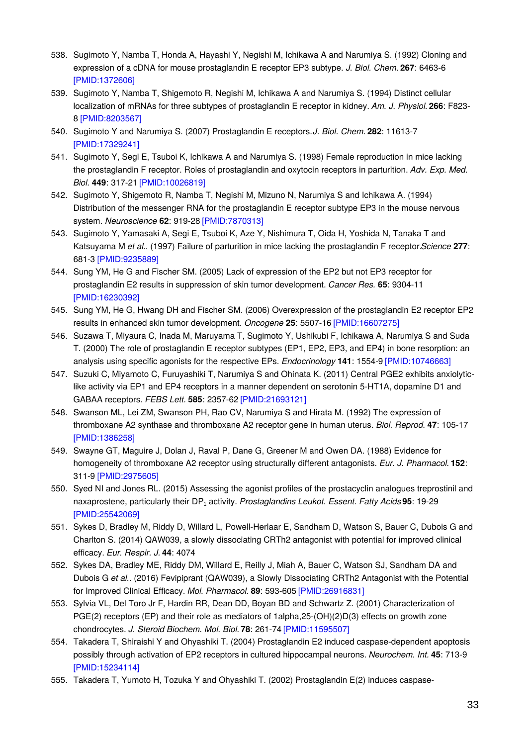- 538. Sugimoto Y, Namba T, Honda A, Hayashi Y, Negishi M, Ichikawa A and Narumiya S. (1992) Cloning and expression of a cDNA for mouse prostaglandin E receptor EP3 subtype. *J. Biol. Chem.* **267**: 6463-6 [\[PMID:1372606\]](http://www.ncbi.nlm.nih.gov/pubmed/1372606?dopt=AbstractPlus)
- 539. Sugimoto Y, Namba T, Shigemoto R, Negishi M, Ichikawa A and Narumiya S. (1994) Distinct cellular localization of mRNAs for three subtypes of prostaglandin E receptor in kidney. *Am. J. Physiol.* **266**: F823- 8 [\[PMID:8203567\]](http://www.ncbi.nlm.nih.gov/pubmed/8203567?dopt=AbstractPlus)
- 540. Sugimoto Y and Narumiya S. (2007) Prostaglandin E receptors.*J. Biol. Chem.* **282**: 11613-7 [\[PMID:17329241\]](http://www.ncbi.nlm.nih.gov/pubmed/17329241?dopt=AbstractPlus)
- 541. Sugimoto Y, Segi E, Tsuboi K, Ichikawa A and Narumiya S. (1998) Female reproduction in mice lacking the prostaglandin F receptor. Roles of prostaglandin and oxytocin receptors in parturition. *Adv. Exp. Med. Biol.* **449**: 317-21 [\[PMID:10026819\]](http://www.ncbi.nlm.nih.gov/pubmed/10026819?dopt=AbstractPlus)
- 542. Sugimoto Y, Shigemoto R, Namba T, Negishi M, Mizuno N, Narumiya S and Ichikawa A. (1994) Distribution of the messenger RNA for the prostaglandin E receptor subtype EP3 in the mouse nervous system. *Neuroscience* **62**: 919-28 [\[PMID:7870313\]](http://www.ncbi.nlm.nih.gov/pubmed/7870313?dopt=AbstractPlus)
- 543. Sugimoto Y, Yamasaki A, Segi E, Tsuboi K, Aze Y, Nishimura T, Oida H, Yoshida N, Tanaka T and Katsuyama M *et al.*. (1997) Failure of parturition in mice lacking the prostaglandin F receptor.*Science* **277**: 681-3 [\[PMID:9235889\]](http://www.ncbi.nlm.nih.gov/pubmed/9235889?dopt=AbstractPlus)
- 544. Sung YM, He G and Fischer SM. (2005) Lack of expression of the EP2 but not EP3 receptor for prostaglandin E2 results in suppression of skin tumor development. *Cancer Res.* **65**: 9304-11 [\[PMID:16230392\]](http://www.ncbi.nlm.nih.gov/pubmed/16230392?dopt=AbstractPlus)
- 545. Sung YM, He G, Hwang DH and Fischer SM. (2006) Overexpression of the prostaglandin E2 receptor EP2 results in enhanced skin tumor development. *Oncogene* **25**: 5507-16 [\[PMID:16607275\]](http://www.ncbi.nlm.nih.gov/pubmed/16607275?dopt=AbstractPlus)
- 546. Suzawa T, Miyaura C, Inada M, Maruyama T, Sugimoto Y, Ushikubi F, Ichikawa A, Narumiya S and Suda T. (2000) The role of prostaglandin E receptor subtypes (EP1, EP2, EP3, and EP4) in bone resorption: an analysis using specific agonists for the respective EPs. *Endocrinology* **141**: 1554-9 [\[PMID:10746663\]](http://www.ncbi.nlm.nih.gov/pubmed/10746663?dopt=AbstractPlus)
- 547. Suzuki C, Miyamoto C, Furuyashiki T, Narumiya S and Ohinata K. (2011) Central PGE2 exhibits anxiolyticlike activity via EP1 and EP4 receptors in a manner dependent on serotonin 5-HT1A, dopamine D1 and GABAA receptors. *FEBS Lett.* **585**: 2357-62 [\[PMID:21693121\]](http://www.ncbi.nlm.nih.gov/pubmed/21693121?dopt=AbstractPlus)
- 548. Swanson ML, Lei ZM, Swanson PH, Rao CV, Narumiya S and Hirata M. (1992) The expression of thromboxane A2 synthase and thromboxane A2 receptor gene in human uterus. *Biol. Reprod.* **47**: 105-17 [\[PMID:1386258\]](http://www.ncbi.nlm.nih.gov/pubmed/1386258?dopt=AbstractPlus)
- 549. Swayne GT, Maguire J, Dolan J, Raval P, Dane G, Greener M and Owen DA. (1988) Evidence for homogeneity of thromboxane A2 receptor using structurally different antagonists. *Eur. J. Pharmacol.* **152**: 311-9 [\[PMID:2975605\]](http://www.ncbi.nlm.nih.gov/pubmed/2975605?dopt=AbstractPlus)
- 550. Syed NI and Jones RL. (2015) Assessing the agonist profiles of the prostacyclin analogues treprostinil and naxaprostene, particularly their DP₁ activity. *Prostaglandins Leukot. Essent. Fatty Acids***95**: 19-29 [\[PMID:25542069\]](http://www.ncbi.nlm.nih.gov/pubmed/25542069?dopt=AbstractPlus)
- 551. Sykes D, Bradley M, Riddy D, Willard L, Powell-Herlaar E, Sandham D, Watson S, Bauer C, Dubois G and Charlton S. (2014) QAW039, a slowly dissociating CRTh2 antagonist with potential for improved clinical efficacy. *Eur. Respir. J.* **44**: 4074
- 552. Sykes DA, Bradley ME, Riddy DM, Willard E, Reilly J, Miah A, Bauer C, Watson SJ, Sandham DA and Dubois G *et al.*. (2016) Fevipiprant (QAW039), a Slowly Dissociating CRTh2 Antagonist with the Potential for Improved Clinical Efficacy. *Mol. Pharmacol.* **89**: 593-605 [\[PMID:26916831\]](http://www.ncbi.nlm.nih.gov/pubmed/26916831?dopt=AbstractPlus)
- 553. Sylvia VL, Del Toro Jr F, Hardin RR, Dean DD, Boyan BD and Schwartz Z. (2001) Characterization of PGE(2) receptors (EP) and their role as mediators of 1alpha,25-(OH)(2)D(3) effects on growth zone chondrocytes. *J. Steroid Biochem. Mol. Biol.* **78**: 261-74 [\[PMID:11595507\]](http://www.ncbi.nlm.nih.gov/pubmed/11595507?dopt=AbstractPlus)
- 554. Takadera T, Shiraishi Y and Ohyashiki T. (2004) Prostaglandin E2 induced caspase-dependent apoptosis possibly through activation of EP2 receptors in cultured hippocampal neurons. *Neurochem. Int.* **45**: 713-9 [\[PMID:15234114\]](http://www.ncbi.nlm.nih.gov/pubmed/15234114?dopt=AbstractPlus)
- 555. Takadera T, Yumoto H, Tozuka Y and Ohyashiki T. (2002) Prostaglandin E(2) induces caspase-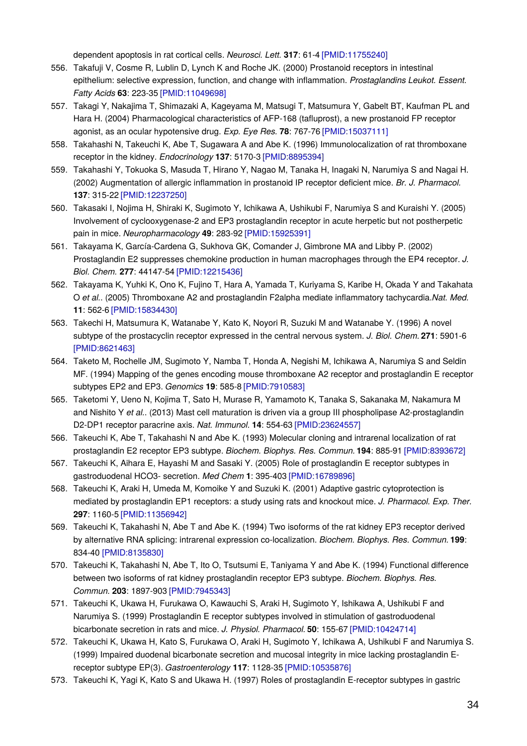dependent apoptosis in rat cortical cells. *Neurosci. Lett.* **317**: 61-4 [\[PMID:11755240\]](http://www.ncbi.nlm.nih.gov/pubmed/11755240?dopt=AbstractPlus)

- 556. Takafuji V, Cosme R, Lublin D, Lynch K and Roche JK. (2000) Prostanoid receptors in intestinal epithelium: selective expression, function, and change with inflammation. *Prostaglandins Leukot. Essent. Fatty Acids* **63**: 223-35 [\[PMID:11049698\]](http://www.ncbi.nlm.nih.gov/pubmed/11049698?dopt=AbstractPlus)
- 557. Takagi Y, Nakajima T, Shimazaki A, Kageyama M, Matsugi T, Matsumura Y, Gabelt BT, Kaufman PL and Hara H. (2004) Pharmacological characteristics of AFP-168 (tafluprost), a new prostanoid FP receptor agonist, as an ocular hypotensive drug. *Exp. Eye Res.* **78**: 767-76 [\[PMID:15037111\]](http://www.ncbi.nlm.nih.gov/pubmed/15037111?dopt=AbstractPlus)
- 558. Takahashi N, Takeuchi K, Abe T, Sugawara A and Abe K. (1996) Immunolocalization of rat thromboxane receptor in the kidney. *Endocrinology* **137**: 5170-3 [\[PMID:8895394\]](http://www.ncbi.nlm.nih.gov/pubmed/8895394?dopt=AbstractPlus)
- 559. Takahashi Y, Tokuoka S, Masuda T, Hirano Y, Nagao M, Tanaka H, Inagaki N, Narumiya S and Nagai H. (2002) Augmentation of allergic inflammation in prostanoid IP receptor deficient mice. *Br. J. Pharmacol.* **137**: 315-22 [\[PMID:12237250\]](http://www.ncbi.nlm.nih.gov/pubmed/12237250?dopt=AbstractPlus)
- 560. Takasaki I, Nojima H, Shiraki K, Sugimoto Y, Ichikawa A, Ushikubi F, Narumiya S and Kuraishi Y. (2005) Involvement of cyclooxygenase-2 and EP3 prostaglandin receptor in acute herpetic but not postherpetic pain in mice. *Neuropharmacology* **49**: 283-92 [\[PMID:15925391\]](http://www.ncbi.nlm.nih.gov/pubmed/15925391?dopt=AbstractPlus)
- 561. Takayama K, García-Cardena G, Sukhova GK, Comander J, Gimbrone MA and Libby P. (2002) Prostaglandin E2 suppresses chemokine production in human macrophages through the EP4 receptor. *J. Biol. Chem.* **277**: 44147-54 [\[PMID:12215436\]](http://www.ncbi.nlm.nih.gov/pubmed/12215436?dopt=AbstractPlus)
- 562. Takayama K, Yuhki K, Ono K, Fujino T, Hara A, Yamada T, Kuriyama S, Karibe H, Okada Y and Takahata O *et al.*. (2005) Thromboxane A2 and prostaglandin F2alpha mediate inflammatory tachycardia.*Nat. Med.* **11**: 562-6 [\[PMID:15834430\]](http://www.ncbi.nlm.nih.gov/pubmed/15834430?dopt=AbstractPlus)
- 563. Takechi H, Matsumura K, Watanabe Y, Kato K, Noyori R, Suzuki M and Watanabe Y. (1996) A novel subtype of the prostacyclin receptor expressed in the central nervous system. *J. Biol. Chem.* **271**: 5901-6 [\[PMID:8621463\]](http://www.ncbi.nlm.nih.gov/pubmed/8621463?dopt=AbstractPlus)
- 564. Taketo M, Rochelle JM, Sugimoto Y, Namba T, Honda A, Negishi M, Ichikawa A, Narumiya S and Seldin MF. (1994) Mapping of the genes encoding mouse thromboxane A2 receptor and prostaglandin E receptor subtypes EP2 and EP3. *Genomics* **19**: 585-8 [\[PMID:7910583\]](http://www.ncbi.nlm.nih.gov/pubmed/7910583?dopt=AbstractPlus)
- 565. Taketomi Y, Ueno N, Kojima T, Sato H, Murase R, Yamamoto K, Tanaka S, Sakanaka M, Nakamura M and Nishito Y *et al.*. (2013) Mast cell maturation is driven via a group III phospholipase A2-prostaglandin D2-DP1 receptor paracrine axis. *Nat. Immunol.* **14**: 554-63 [\[PMID:23624557\]](http://www.ncbi.nlm.nih.gov/pubmed/23624557?dopt=AbstractPlus)
- 566. Takeuchi K, Abe T, Takahashi N and Abe K. (1993) Molecular cloning and intrarenal localization of rat prostaglandin E2 receptor EP3 subtype. *Biochem. Biophys. Res. Commun.* **194**: 885-91 [\[PMID:8393672\]](http://www.ncbi.nlm.nih.gov/pubmed/8393672?dopt=AbstractPlus)
- 567. Takeuchi K, Aihara E, Hayashi M and Sasaki Y. (2005) Role of prostaglandin E receptor subtypes in gastroduodenal HCO3- secretion. *Med Chem* **1**: 395-403 [\[PMID:16789896\]](http://www.ncbi.nlm.nih.gov/pubmed/16789896?dopt=AbstractPlus)
- 568. Takeuchi K, Araki H, Umeda M, Komoike Y and Suzuki K. (2001) Adaptive gastric cytoprotection is mediated by prostaglandin EP1 receptors: a study using rats and knockout mice. *J. Pharmacol. Exp. Ther.* **297**: 1160-5 [\[PMID:11356942\]](http://www.ncbi.nlm.nih.gov/pubmed/11356942?dopt=AbstractPlus)
- 569. Takeuchi K, Takahashi N, Abe T and Abe K. (1994) Two isoforms of the rat kidney EP3 receptor derived by alternative RNA splicing: intrarenal expression co-localization. *Biochem. Biophys. Res. Commun.* **199**: 834-40 [\[PMID:8135830\]](http://www.ncbi.nlm.nih.gov/pubmed/8135830?dopt=AbstractPlus)
- 570. Takeuchi K, Takahashi N, Abe T, Ito O, Tsutsumi E, Taniyama Y and Abe K. (1994) Functional difference between two isoforms of rat kidney prostaglandin receptor EP3 subtype. *Biochem. Biophys. Res. Commun.* **203**: 1897-903 [\[PMID:7945343\]](http://www.ncbi.nlm.nih.gov/pubmed/7945343?dopt=AbstractPlus)
- 571. Takeuchi K, Ukawa H, Furukawa O, Kawauchi S, Araki H, Sugimoto Y, Ishikawa A, Ushikubi F and Narumiya S. (1999) Prostaglandin E receptor subtypes involved in stimulation of gastroduodenal bicarbonate secretion in rats and mice. *J. Physiol. Pharmacol.* **50**: 155-67 [\[PMID:10424714\]](http://www.ncbi.nlm.nih.gov/pubmed/10424714?dopt=AbstractPlus)
- 572. Takeuchi K, Ukawa H, Kato S, Furukawa O, Araki H, Sugimoto Y, Ichikawa A, Ushikubi F and Narumiya S. (1999) Impaired duodenal bicarbonate secretion and mucosal integrity in mice lacking prostaglandin Ereceptor subtype EP(3). *Gastroenterology* **117**: 1128-35 [\[PMID:10535876\]](http://www.ncbi.nlm.nih.gov/pubmed/10535876?dopt=AbstractPlus)
- 573. Takeuchi K, Yagi K, Kato S and Ukawa H. (1997) Roles of prostaglandin E-receptor subtypes in gastric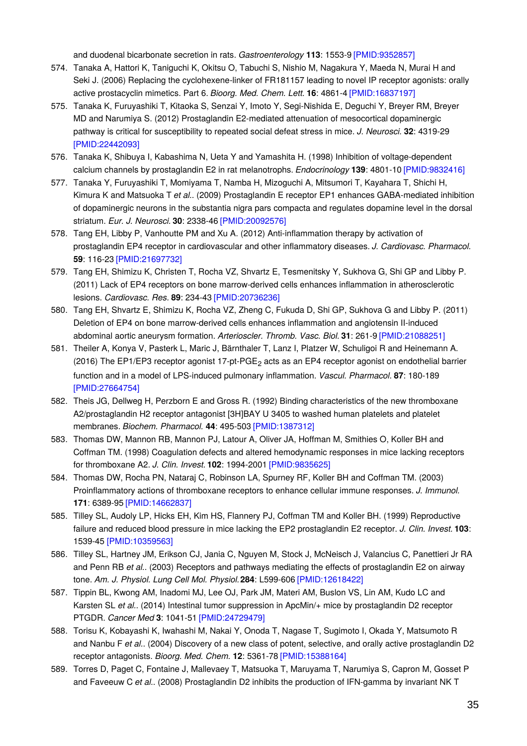and duodenal bicarbonate secretion in rats. *Gastroenterology* **113**: 1553-9 [\[PMID:9352857\]](http://www.ncbi.nlm.nih.gov/pubmed/9352857?dopt=AbstractPlus)

- 574. Tanaka A, Hattori K, Taniguchi K, Okitsu O, Tabuchi S, Nishio M, Nagakura Y, Maeda N, Murai H and Seki J. (2006) Replacing the cyclohexene-linker of FR181157 leading to novel IP receptor agonists: orally active prostacyclin mimetics. Part 6. *Bioorg. Med. Chem. Lett.* **16**: 4861-4 [\[PMID:16837197\]](http://www.ncbi.nlm.nih.gov/pubmed/16837197?dopt=AbstractPlus)
- 575. Tanaka K, Furuyashiki T, Kitaoka S, Senzai Y, Imoto Y, Segi-Nishida E, Deguchi Y, Breyer RM, Breyer MD and Narumiya S. (2012) Prostaglandin E2-mediated attenuation of mesocortical dopaminergic pathway is critical for susceptibility to repeated social defeat stress in mice. *J. Neurosci.* **32**: 4319-29 [\[PMID:22442093\]](http://www.ncbi.nlm.nih.gov/pubmed/22442093?dopt=AbstractPlus)
- 576. Tanaka K, Shibuya I, Kabashima N, Ueta Y and Yamashita H. (1998) Inhibition of voltage-dependent calcium channels by prostaglandin E2 in rat melanotrophs. *Endocrinology* **139**: 4801-10 [\[PMID:9832416\]](http://www.ncbi.nlm.nih.gov/pubmed/9832416?dopt=AbstractPlus)
- 577. Tanaka Y, Furuyashiki T, Momiyama T, Namba H, Mizoguchi A, Mitsumori T, Kayahara T, Shichi H, Kimura K and Matsuoka T *et al.*. (2009) Prostaglandin E receptor EP1 enhances GABA-mediated inhibition of dopaminergic neurons in the substantia nigra pars compacta and regulates dopamine level in the dorsal striatum. *Eur. J. Neurosci.* **30**: 2338-46 [\[PMID:20092576\]](http://www.ncbi.nlm.nih.gov/pubmed/20092576?dopt=AbstractPlus)
- 578. Tang EH, Libby P, Vanhoutte PM and Xu A. (2012) Anti-inflammation therapy by activation of prostaglandin EP4 receptor in cardiovascular and other inflammatory diseases. *J. Cardiovasc. Pharmacol.* **59**: 116-23 [\[PMID:21697732\]](http://www.ncbi.nlm.nih.gov/pubmed/21697732?dopt=AbstractPlus)
- 579. Tang EH, Shimizu K, Christen T, Rocha VZ, Shvartz E, Tesmenitsky Y, Sukhova G, Shi GP and Libby P. (2011) Lack of EP4 receptors on bone marrow-derived cells enhances inflammation in atherosclerotic lesions. *Cardiovasc. Res.* **89**: 234-43 [\[PMID:20736236\]](http://www.ncbi.nlm.nih.gov/pubmed/20736236?dopt=AbstractPlus)
- 580. Tang EH, Shvartz E, Shimizu K, Rocha VZ, Zheng C, Fukuda D, Shi GP, Sukhova G and Libby P. (2011) Deletion of EP4 on bone marrow-derived cells enhances inflammation and angiotensin II-induced abdominal aortic aneurysm formation. *Arterioscler. Thromb. Vasc. Biol.* **31**: 261-9 [\[PMID:21088251\]](http://www.ncbi.nlm.nih.gov/pubmed/21088251?dopt=AbstractPlus)
- 581. Theiler A, Konya V, Pasterk L, Maric J, Bärnthaler T, Lanz I, Platzer W, Schuligoi R and Heinemann A. (2016) The EP1/EP3 receptor agonist 17-pt-PGE<sub>2</sub> acts as an EP4 receptor agonist on endothelial barrier function and in a model of LPS-induced pulmonary inflammation. *Vascul. Pharmacol.* **87**: 180-189 [\[PMID:27664754\]](http://www.ncbi.nlm.nih.gov/pubmed/27664754?dopt=AbstractPlus)
- 582. Theis JG, Dellweg H, Perzborn E and Gross R. (1992) Binding characteristics of the new thromboxane A2/prostaglandin H2 receptor antagonist [3H]BAY U 3405 to washed human platelets and platelet membranes. *Biochem. Pharmacol.* **44**: 495-503 [\[PMID:1387312\]](http://www.ncbi.nlm.nih.gov/pubmed/1387312?dopt=AbstractPlus)
- 583. Thomas DW, Mannon RB, Mannon PJ, Latour A, Oliver JA, Hoffman M, Smithies O, Koller BH and Coffman TM. (1998) Coagulation defects and altered hemodynamic responses in mice lacking receptors for thromboxane A2. *J. Clin. Invest.* **102**: 1994-2001 [\[PMID:9835625\]](http://www.ncbi.nlm.nih.gov/pubmed/9835625?dopt=AbstractPlus)
- 584. Thomas DW, Rocha PN, Nataraj C, Robinson LA, Spurney RF, Koller BH and Coffman TM. (2003) Proinflammatory actions of thromboxane receptors to enhance cellular immune responses. *J. Immunol.* **171**: 6389-95 [\[PMID:14662837\]](http://www.ncbi.nlm.nih.gov/pubmed/14662837?dopt=AbstractPlus)
- 585. Tilley SL, Audoly LP, Hicks EH, Kim HS, Flannery PJ, Coffman TM and Koller BH. (1999) Reproductive failure and reduced blood pressure in mice lacking the EP2 prostaglandin E2 receptor. *J. Clin. Invest.* **103**: 1539-45 [\[PMID:10359563\]](http://www.ncbi.nlm.nih.gov/pubmed/10359563?dopt=AbstractPlus)
- 586. Tilley SL, Hartney JM, Erikson CJ, Jania C, Nguyen M, Stock J, McNeisch J, Valancius C, Panettieri Jr RA and Penn RB *et al.*. (2003) Receptors and pathways mediating the effects of prostaglandin E2 on airway tone. *Am. J. Physiol. Lung Cell Mol. Physiol.***284**: L599-606 [\[PMID:12618422\]](http://www.ncbi.nlm.nih.gov/pubmed/12618422?dopt=AbstractPlus)
- 587. Tippin BL, Kwong AM, Inadomi MJ, Lee OJ, Park JM, Materi AM, Buslon VS, Lin AM, Kudo LC and Karsten SL *et al.*. (2014) Intestinal tumor suppression in ApcMin/+ mice by prostaglandin D2 receptor PTGDR. *Cancer Med* **3**: 1041-51 [\[PMID:24729479\]](http://www.ncbi.nlm.nih.gov/pubmed/24729479?dopt=AbstractPlus)
- 588. Torisu K, Kobayashi K, Iwahashi M, Nakai Y, Onoda T, Nagase T, Sugimoto I, Okada Y, Matsumoto R and Nanbu F *et al.*. (2004) Discovery of a new class of potent, selective, and orally active prostaglandin D2 receptor antagonists. *Bioorg. Med. Chem.* **12**: 5361-78 [\[PMID:15388164\]](http://www.ncbi.nlm.nih.gov/pubmed/15388164?dopt=AbstractPlus)
- 589. Torres D, Paget C, Fontaine J, Mallevaey T, Matsuoka T, Maruyama T, Narumiya S, Capron M, Gosset P and Faveeuw C *et al.*. (2008) Prostaglandin D2 inhibits the production of IFN-gamma by invariant NK T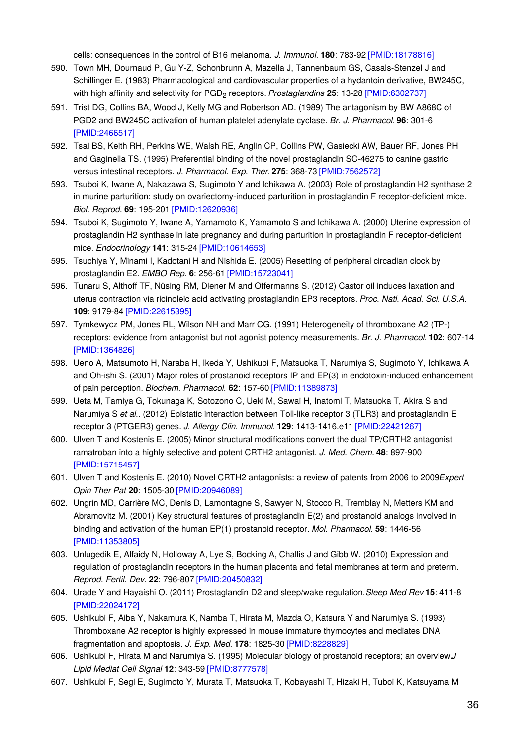cells: consequences in the control of B16 melanoma. *J. Immunol.* **180**: 783-92 [\[PMID:18178816\]](http://www.ncbi.nlm.nih.gov/pubmed/18178816?dopt=AbstractPlus)

- 590. Town MH, Dournaud P, Gu Y-Z, Schonbrunn A, Mazella J, Tannenbaum GS, Casals-Stenzel J and Schillinger E. (1983) Pharmacological and cardiovascular properties of a hydantoin derivative, BW245C, with high affinity and selectivity for PGD<sub>2</sub> receptors. *Prostaglandins* 25: 13-28 [\[PMID:6302737\]](http://www.ncbi.nlm.nih.gov/pubmed/6302737?dopt=AbstractPlus)
- 591. Trist DG, Collins BA, Wood J, Kelly MG and Robertson AD. (1989) The antagonism by BW A868C of PGD2 and BW245C activation of human platelet adenylate cyclase. *Br. J. Pharmacol.* **96**: 301-6 [\[PMID:2466517\]](http://www.ncbi.nlm.nih.gov/pubmed/2466517?dopt=AbstractPlus)
- 592. Tsai BS, Keith RH, Perkins WE, Walsh RE, Anglin CP, Collins PW, Gasiecki AW, Bauer RF, Jones PH and Gaginella TS. (1995) Preferential binding of the novel prostaglandin SC-46275 to canine gastric versus intestinal receptors. *J. Pharmacol. Exp. Ther.***275**: 368-73 [\[PMID:7562572\]](http://www.ncbi.nlm.nih.gov/pubmed/7562572?dopt=AbstractPlus)
- 593. Tsuboi K, Iwane A, Nakazawa S, Sugimoto Y and Ichikawa A. (2003) Role of prostaglandin H2 synthase 2 in murine parturition: study on ovariectomy-induced parturition in prostaglandin F receptor-deficient mice. *Biol. Reprod.* **69**: 195-201 [\[PMID:12620936\]](http://www.ncbi.nlm.nih.gov/pubmed/12620936?dopt=AbstractPlus)
- 594. Tsuboi K, Sugimoto Y, Iwane A, Yamamoto K, Yamamoto S and Ichikawa A. (2000) Uterine expression of prostaglandin H2 synthase in late pregnancy and during parturition in prostaglandin F receptor-deficient mice. *Endocrinology* **141**: 315-24 [\[PMID:10614653\]](http://www.ncbi.nlm.nih.gov/pubmed/10614653?dopt=AbstractPlus)
- 595. Tsuchiya Y, Minami I, Kadotani H and Nishida E. (2005) Resetting of peripheral circadian clock by prostaglandin E2. *EMBO Rep.* **6**: 256-61 [\[PMID:15723041\]](http://www.ncbi.nlm.nih.gov/pubmed/15723041?dopt=AbstractPlus)
- 596. Tunaru S, Althoff TF, Nüsing RM, Diener M and Offermanns S. (2012) Castor oil induces laxation and uterus contraction via ricinoleic acid activating prostaglandin EP3 receptors. *Proc. Natl. Acad. Sci. U.S.A.* **109**: 9179-84 [\[PMID:22615395\]](http://www.ncbi.nlm.nih.gov/pubmed/22615395?dopt=AbstractPlus)
- 597. Tymkewycz PM, Jones RL, Wilson NH and Marr CG. (1991) Heterogeneity of thromboxane A2 (TP-) receptors: evidence from antagonist but not agonist potency measurements. *Br. J. Pharmacol.* **102**: 607-14 [\[PMID:1364826\]](http://www.ncbi.nlm.nih.gov/pubmed/1364826?dopt=AbstractPlus)
- 598. Ueno A, Matsumoto H, Naraba H, Ikeda Y, Ushikubi F, Matsuoka T, Narumiya S, Sugimoto Y, Ichikawa A and Oh-ishi S. (2001) Major roles of prostanoid receptors IP and EP(3) in endotoxin-induced enhancement of pain perception. *Biochem. Pharmacol.* **62**: 157-60 [\[PMID:11389873\]](http://www.ncbi.nlm.nih.gov/pubmed/11389873?dopt=AbstractPlus)
- 599. Ueta M, Tamiya G, Tokunaga K, Sotozono C, Ueki M, Sawai H, Inatomi T, Matsuoka T, Akira S and Narumiya S *et al.*. (2012) Epistatic interaction between Toll-like receptor 3 (TLR3) and prostaglandin E receptor 3 (PTGER3) genes. *J. Allergy Clin. Immunol.* **129**: 1413-1416.e11 [\[PMID:22421267\]](http://www.ncbi.nlm.nih.gov/pubmed/22421267?dopt=AbstractPlus)
- 600. Ulven T and Kostenis E. (2005) Minor structural modifications convert the dual TP/CRTH2 antagonist ramatroban into a highly selective and potent CRTH2 antagonist. *J. Med. Chem.* **48**: 897-900 [\[PMID:15715457\]](http://www.ncbi.nlm.nih.gov/pubmed/15715457?dopt=AbstractPlus)
- 601. Ulven T and Kostenis E. (2010) Novel CRTH2 antagonists: a review of patents from 2006 to 2009.*Expert Opin Ther Pat* **20**: 1505-30 [\[PMID:20946089\]](http://www.ncbi.nlm.nih.gov/pubmed/20946089?dopt=AbstractPlus)
- 602. Ungrin MD, Carrière MC, Denis D, Lamontagne S, Sawyer N, Stocco R, Tremblay N, Metters KM and Abramovitz M. (2001) Key structural features of prostaglandin E(2) and prostanoid analogs involved in binding and activation of the human EP(1) prostanoid receptor. *Mol. Pharmacol.* **59**: 1446-56 [\[PMID:11353805\]](http://www.ncbi.nlm.nih.gov/pubmed/11353805?dopt=AbstractPlus)
- 603. Unlugedik E, Alfaidy N, Holloway A, Lye S, Bocking A, Challis J and Gibb W. (2010) Expression and regulation of prostaglandin receptors in the human placenta and fetal membranes at term and preterm. *Reprod. Fertil. Dev.* **22**: 796-807 [\[PMID:20450832\]](http://www.ncbi.nlm.nih.gov/pubmed/20450832?dopt=AbstractPlus)
- 604. Urade Y and Hayaishi O. (2011) Prostaglandin D2 and sleep/wake regulation.*Sleep Med Rev* **15**: 411-8 [\[PMID:22024172\]](http://www.ncbi.nlm.nih.gov/pubmed/22024172?dopt=AbstractPlus)
- 605. Ushikubi F, Aiba Y, Nakamura K, Namba T, Hirata M, Mazda O, Katsura Y and Narumiya S. (1993) Thromboxane A2 receptor is highly expressed in mouse immature thymocytes and mediates DNA fragmentation and apoptosis. *J. Exp. Med.* **178**: 1825-30 [\[PMID:8228829\]](http://www.ncbi.nlm.nih.gov/pubmed/8228829?dopt=AbstractPlus)
- 606. Ushikubi F, Hirata M and Narumiya S. (1995) Molecular biology of prostanoid receptors; an overview.*J Lipid Mediat Cell Signal* **12**: 343-59 [\[PMID:8777578\]](http://www.ncbi.nlm.nih.gov/pubmed/8777578?dopt=AbstractPlus)
- 607. Ushikubi F, Segi E, Sugimoto Y, Murata T, Matsuoka T, Kobayashi T, Hizaki H, Tuboi K, Katsuyama M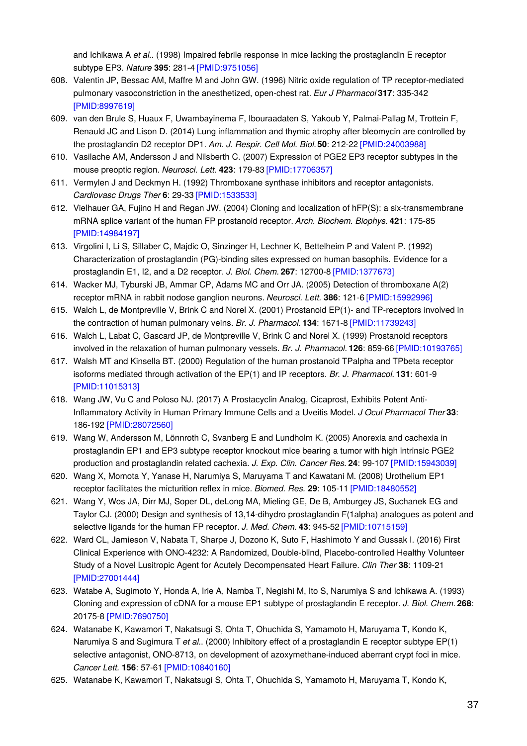and Ichikawa A *et al.*. (1998) Impaired febrile response in mice lacking the prostaglandin E receptor subtype EP3. *Nature* **395**: 281-4 [\[PMID:9751056\]](http://www.ncbi.nlm.nih.gov/pubmed/9751056?dopt=AbstractPlus)

- 608. Valentin JP, Bessac AM, Maffre M and John GW. (1996) Nitric oxide regulation of TP receptor-mediated pulmonary vasoconstriction in the anesthetized, open-chest rat. *Eur J Pharmacol* **317**: 335-342 [\[PMID:8997619\]](http://www.ncbi.nlm.nih.gov/pubmed/8997619?dopt=AbstractPlus)
- 609. van den Brule S, Huaux F, Uwambayinema F, Ibouraadaten S, Yakoub Y, Palmai-Pallag M, Trottein F, Renauld JC and Lison D. (2014) Lung inflammation and thymic atrophy after bleomycin are controlled by the prostaglandin D2 receptor DP1. *Am. J. Respir. Cell Mol. Biol.***50**: 212-22 [\[PMID:24003988\]](http://www.ncbi.nlm.nih.gov/pubmed/24003988?dopt=AbstractPlus)
- 610. Vasilache AM, Andersson J and Nilsberth C. (2007) Expression of PGE2 EP3 receptor subtypes in the mouse preoptic region. *Neurosci. Lett.* **423**: 179-83 [\[PMID:17706357\]](http://www.ncbi.nlm.nih.gov/pubmed/17706357?dopt=AbstractPlus)
- 611. Vermylen J and Deckmyn H. (1992) Thromboxane synthase inhibitors and receptor antagonists. *Cardiovasc Drugs Ther* **6**: 29-33 [\[PMID:1533533\]](http://www.ncbi.nlm.nih.gov/pubmed/1533533?dopt=AbstractPlus)
- 612. Vielhauer GA, Fujino H and Regan JW. (2004) Cloning and localization of hFP(S): a six-transmembrane mRNA splice variant of the human FP prostanoid receptor. *Arch. Biochem. Biophys.* **421**: 175-85 [\[PMID:14984197\]](http://www.ncbi.nlm.nih.gov/pubmed/14984197?dopt=AbstractPlus)
- 613. Virgolini I, Li S, Sillaber C, Majdic O, Sinzinger H, Lechner K, Bettelheim P and Valent P. (1992) Characterization of prostaglandin (PG)-binding sites expressed on human basophils. Evidence for a prostaglandin E1, I2, and a D2 receptor. *J. Biol. Chem.* **267**: 12700-8 [\[PMID:1377673\]](http://www.ncbi.nlm.nih.gov/pubmed/1377673?dopt=AbstractPlus)
- 614. Wacker MJ, Tyburski JB, Ammar CP, Adams MC and Orr JA. (2005) Detection of thromboxane A(2) receptor mRNA in rabbit nodose ganglion neurons. *Neurosci. Lett.* **386**: 121-6 [\[PMID:15992996\]](http://www.ncbi.nlm.nih.gov/pubmed/15992996?dopt=AbstractPlus)
- 615. Walch L, de Montpreville V, Brink C and Norel X. (2001) Prostanoid EP(1)- and TP-receptors involved in the contraction of human pulmonary veins. *Br. J. Pharmacol.* **134**: 1671-8 [\[PMID:11739243\]](http://www.ncbi.nlm.nih.gov/pubmed/11739243?dopt=AbstractPlus)
- 616. Walch L, Labat C, Gascard JP, de Montpreville V, Brink C and Norel X. (1999) Prostanoid receptors involved in the relaxation of human pulmonary vessels. *Br. J. Pharmacol.* **126**: 859-66 [\[PMID:10193765\]](http://www.ncbi.nlm.nih.gov/pubmed/10193765?dopt=AbstractPlus)
- 617. Walsh MT and Kinsella BT. (2000) Regulation of the human prostanoid TPalpha and TPbeta receptor isoforms mediated through activation of the EP(1) and IP receptors. *Br. J. Pharmacol.* **131**: 601-9 [\[PMID:11015313\]](http://www.ncbi.nlm.nih.gov/pubmed/11015313?dopt=AbstractPlus)
- 618. Wang JW, Vu C and Poloso NJ. (2017) A Prostacyclin Analog, Cicaprost, Exhibits Potent Anti-Inflammatory Activity in Human Primary Immune Cells and a Uveitis Model. *J Ocul Pharmacol Ther* **33**: 186-192 [\[PMID:28072560\]](http://www.ncbi.nlm.nih.gov/pubmed/28072560?dopt=AbstractPlus)
- 619. Wang W, Andersson M, Lönnroth C, Svanberg E and Lundholm K. (2005) Anorexia and cachexia in prostaglandin EP1 and EP3 subtype receptor knockout mice bearing a tumor with high intrinsic PGE2 production and prostaglandin related cachexia. *J. Exp. Clin. Cancer Res.* **24**: 99-107 [\[PMID:15943039\]](http://www.ncbi.nlm.nih.gov/pubmed/15943039?dopt=AbstractPlus)
- 620. Wang X, Momota Y, Yanase H, Narumiya S, Maruyama T and Kawatani M. (2008) Urothelium EP1 receptor facilitates the micturition reflex in mice. *Biomed. Res.* **29**: 105-11 [\[PMID:18480552\]](http://www.ncbi.nlm.nih.gov/pubmed/18480552?dopt=AbstractPlus)
- 621. Wang Y, Wos JA, Dirr MJ, Soper DL, deLong MA, Mieling GE, De B, Amburgey JS, Suchanek EG and Taylor CJ. (2000) Design and synthesis of 13,14-dihydro prostaglandin F(1alpha) analogues as potent and selective ligands for the human FP receptor. *J. Med. Chem.* **43**: 945-52 [\[PMID:10715159\]](http://www.ncbi.nlm.nih.gov/pubmed/10715159?dopt=AbstractPlus)
- 622. Ward CL, Jamieson V, Nabata T, Sharpe J, Dozono K, Suto F, Hashimoto Y and Gussak I. (2016) First Clinical Experience with ONO-4232: A Randomized, Double-blind, Placebo-controlled Healthy Volunteer Study of a Novel Lusitropic Agent for Acutely Decompensated Heart Failure. *Clin Ther* **38**: 1109-21 [\[PMID:27001444\]](http://www.ncbi.nlm.nih.gov/pubmed/27001444?dopt=AbstractPlus)
- 623. Watabe A, Sugimoto Y, Honda A, Irie A, Namba T, Negishi M, Ito S, Narumiya S and Ichikawa A. (1993) Cloning and expression of cDNA for a mouse EP1 subtype of prostaglandin E receptor. *J. Biol. Chem.* **268**: 20175-8 [\[PMID:7690750\]](http://www.ncbi.nlm.nih.gov/pubmed/7690750?dopt=AbstractPlus)
- 624. Watanabe K, Kawamori T, Nakatsugi S, Ohta T, Ohuchida S, Yamamoto H, Maruyama T, Kondo K, Narumiya S and Sugimura T *et al.*. (2000) Inhibitory effect of a prostaglandin E receptor subtype EP(1) selective antagonist, ONO-8713, on development of azoxymethane-induced aberrant crypt foci in mice. *Cancer Lett.* **156**: 57-61 [\[PMID:10840160\]](http://www.ncbi.nlm.nih.gov/pubmed/10840160?dopt=AbstractPlus)
- 625. Watanabe K, Kawamori T, Nakatsugi S, Ohta T, Ohuchida S, Yamamoto H, Maruyama T, Kondo K,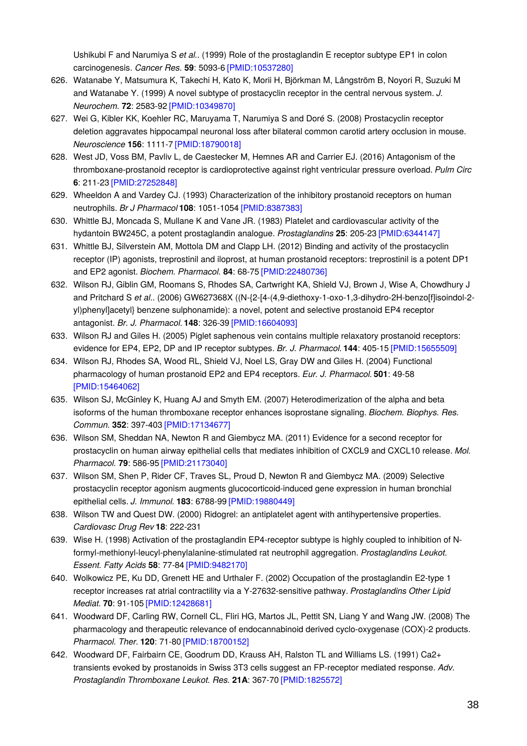Ushikubi F and Narumiya S *et al.*. (1999) Role of the prostaglandin E receptor subtype EP1 in colon carcinogenesis. *Cancer Res.* **59**: 5093-6 [\[PMID:10537280\]](http://www.ncbi.nlm.nih.gov/pubmed/10537280?dopt=AbstractPlus)

- 626. Watanabe Y, Matsumura K, Takechi H, Kato K, Morii H, Björkman M, Långström B, Noyori R, Suzuki M and Watanabe Y. (1999) A novel subtype of prostacyclin receptor in the central nervous system. *J. Neurochem.* **72**: 2583-92 [\[PMID:10349870\]](http://www.ncbi.nlm.nih.gov/pubmed/10349870?dopt=AbstractPlus)
- 627. Wei G, Kibler KK, Koehler RC, Maruyama T, Narumiya S and Doré S. (2008) Prostacyclin receptor deletion aggravates hippocampal neuronal loss after bilateral common carotid artery occlusion in mouse. *Neuroscience* **156**: 1111-7 [\[PMID:18790018\]](http://www.ncbi.nlm.nih.gov/pubmed/18790018?dopt=AbstractPlus)
- 628. West JD, Voss BM, Pavliv L, de Caestecker M, Hemnes AR and Carrier EJ. (2016) Antagonism of the thromboxane-prostanoid receptor is cardioprotective against right ventricular pressure overload. *Pulm Circ* **6**: 211-23 [\[PMID:27252848\]](http://www.ncbi.nlm.nih.gov/pubmed/27252848?dopt=AbstractPlus)
- 629. Wheeldon A and Vardey CJ. (1993) Characterization of the inhibitory prostanoid receptors on human neutrophils. *Br J Pharmacol* **108**: 1051-1054 [\[PMID:8387383\]](http://www.ncbi.nlm.nih.gov/pubmed/8387383?dopt=AbstractPlus)
- 630. Whittle BJ, Moncada S, Mullane K and Vane JR. (1983) Platelet and cardiovascular activity of the hydantoin BW245C, a potent prostaglandin analogue. *Prostaglandins* **25**: 205-23 [\[PMID:6344147\]](http://www.ncbi.nlm.nih.gov/pubmed/6344147?dopt=AbstractPlus)
- 631. Whittle BJ, Silverstein AM, Mottola DM and Clapp LH. (2012) Binding and activity of the prostacyclin receptor (IP) agonists, treprostinil and iloprost, at human prostanoid receptors: treprostinil is a potent DP1 and EP2 agonist. *Biochem. Pharmacol.* **84**: 68-75 [\[PMID:22480736\]](http://www.ncbi.nlm.nih.gov/pubmed/22480736?dopt=AbstractPlus)
- 632. Wilson RJ, Giblin GM, Roomans S, Rhodes SA, Cartwright KA, Shield VJ, Brown J, Wise A, Chowdhury J and Pritchard S *et al.*. (2006) GW627368X ((N-{2-[4-(4,9-diethoxy-1-oxo-1,3-dihydro-2H-benzo[f]isoindol-2 yl)phenyl]acetyl} benzene sulphonamide): a novel, potent and selective prostanoid EP4 receptor antagonist. *Br. J. Pharmacol.* **148**: 326-39 [\[PMID:16604093\]](http://www.ncbi.nlm.nih.gov/pubmed/16604093?dopt=AbstractPlus)
- 633. Wilson RJ and Giles H. (2005) Piglet saphenous vein contains multiple relaxatory prostanoid receptors: evidence for EP4, EP2, DP and IP receptor subtypes. *Br. J. Pharmacol.* **144**: 405-15 [\[PMID:15655509\]](http://www.ncbi.nlm.nih.gov/pubmed/15655509?dopt=AbstractPlus)
- 634. Wilson RJ, Rhodes SA, Wood RL, Shield VJ, Noel LS, Gray DW and Giles H. (2004) Functional pharmacology of human prostanoid EP2 and EP4 receptors. *Eur. J. Pharmacol.* **501**: 49-58 [\[PMID:15464062\]](http://www.ncbi.nlm.nih.gov/pubmed/15464062?dopt=AbstractPlus)
- 635. Wilson SJ, McGinley K, Huang AJ and Smyth EM. (2007) Heterodimerization of the alpha and beta isoforms of the human thromboxane receptor enhances isoprostane signaling. *Biochem. Biophys. Res. Commun.* **352**: 397-403 [\[PMID:17134677\]](http://www.ncbi.nlm.nih.gov/pubmed/17134677?dopt=AbstractPlus)
- 636. Wilson SM, Sheddan NA, Newton R and Giembycz MA. (2011) Evidence for a second receptor for prostacyclin on human airway epithelial cells that mediates inhibition of CXCL9 and CXCL10 release. *Mol. Pharmacol.* **79**: 586-95 [\[PMID:21173040\]](http://www.ncbi.nlm.nih.gov/pubmed/21173040?dopt=AbstractPlus)
- 637. Wilson SM, Shen P, Rider CF, Traves SL, Proud D, Newton R and Giembycz MA. (2009) Selective prostacyclin receptor agonism augments glucocorticoid-induced gene expression in human bronchial epithelial cells. *J. Immunol.* **183**: 6788-99 [\[PMID:19880449\]](http://www.ncbi.nlm.nih.gov/pubmed/19880449?dopt=AbstractPlus)
- 638. Wilson TW and Quest DW. (2000) Ridogrel: an antiplatelet agent with antihypertensive properties. *Cardiovasc Drug Rev* **18**: 222-231
- 639. Wise H. (1998) Activation of the prostaglandin EP4-receptor subtype is highly coupled to inhibition of Nformyl-methionyl-leucyl-phenylalanine-stimulated rat neutrophil aggregation. *Prostaglandins Leukot. Essent. Fatty Acids* **58**: 77-84 [\[PMID:9482170\]](http://www.ncbi.nlm.nih.gov/pubmed/9482170?dopt=AbstractPlus)
- 640. Wolkowicz PE, Ku DD, Grenett HE and Urthaler F. (2002) Occupation of the prostaglandin E2-type 1 receptor increases rat atrial contractility via a Y-27632-sensitive pathway. *Prostaglandins Other Lipid Mediat.* **70**: 91-105 [\[PMID:12428681\]](http://www.ncbi.nlm.nih.gov/pubmed/12428681?dopt=AbstractPlus)
- 641. Woodward DF, Carling RW, Cornell CL, Fliri HG, Martos JL, Pettit SN, Liang Y and Wang JW. (2008) The pharmacology and therapeutic relevance of endocannabinoid derived cyclo-oxygenase (COX)-2 products. *Pharmacol. Ther.* **120**: 71-80 [\[PMID:18700152\]](http://www.ncbi.nlm.nih.gov/pubmed/18700152?dopt=AbstractPlus)
- 642. Woodward DF, Fairbairn CE, Goodrum DD, Krauss AH, Ralston TL and Williams LS. (1991) Ca2+ transients evoked by prostanoids in Swiss 3T3 cells suggest an FP-receptor mediated response. *Adv. Prostaglandin Thromboxane Leukot. Res.* **21A**: 367-70 [\[PMID:1825572\]](http://www.ncbi.nlm.nih.gov/pubmed/1825572?dopt=AbstractPlus)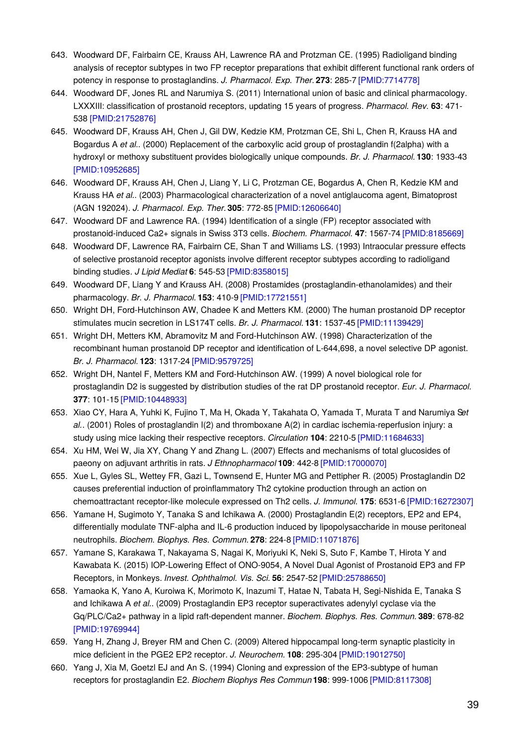- 643. Woodward DF, Fairbairn CE, Krauss AH, Lawrence RA and Protzman CE. (1995) Radioligand binding analysis of receptor subtypes in two FP receptor preparations that exhibit different functional rank orders of potency in response to prostaglandins. *J. Pharmacol. Exp. Ther.***273**: 285-7 [\[PMID:7714778\]](http://www.ncbi.nlm.nih.gov/pubmed/7714778?dopt=AbstractPlus)
- 644. Woodward DF, Jones RL and Narumiya S. (2011) International union of basic and clinical pharmacology. LXXXIII: classification of prostanoid receptors, updating 15 years of progress. *Pharmacol. Rev.* **63**: 471- 538 [\[PMID:21752876\]](http://www.ncbi.nlm.nih.gov/pubmed/21752876?dopt=AbstractPlus)
- 645. Woodward DF, Krauss AH, Chen J, Gil DW, Kedzie KM, Protzman CE, Shi L, Chen R, Krauss HA and Bogardus A *et al.*. (2000) Replacement of the carboxylic acid group of prostaglandin f(2alpha) with a hydroxyl or methoxy substituent provides biologically unique compounds. *Br. J. Pharmacol.* **130**: 1933-43 [\[PMID:10952685\]](http://www.ncbi.nlm.nih.gov/pubmed/10952685?dopt=AbstractPlus)
- 646. Woodward DF, Krauss AH, Chen J, Liang Y, Li C, Protzman CE, Bogardus A, Chen R, Kedzie KM and Krauss HA *et al.*. (2003) Pharmacological characterization of a novel antiglaucoma agent, Bimatoprost (AGN 192024). *J. Pharmacol. Exp. Ther.***305**: 772-85 [\[PMID:12606640\]](http://www.ncbi.nlm.nih.gov/pubmed/12606640?dopt=AbstractPlus)
- 647. Woodward DF and Lawrence RA. (1994) Identification of a single (FP) receptor associated with prostanoid-induced Ca2+ signals in Swiss 3T3 cells. *Biochem. Pharmacol.* **47**: 1567-74 [\[PMID:8185669\]](http://www.ncbi.nlm.nih.gov/pubmed/8185669?dopt=AbstractPlus)
- 648. Woodward DF, Lawrence RA, Fairbairn CE, Shan T and Williams LS. (1993) Intraocular pressure effects of selective prostanoid receptor agonists involve different receptor subtypes according to radioligand binding studies. *J Lipid Mediat* **6**: 545-53 [\[PMID:8358015\]](http://www.ncbi.nlm.nih.gov/pubmed/8358015?dopt=AbstractPlus)
- 649. Woodward DF, Liang Y and Krauss AH. (2008) Prostamides (prostaglandin-ethanolamides) and their pharmacology. *Br. J. Pharmacol.* **153**: 410-9 [\[PMID:17721551\]](http://www.ncbi.nlm.nih.gov/pubmed/17721551?dopt=AbstractPlus)
- 650. Wright DH, Ford-Hutchinson AW, Chadee K and Metters KM. (2000) The human prostanoid DP receptor stimulates mucin secretion in LS174T cells. *Br. J. Pharmacol.* **131**: 1537-45 [\[PMID:11139429\]](http://www.ncbi.nlm.nih.gov/pubmed/11139429?dopt=AbstractPlus)
- 651. Wright DH, Metters KM, Abramovitz M and Ford-Hutchinson AW. (1998) Characterization of the recombinant human prostanoid DP receptor and identification of L-644,698, a novel selective DP agonist. *Br. J. Pharmacol.* **123**: 1317-24 [\[PMID:9579725\]](http://www.ncbi.nlm.nih.gov/pubmed/9579725?dopt=AbstractPlus)
- 652. Wright DH, Nantel F, Metters KM and Ford-Hutchinson AW. (1999) A novel biological role for prostaglandin D2 is suggested by distribution studies of the rat DP prostanoid receptor. *Eur. J. Pharmacol.* **377**: 101-15 [\[PMID:10448933\]](http://www.ncbi.nlm.nih.gov/pubmed/10448933?dopt=AbstractPlus)
- 653. Xiao CY, Hara A, Yuhki K, Fujino T, Ma H, Okada Y, Takahata O, Yamada T, Murata T and Narumiya S*et al.*. (2001) Roles of prostaglandin I(2) and thromboxane A(2) in cardiac ischemia-reperfusion injury: a study using mice lacking their respective receptors. *Circulation* **104**: 2210-5 [\[PMID:11684633\]](http://www.ncbi.nlm.nih.gov/pubmed/11684633?dopt=AbstractPlus)
- 654. Xu HM, Wei W, Jia XY, Chang Y and Zhang L. (2007) Effects and mechanisms of total glucosides of paeony on adjuvant arthritis in rats. *J Ethnopharmacol* **109**: 442-8 [\[PMID:17000070\]](http://www.ncbi.nlm.nih.gov/pubmed/17000070?dopt=AbstractPlus)
- 655. Xue L, Gyles SL, Wettey FR, Gazi L, Townsend E, Hunter MG and Pettipher R. (2005) Prostaglandin D2 causes preferential induction of proinflammatory Th2 cytokine production through an action on chemoattractant receptor-like molecule expressed on Th2 cells. *J. Immunol.* **175**: 6531-6 [\[PMID:16272307\]](http://www.ncbi.nlm.nih.gov/pubmed/16272307?dopt=AbstractPlus)
- 656. Yamane H, Sugimoto Y, Tanaka S and Ichikawa A. (2000) Prostaglandin E(2) receptors, EP2 and EP4, differentially modulate TNF-alpha and IL-6 production induced by lipopolysaccharide in mouse peritoneal neutrophils. *Biochem. Biophys. Res. Commun.* **278**: 224-8 [\[PMID:11071876\]](http://www.ncbi.nlm.nih.gov/pubmed/11071876?dopt=AbstractPlus)
- 657. Yamane S, Karakawa T, Nakayama S, Nagai K, Moriyuki K, Neki S, Suto F, Kambe T, Hirota Y and Kawabata K. (2015) IOP-Lowering Effect of ONO-9054, A Novel Dual Agonist of Prostanoid EP3 and FP Receptors, in Monkeys. *Invest. Ophthalmol. Vis. Sci.* **56**: 2547-52 [\[PMID:25788650\]](http://www.ncbi.nlm.nih.gov/pubmed/25788650?dopt=AbstractPlus)
- 658. Yamaoka K, Yano A, Kuroiwa K, Morimoto K, Inazumi T, Hatae N, Tabata H, Segi-Nishida E, Tanaka S and Ichikawa A *et al.*. (2009) Prostaglandin EP3 receptor superactivates adenylyl cyclase via the Gq/PLC/Ca2+ pathway in a lipid raft-dependent manner. *Biochem. Biophys. Res. Commun.* **389**: 678-82 [\[PMID:19769944\]](http://www.ncbi.nlm.nih.gov/pubmed/19769944?dopt=AbstractPlus)
- 659. Yang H, Zhang J, Breyer RM and Chen C. (2009) Altered hippocampal long-term synaptic plasticity in mice deficient in the PGE2 EP2 receptor. *J. Neurochem.* **108**: 295-304 [\[PMID:19012750\]](http://www.ncbi.nlm.nih.gov/pubmed/19012750?dopt=AbstractPlus)
- 660. Yang J, Xia M, Goetzl EJ and An S. (1994) Cloning and expression of the EP3-subtype of human receptors for prostaglandin E2. *Biochem Biophys Res Commun* **198**: 999-1006 [\[PMID:8117308\]](http://www.ncbi.nlm.nih.gov/pubmed/8117308?dopt=AbstractPlus)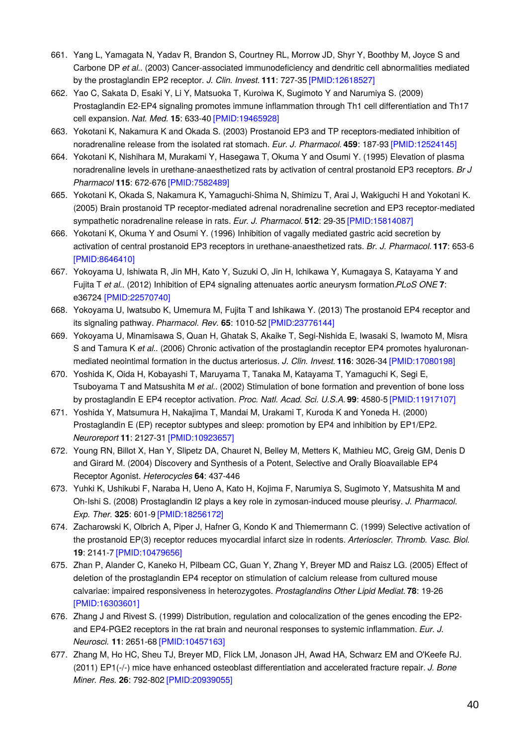- 661. Yang L, Yamagata N, Yadav R, Brandon S, Courtney RL, Morrow JD, Shyr Y, Boothby M, Joyce S and Carbone DP *et al.*. (2003) Cancer-associated immunodeficiency and dendritic cell abnormalities mediated by the prostaglandin EP2 receptor. *J. Clin. Invest.* **111**: 727-35 [\[PMID:12618527\]](http://www.ncbi.nlm.nih.gov/pubmed/12618527?dopt=AbstractPlus)
- 662. Yao C, Sakata D, Esaki Y, Li Y, Matsuoka T, Kuroiwa K, Sugimoto Y and Narumiya S. (2009) Prostaglandin E2-EP4 signaling promotes immune inflammation through Th1 cell differentiation and Th17 cell expansion. *Nat. Med.* **15**: 633-40 [\[PMID:19465928\]](http://www.ncbi.nlm.nih.gov/pubmed/19465928?dopt=AbstractPlus)
- 663. Yokotani K, Nakamura K and Okada S. (2003) Prostanoid EP3 and TP receptors-mediated inhibition of noradrenaline release from the isolated rat stomach. *Eur. J. Pharmacol.* **459**: 187-93 [\[PMID:12524145\]](http://www.ncbi.nlm.nih.gov/pubmed/12524145?dopt=AbstractPlus)
- 664. Yokotani K, Nishihara M, Murakami Y, Hasegawa T, Okuma Y and Osumi Y. (1995) Elevation of plasma noradrenaline levels in urethane-anaesthetized rats by activation of central prostanoid EP3 receptors. *Br J Pharmacol* **115**: 672-676 [\[PMID:7582489\]](http://www.ncbi.nlm.nih.gov/pubmed/7582489?dopt=AbstractPlus)
- 665. Yokotani K, Okada S, Nakamura K, Yamaguchi-Shima N, Shimizu T, Arai J, Wakiguchi H and Yokotani K. (2005) Brain prostanoid TP receptor-mediated adrenal noradrenaline secretion and EP3 receptor-mediated sympathetic noradrenaline release in rats. *Eur. J. Pharmacol.* **512**: 29-35 [\[PMID:15814087\]](http://www.ncbi.nlm.nih.gov/pubmed/15814087?dopt=AbstractPlus)
- 666. Yokotani K, Okuma Y and Osumi Y. (1996) Inhibition of vagally mediated gastric acid secretion by activation of central prostanoid EP3 receptors in urethane-anaesthetized rats. *Br. J. Pharmacol.* **117**: 653-6 [\[PMID:8646410\]](http://www.ncbi.nlm.nih.gov/pubmed/8646410?dopt=AbstractPlus)
- 667. Yokoyama U, Ishiwata R, Jin MH, Kato Y, Suzuki O, Jin H, Ichikawa Y, Kumagaya S, Katayama Y and Fujita T *et al.*. (2012) Inhibition of EP4 signaling attenuates aortic aneurysm formation.*PLoS ONE* **7**: e36724 [\[PMID:22570740\]](http://www.ncbi.nlm.nih.gov/pubmed/22570740?dopt=AbstractPlus)
- 668. Yokoyama U, Iwatsubo K, Umemura M, Fujita T and Ishikawa Y. (2013) The prostanoid EP4 receptor and its signaling pathway. *Pharmacol. Rev.* **65**: 1010-52 [\[PMID:23776144\]](http://www.ncbi.nlm.nih.gov/pubmed/23776144?dopt=AbstractPlus)
- 669. Yokoyama U, Minamisawa S, Quan H, Ghatak S, Akaike T, Segi-Nishida E, Iwasaki S, Iwamoto M, Misra S and Tamura K *et al.*. (2006) Chronic activation of the prostaglandin receptor EP4 promotes hyaluronanmediated neointimal formation in the ductus arteriosus. *J. Clin. Invest.* **116**: 3026-34 [\[PMID:17080198\]](http://www.ncbi.nlm.nih.gov/pubmed/17080198?dopt=AbstractPlus)
- 670. Yoshida K, Oida H, Kobayashi T, Maruyama T, Tanaka M, Katayama T, Yamaguchi K, Segi E, Tsuboyama T and Matsushita M *et al.*. (2002) Stimulation of bone formation and prevention of bone loss by prostaglandin E EP4 receptor activation. *Proc. Natl. Acad. Sci. U.S.A.* **99**: 4580-5 [\[PMID:11917107\]](http://www.ncbi.nlm.nih.gov/pubmed/11917107?dopt=AbstractPlus)
- 671. Yoshida Y, Matsumura H, Nakajima T, Mandai M, Urakami T, Kuroda K and Yoneda H. (2000) Prostaglandin E (EP) receptor subtypes and sleep: promotion by EP4 and inhibition by EP1/EP2. *Neuroreport* **11**: 2127-31 [\[PMID:10923657\]](http://www.ncbi.nlm.nih.gov/pubmed/10923657?dopt=AbstractPlus)
- 672. Young RN, Billot X, Han Y, Slipetz DA, Chauret N, Belley M, Metters K, Mathieu MC, Greig GM, Denis D and Girard M. (2004) Discovery and Synthesis of a Potent, Selective and Orally Bioavailable EP4 Receptor Agonist. *Heterocycles* **64**: 437-446
- 673. Yuhki K, Ushikubi F, Naraba H, Ueno A, Kato H, Kojima F, Narumiya S, Sugimoto Y, Matsushita M and Oh-Ishi S. (2008) Prostaglandin I2 plays a key role in zymosan-induced mouse pleurisy. *J. Pharmacol. Exp. Ther.* **325**: 601-9 [\[PMID:18256172\]](http://www.ncbi.nlm.nih.gov/pubmed/18256172?dopt=AbstractPlus)
- 674. Zacharowski K, Olbrich A, Piper J, Hafner G, Kondo K and Thiemermann C. (1999) Selective activation of the prostanoid EP(3) receptor reduces myocardial infarct size in rodents. *Arterioscler. Thromb. Vasc. Biol.* **19**: 2141-7 [\[PMID:10479656\]](http://www.ncbi.nlm.nih.gov/pubmed/10479656?dopt=AbstractPlus)
- 675. Zhan P, Alander C, Kaneko H, Pilbeam CC, Guan Y, Zhang Y, Breyer MD and Raisz LG. (2005) Effect of deletion of the prostaglandin EP4 receptor on stimulation of calcium release from cultured mouse calvariae: impaired responsiveness in heterozygotes. *Prostaglandins Other Lipid Mediat.* **78**: 19-26 [\[PMID:16303601\]](http://www.ncbi.nlm.nih.gov/pubmed/16303601?dopt=AbstractPlus)
- 676. Zhang J and Rivest S. (1999) Distribution, regulation and colocalization of the genes encoding the EP2 and EP4-PGE2 receptors in the rat brain and neuronal responses to systemic inflammation. *Eur. J. Neurosci.* **11**: 2651-68 [\[PMID:10457163\]](http://www.ncbi.nlm.nih.gov/pubmed/10457163?dopt=AbstractPlus)
- 677. Zhang M, Ho HC, Sheu TJ, Breyer MD, Flick LM, Jonason JH, Awad HA, Schwarz EM and O'Keefe RJ. (2011) EP1(-/-) mice have enhanced osteoblast differentiation and accelerated fracture repair. *J. Bone Miner. Res.* **26**: 792-802 [\[PMID:20939055\]](http://www.ncbi.nlm.nih.gov/pubmed/20939055?dopt=AbstractPlus)